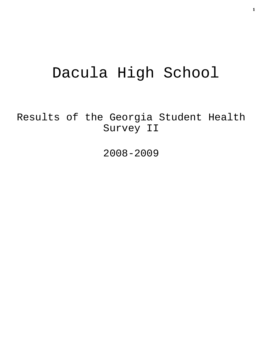# Dacula High School

Results of the Georgia Student Health Survey II

2008-2009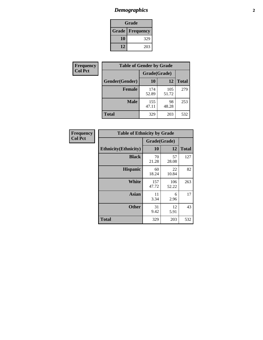# *Demographics* **2**

| Grade                    |     |  |  |
|--------------------------|-----|--|--|
| <b>Grade   Frequency</b> |     |  |  |
| 10                       | 329 |  |  |
| 12                       | 203 |  |  |

| Frequency      | <b>Table of Gender by Grade</b> |              |              |              |  |
|----------------|---------------------------------|--------------|--------------|--------------|--|
| <b>Col Pct</b> |                                 | Grade(Grade) |              |              |  |
|                | Gender(Gender)                  | 10           | 12           | <b>Total</b> |  |
|                | <b>Female</b>                   | 174<br>52.89 | 105<br>51.72 | 279          |  |
|                | <b>Male</b>                     | 155<br>47.11 | 98<br>48.28  | 253          |  |
|                | <b>Total</b>                    | 329          | 203          | 532          |  |

| Frequency<br>Col Pct |
|----------------------|
|                      |

| <b>Table of Ethnicity by Grade</b> |              |              |              |  |  |  |
|------------------------------------|--------------|--------------|--------------|--|--|--|
|                                    | Grade(Grade) |              |              |  |  |  |
| <b>Ethnicity</b> (Ethnicity)       | 10           | 12           | <b>Total</b> |  |  |  |
| <b>Black</b>                       | 70<br>21.28  | 57<br>28.08  | 127          |  |  |  |
| <b>Hispanic</b>                    | 60<br>18.24  | 22<br>10.84  | 82           |  |  |  |
| White                              | 157<br>47.72 | 106<br>52.22 | 263          |  |  |  |
| <b>Asian</b>                       | 11<br>3.34   | 6<br>2.96    | 17           |  |  |  |
| <b>Other</b>                       | 31<br>9.42   | 12<br>5.91   | 43           |  |  |  |
| <b>Total</b>                       | 329          | 203          | 532          |  |  |  |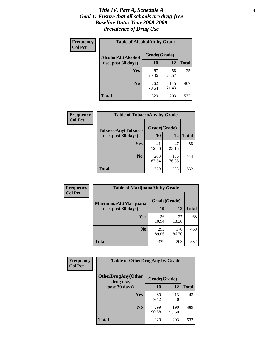#### *Title IV, Part A, Schedule A* **3** *Goal 1: Ensure that all schools are drug-free Baseline Data: Year 2008-2009 Prevalence of Drug Use*

| Frequency<br><b>Col Pct</b> | <b>Table of AlcoholAlt by Grade</b> |              |              |              |  |  |
|-----------------------------|-------------------------------------|--------------|--------------|--------------|--|--|
|                             | AlcoholAlt(Alcohol                  | Grade(Grade) |              |              |  |  |
|                             | use, past 30 days)                  | 10           | 12           | <b>Total</b> |  |  |
|                             | Yes                                 | 67<br>20.36  | 58<br>28.57  | 125          |  |  |
|                             | N <sub>0</sub>                      | 262<br>79.64 | 145<br>71.43 | 407          |  |  |
|                             | <b>Total</b>                        | 329          | 203          | 532          |  |  |

| Frequency      | <b>Table of TobaccoAny by Grade</b> |              |              |              |  |
|----------------|-------------------------------------|--------------|--------------|--------------|--|
| <b>Col Pct</b> | <b>TobaccoAny(Tobacco</b>           | Grade(Grade) |              |              |  |
|                | use, past 30 days)                  | 10           | 12           | <b>Total</b> |  |
|                | Yes                                 | 41<br>12.46  | 47<br>23.15  | 88           |  |
|                | N <sub>0</sub>                      | 288<br>87.54 | 156<br>76.85 | 444          |  |
|                | <b>Total</b>                        | 329          | 203          | 532          |  |

| Frequency<br><b>Col Pct</b> | <b>Table of MarijuanaAlt by Grade</b> |              |              |              |  |  |
|-----------------------------|---------------------------------------|--------------|--------------|--------------|--|--|
|                             | MarijuanaAlt(Marijuana                | Grade(Grade) |              |              |  |  |
|                             | use, past 30 days)                    | <b>10</b>    | 12           | <b>Total</b> |  |  |
|                             | <b>Yes</b>                            | 36<br>10.94  | 27<br>13.30  | 63           |  |  |
|                             | N <sub>0</sub>                        | 293<br>89.06 | 176<br>86.70 | 469          |  |  |
|                             | <b>Total</b>                          | 329          | 203          | 532          |  |  |

| Frequency      | <b>Table of OtherDrugAny by Grade</b>  |              |              |              |  |
|----------------|----------------------------------------|--------------|--------------|--------------|--|
| <b>Col Pct</b> | <b>OtherDrugAny(Other</b><br>drug use, | Grade(Grade) |              |              |  |
|                | past 30 days)                          | 10           | 12           | <b>Total</b> |  |
|                | Yes                                    | 30<br>9.12   | 13<br>6.40   | 43           |  |
|                | N <sub>0</sub>                         | 299<br>90.88 | 190<br>93.60 | 489          |  |
|                | <b>Total</b>                           | 329          | 203          | 532          |  |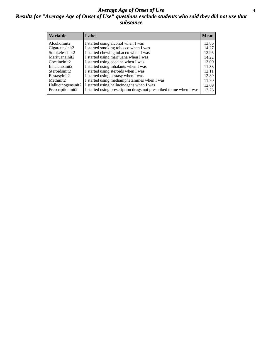#### *Average Age of Onset of Use* **4** *Results for "Average Age of Onset of Use" questions exclude students who said they did not use that substance*

| <b>Variable</b>    | Label                                                              | <b>Mean</b> |
|--------------------|--------------------------------------------------------------------|-------------|
| Alcoholinit2       | I started using alcohol when I was                                 | 13.86       |
| Cigarettesinit2    | I started smoking tobacco when I was                               | 14.27       |
| Smokelessinit2     | I started chewing tobacco when I was                               | 13.95       |
| Marijuanainit2     | I started using marijuana when I was                               | 14.22       |
| Cocaineinit2       | I started using cocaine when I was                                 | 13.00       |
| Inhalantsinit2     | I started using inhalants when I was                               | 11.33       |
| Steroidsinit2      | I started using steroids when I was                                | 12.11       |
| Ecstasyinit2       | I started using ecstasy when I was                                 | 13.89       |
| Methinit2          | I started using methamphetamines when I was                        | 11.70       |
| Hallucinogensinit2 | I started using hallucinogens when I was                           | 12.69       |
| Prescriptioninit2  | I started using prescription drugs not prescribed to me when I was | 13.26       |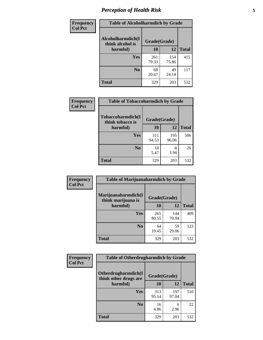# *Perception of Health Risk* **5**

| Frequency      | <b>Table of Alcoholharmdich by Grade</b> |              |              |              |
|----------------|------------------------------------------|--------------|--------------|--------------|
| <b>Col Pct</b> | Alcoholharmdich(I<br>think alcohol is    | Grade(Grade) |              |              |
|                | harmful)                                 | 10           | 12           | <b>Total</b> |
|                | <b>Yes</b>                               | 261<br>79.33 | 154<br>75.86 | 415          |
|                | N <sub>0</sub>                           | 68<br>20.67  | 49<br>24.14  | 117          |
|                | <b>Total</b>                             | 329          | 203          | 532          |

| Frequency      | <b>Table of Tobaccoharmdich by Grade</b> |              |              |              |  |
|----------------|------------------------------------------|--------------|--------------|--------------|--|
| <b>Col Pct</b> | Tobaccoharmdich(I<br>think tobacco is    | Grade(Grade) |              |              |  |
|                | harmful)                                 | 10           | 12           | <b>Total</b> |  |
|                | <b>Yes</b>                               | 311<br>94.53 | 195<br>96.06 | 506          |  |
|                | N <sub>0</sub>                           | 18<br>5.47   | 8<br>3.94    | 26           |  |
|                | <b>Total</b>                             | 329          | 203          | 532          |  |

| Frequency      | <b>Table of Marijuanaharmdich by Grade</b> |              |              |              |  |  |
|----------------|--------------------------------------------|--------------|--------------|--------------|--|--|
| <b>Col Pct</b> | Marijuanaharmdich(I<br>think marijuana is  | Grade(Grade) |              |              |  |  |
|                | harmful)                                   | 10           | 12           | <b>Total</b> |  |  |
|                | Yes                                        | 265<br>80.55 | 144<br>70.94 | 409          |  |  |
|                | N <sub>0</sub>                             | 64<br>19.45  | 59<br>29.06  | 123          |  |  |
|                | <b>Total</b>                               | 329          | 203          | 532          |  |  |

| Frequency      | <b>Table of Otherdrugharmdich by Grade</b>   |              |              |              |  |  |  |
|----------------|----------------------------------------------|--------------|--------------|--------------|--|--|--|
| <b>Col Pct</b> | Otherdrugharmdich(I<br>think other drugs are | Grade(Grade) |              |              |  |  |  |
|                | harmful)                                     | 10           | 12           | <b>Total</b> |  |  |  |
|                | Yes                                          | 313<br>95.14 | 197<br>97.04 | 510          |  |  |  |
|                | N <sub>0</sub>                               | 16<br>4.86   | 6<br>2.96    | 22           |  |  |  |
|                | <b>Total</b>                                 | 329          | 203          | 532          |  |  |  |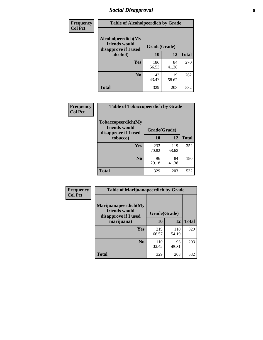# *Social Disapproval* **6**

| Frequency      | <b>Table of Alcoholpeerdich by Grade</b>                    |              |              |              |
|----------------|-------------------------------------------------------------|--------------|--------------|--------------|
| <b>Col Pct</b> | Alcoholpeerdich(My<br>friends would<br>disapprove if I used | Grade(Grade) |              |              |
|                | alcohol)                                                    | 10           | 12           | <b>Total</b> |
|                | <b>Yes</b>                                                  | 186<br>56.53 | 84<br>41.38  | 270          |
|                | N <sub>0</sub>                                              | 143<br>43.47 | 119<br>58.62 | 262          |
|                | <b>Total</b>                                                | 329          | 203          | 532          |

| <b>Frequency</b> |
|------------------|
| <b>Col Pct</b>   |

| <b>Table of Tobaccopeerdich by Grade</b>                            |              |              |              |  |  |  |
|---------------------------------------------------------------------|--------------|--------------|--------------|--|--|--|
| <b>Tobaccopeerdich</b> (My<br>friends would<br>disapprove if I used | Grade(Grade) |              |              |  |  |  |
| tobacco)                                                            | 10           | 12           | <b>Total</b> |  |  |  |
| Yes                                                                 | 233<br>70.82 | 119<br>58.62 | 352          |  |  |  |
| N <sub>0</sub>                                                      | 96<br>29.18  | 84<br>41.38  | 180          |  |  |  |
| <b>Total</b>                                                        | 329          | 203          | 532          |  |  |  |

| <b>Frequency</b> | <b>Table of Marijuanapeerdich by Grade</b>                    |              |              |              |  |  |  |  |
|------------------|---------------------------------------------------------------|--------------|--------------|--------------|--|--|--|--|
| <b>Col Pct</b>   | Marijuanapeerdich(My<br>friends would<br>disapprove if I used | Grade(Grade) |              |              |  |  |  |  |
|                  | marijuana)                                                    | 10           | 12           | <b>Total</b> |  |  |  |  |
|                  | <b>Yes</b>                                                    | 219<br>66.57 | 110<br>54.19 | 329          |  |  |  |  |
|                  | N <sub>0</sub>                                                | 110<br>33.43 | 93<br>45.81  | 203          |  |  |  |  |
|                  | <b>Total</b>                                                  | 329          | 203          | 532          |  |  |  |  |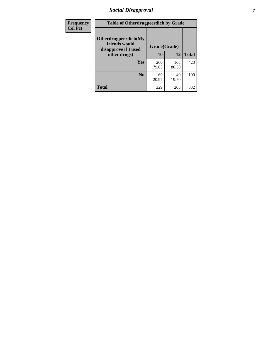# *Social Disapproval* **7**

| Frequency      | <b>Table of Otherdrugpeerdich by Grade</b>                    |              |              |              |  |  |  |  |
|----------------|---------------------------------------------------------------|--------------|--------------|--------------|--|--|--|--|
| <b>Col Pct</b> | Otherdrugpeerdich(My<br>friends would<br>disapprove if I used | Grade(Grade) |              |              |  |  |  |  |
|                | other drugs)                                                  | 10           | 12           | <b>Total</b> |  |  |  |  |
|                | Yes                                                           | 260<br>79.03 | 163<br>80.30 | 423          |  |  |  |  |
|                | N <sub>0</sub>                                                | 69<br>20.97  | 40<br>19.70  | 109          |  |  |  |  |
|                | <b>Total</b>                                                  | 329          | 203          | 532          |  |  |  |  |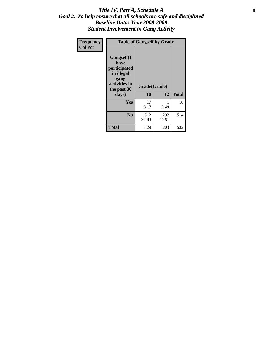### Title IV, Part A, Schedule A **8** *Goal 2: To help ensure that all schools are safe and disciplined Baseline Data: Year 2008-2009 Student Involvement in Gang Activity*

| Frequency      |                                                                                                   | <b>Table of Gangself by Grade</b> |              |              |
|----------------|---------------------------------------------------------------------------------------------------|-----------------------------------|--------------|--------------|
| <b>Col Pct</b> | Gangself(I<br>have<br>participated<br>in illegal<br>gang<br>activities in<br>the past 30<br>days) | Grade(Grade)<br>10                | 12           | <b>Total</b> |
|                | Yes                                                                                               | 17<br>5.17                        | 1<br>0.49    | 18           |
|                | N <sub>0</sub>                                                                                    | 312<br>94.83                      | 202<br>99.51 | 514          |
|                | <b>Total</b>                                                                                      | 329                               | 203          | 532          |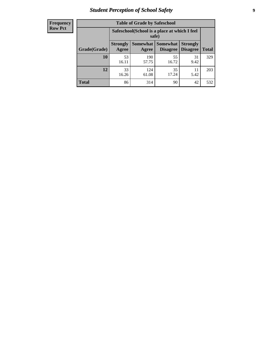# *Student Perception of School Safety* **9**

| <b>Frequency</b><br>Row Pct |
|-----------------------------|
|                             |

| <b>Table of Grade by Safeschool</b> |                                                        |              |                               |                                    |              |  |  |
|-------------------------------------|--------------------------------------------------------|--------------|-------------------------------|------------------------------------|--------------|--|--|
|                                     | Safeschool (School is a place at which I feel<br>safe) |              |                               |                                    |              |  |  |
| Grade(Grade)                        | <b>Strongly</b><br>Agree                               | Agree        | Somewhat Somewhat<br>Disagree | <b>Strongly</b><br><b>Disagree</b> | <b>Total</b> |  |  |
| 10                                  | 53<br>16.11                                            | 190<br>57.75 | 55<br>16.72                   | 31<br>9.42                         | 329          |  |  |
| 12                                  | 33<br>16.26                                            | 124<br>61.08 | 35<br>17.24                   | 11<br>5.42                         | 203          |  |  |
| <b>Total</b>                        | 86                                                     | 314          | 90                            | 42                                 | 532          |  |  |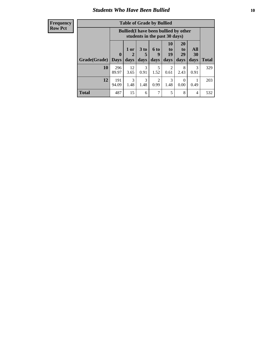### *Students Who Have Been Bullied* **10**

#### **Frequency Row Pct**

| <b>Table of Grade by Bullied</b> |              |                                                                               |                              |                   |                        |                        |                   |              |
|----------------------------------|--------------|-------------------------------------------------------------------------------|------------------------------|-------------------|------------------------|------------------------|-------------------|--------------|
|                                  |              | <b>Bullied</b> (I have been bullied by other<br>students in the past 30 days) |                              |                   |                        |                        |                   |              |
| Grade(Grade)                     | 0<br>  Davs  | 1 or<br>2<br>days                                                             | 3 <sub>to</sub><br>5<br>days | 6 to<br>9<br>days | 10<br>to<br>19<br>days | 20<br>to<br>29<br>days | All<br>30<br>days | <b>Total</b> |
| 10                               | 296<br>89.97 | 12<br>3.65                                                                    | 3<br>0.91                    | 5<br>1.52         | $\overline{2}$<br>0.61 | 8<br>2.43              | 3<br>0.91         | 329          |
| 12                               | 191<br>94.09 | 3<br>1.48                                                                     | 3<br>1.48                    | 2<br>0.99         | 3<br>1.48              | $\theta$<br>0.00       | 0.49              | 203          |
| <b>Total</b>                     | 487          | 15                                                                            | 6                            | 7                 | 5                      | 8                      | 4                 | 532          |

 $\blacksquare$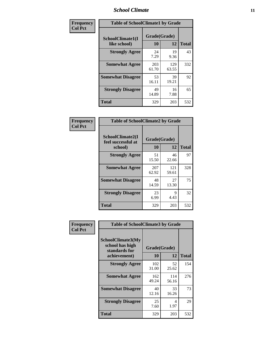### *School Climate* **11**

| Frequency      | <b>Table of SchoolClimate1 by Grade</b> |                    |              |              |  |  |
|----------------|-----------------------------------------|--------------------|--------------|--------------|--|--|
| <b>Col Pct</b> | SchoolClimate1(I<br>like school)        | Grade(Grade)<br>10 | 12           | <b>Total</b> |  |  |
|                | <b>Strongly Agree</b>                   | 24<br>7.29         | 19<br>9.36   | 43           |  |  |
|                | <b>Somewhat Agree</b>                   | 203<br>61.70       | 129<br>63.55 | 332          |  |  |
|                | <b>Somewhat Disagree</b>                | 53<br>16.11        | 39<br>19.21  | 92           |  |  |
|                | <b>Strongly Disagree</b>                | 49<br>14.89        | 16<br>7.88   | 65           |  |  |
|                | Total                                   | 329                | 203          | 532          |  |  |

| <b>Frequency</b> |  |
|------------------|--|
| <b>Col Pct</b>   |  |

| <b>Table of SchoolClimate2 by Grade</b>           |                    |              |              |  |
|---------------------------------------------------|--------------------|--------------|--------------|--|
| SchoolClimate2(I<br>feel successful at<br>school) | Grade(Grade)<br>10 | 12           | <b>Total</b> |  |
| <b>Strongly Agree</b>                             | 51<br>15.50        | 46<br>22.66  | 97           |  |
| <b>Somewhat Agree</b>                             | 207<br>62.92       | 121<br>59.61 | 328          |  |
| <b>Somewhat Disagree</b>                          | 48<br>14.59        | 27<br>13.30  | 75           |  |
| <b>Strongly Disagree</b>                          | 23<br>6.99         | 9<br>4.43    | 32           |  |
| <b>Total</b>                                      | 329                | 203          | 532          |  |

| Frequency      | <b>Table of SchoolClimate3 by Grade</b>               |              |              |              |  |
|----------------|-------------------------------------------------------|--------------|--------------|--------------|--|
| <b>Col Pct</b> | SchoolClimate3(My<br>school has high<br>standards for | Grade(Grade) |              |              |  |
|                | achievement)                                          | <b>10</b>    | 12           | <b>Total</b> |  |
|                | <b>Strongly Agree</b>                                 | 102<br>31.00 | 52<br>25.62  | 154          |  |
|                | <b>Somewhat Agree</b>                                 | 162<br>49.24 | 114<br>56.16 | 276          |  |
|                | <b>Somewhat Disagree</b>                              | 40<br>12.16  | 33<br>16.26  | 73           |  |
|                | <b>Strongly Disagree</b>                              | 25<br>7.60   | 4<br>1.97    | 29           |  |
|                | <b>Total</b>                                          | 329          | 203          | 532          |  |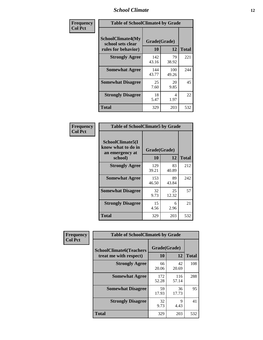### *School Climate* **12**

| Frequency      | <b>Table of SchoolClimate4 by Grade</b>                              |                    |              |              |
|----------------|----------------------------------------------------------------------|--------------------|--------------|--------------|
| <b>Col Pct</b> | <b>SchoolClimate4(My</b><br>school sets clear<br>rules for behavior) | Grade(Grade)<br>10 | 12           | <b>Total</b> |
|                | <b>Strongly Agree</b>                                                | 142<br>43.16       | 79<br>38.92  | 221          |
|                | <b>Somewhat Agree</b>                                                | 144<br>43.77       | 100<br>49.26 | 244          |
|                | <b>Somewhat Disagree</b>                                             | 25<br>7.60         | 20<br>9.85   | 45           |
|                | <b>Strongly Disagree</b>                                             | 18<br>5.47         | 4<br>1.97    | 22           |
|                | <b>Total</b>                                                         | 329                | 203          | 532          |

| <b>Table of SchoolClimate5 by Grade</b>                              |                    |              |     |  |
|----------------------------------------------------------------------|--------------------|--------------|-----|--|
| SchoolClimate5(I<br>know what to do in<br>an emergency at<br>school) | Grade(Grade)<br>10 | <b>Total</b> |     |  |
| <b>Strongly Agree</b>                                                | 129<br>39.21       | 83<br>40.89  | 212 |  |
| <b>Somewhat Agree</b>                                                | 153<br>46.50       | 89<br>43.84  | 242 |  |
| <b>Somewhat Disagree</b>                                             | 32<br>9.73         | 25<br>12.32  | 57  |  |
| <b>Strongly Disagree</b>                                             | 15<br>4.56         | 6<br>2.96    | 21  |  |
| <b>Total</b>                                                         | 329                | 203          | 532 |  |

| Frequency<br><b>Col Pct</b>                              | <b>Table of SchoolClimate6 by Grade</b> |              |              |     |
|----------------------------------------------------------|-----------------------------------------|--------------|--------------|-----|
| <b>SchoolClimate6(Teachers</b><br>treat me with respect) | Grade(Grade)<br>10                      | 12           | <b>Total</b> |     |
|                                                          | <b>Strongly Agree</b>                   | 66<br>20.06  | 42<br>20.69  | 108 |
|                                                          | <b>Somewhat Agree</b>                   | 172<br>52.28 | 116<br>57.14 | 288 |
|                                                          | <b>Somewhat Disagree</b>                | 59<br>17.93  | 36<br>17.73  | 95  |
|                                                          | <b>Strongly Disagree</b>                | 32<br>9.73   | 9<br>4.43    | 41  |
|                                                          | <b>Total</b>                            | 329          | 203          | 532 |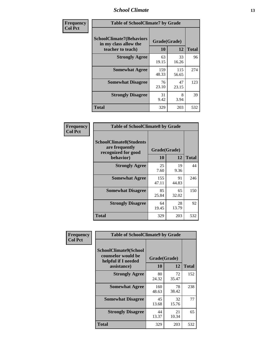### *School Climate* **13**

| Frequency      | <b>Table of SchoolClimate7 by Grade</b>                                       |                           |              |              |
|----------------|-------------------------------------------------------------------------------|---------------------------|--------------|--------------|
| <b>Col Pct</b> | <b>SchoolClimate7(Behaviors</b><br>in my class allow the<br>teacher to teach) | Grade(Grade)<br><b>10</b> | 12           | <b>Total</b> |
|                | <b>Strongly Agree</b>                                                         | 63<br>19.15               | 33<br>16.26  | 96           |
|                | <b>Somewhat Agree</b>                                                         | 159<br>48.33              | 115<br>56.65 | 274          |
|                | <b>Somewhat Disagree</b>                                                      | 76<br>23.10               | 47<br>23.15  | 123          |
|                | <b>Strongly Disagree</b>                                                      | 31<br>9.42                | 8<br>3.94    | 39           |
|                | <b>Total</b>                                                                  | 329                       | 203          | 532          |

| Frequency      | <b>Table of SchoolClimate8 by Grade</b>                                              |                    |             |              |
|----------------|--------------------------------------------------------------------------------------|--------------------|-------------|--------------|
| <b>Col Pct</b> | <b>SchoolClimate8(Students</b><br>are frequently<br>recognized for good<br>behavior) | Grade(Grade)<br>10 | 12          | <b>Total</b> |
|                | <b>Strongly Agree</b>                                                                | 25<br>7.60         | 19<br>9.36  | 44           |
|                | <b>Somewhat Agree</b>                                                                | 155<br>47.11       | 91<br>44.83 | 246          |
|                | <b>Somewhat Disagree</b>                                                             | 85<br>25.84        | 65<br>32.02 | 150          |
|                | <b>Strongly Disagree</b>                                                             | 64<br>19.45        | 28<br>13.79 | 92           |
|                | <b>Total</b>                                                                         | 329                | 203         | 532          |

| Frequency      | <b>Table of SchoolClimate9 by Grade</b>                                           |                    |             |              |
|----------------|-----------------------------------------------------------------------------------|--------------------|-------------|--------------|
| <b>Col Pct</b> | SchoolClimate9(School<br>counselor would be<br>helpful if I needed<br>assistance) | Grade(Grade)<br>10 | 12          | <b>Total</b> |
|                | <b>Strongly Agree</b>                                                             | 80<br>24.32        | 72<br>35.47 | 152          |
|                | <b>Somewhat Agree</b>                                                             | 160<br>48.63       | 78<br>38.42 | 238          |
|                | <b>Somewhat Disagree</b>                                                          | 45<br>13.68        | 32<br>15.76 | 77           |
|                | <b>Strongly Disagree</b>                                                          | 44<br>13.37        | 21<br>10.34 | 65           |
|                | <b>Total</b>                                                                      | 329                | 203         | 532          |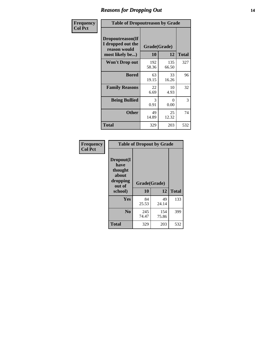### *Reasons for Dropping Out* **14**

| Frequency      | <b>Table of Dropoutreason by Grade</b>                                   |                    |              |              |
|----------------|--------------------------------------------------------------------------|--------------------|--------------|--------------|
| <b>Col Pct</b> | Dropoutreason(If<br>I dropped out the<br>reason would<br>most likely be) | Grade(Grade)<br>10 | 12           | <b>Total</b> |
|                | Won't Drop out                                                           | 192<br>58.36       | 135<br>66.50 | 327          |
|                | <b>Bored</b>                                                             | 63<br>19.15        | 33<br>16.26  | 96           |
|                | <b>Family Reasons</b>                                                    | 22<br>6.69         | 10<br>4.93   | 32           |
|                | <b>Being Bullied</b>                                                     | 3<br>0.91          | 0<br>0.00    | 3            |
|                | <b>Other</b>                                                             | 49<br>14.89        | 25<br>12.32  | 74           |
|                | <b>Total</b>                                                             | 329                | 203          | 532          |

| Frequency      | <b>Table of Dropout by Grade</b>                                       |                    |              |              |  |
|----------------|------------------------------------------------------------------------|--------------------|--------------|--------------|--|
| <b>Col Pct</b> | Dropout(I<br>have<br>thought<br>about<br>dropping<br>out of<br>school) | Grade(Grade)<br>10 | 12           | <b>Total</b> |  |
|                | Yes                                                                    | 84<br>25.53        | 49<br>24.14  | 133          |  |
|                | N <sub>0</sub>                                                         | 245<br>74.47       | 154<br>75.86 | 399          |  |
|                | <b>Total</b>                                                           | 329                | 203          | 532          |  |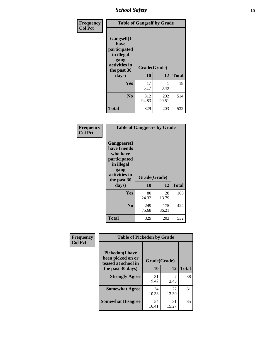*School Safety* **15**

| Frequency      | <b>Table of Gangself by Grade</b>                                                                 |                    |              |              |
|----------------|---------------------------------------------------------------------------------------------------|--------------------|--------------|--------------|
| <b>Col Pct</b> | Gangself(I<br>have<br>participated<br>in illegal<br>gang<br>activities in<br>the past 30<br>days) | Grade(Grade)<br>10 | 12           | <b>Total</b> |
|                | Yes                                                                                               | 17                 | 1            | 18           |
|                |                                                                                                   | 5.17               | 0.49         |              |
|                | N <sub>0</sub>                                                                                    | 312<br>94.83       | 202<br>99.51 | 514          |
|                | <b>Total</b>                                                                                      | 329                | 203          | 532          |

| Frequency<br><b>Col Pct</b> | <b>Table of Gangpeers by Grade</b>                                                                                             |                    |              |              |
|-----------------------------|--------------------------------------------------------------------------------------------------------------------------------|--------------------|--------------|--------------|
|                             | <b>Gangpeers</b> (I<br>have friends<br>who have<br>participated<br>in illegal<br>gang<br>activities in<br>the past 30<br>days) | Grade(Grade)<br>10 | 12           | <b>Total</b> |
|                             | <b>Yes</b>                                                                                                                     | 80<br>24.32        | 28<br>13.79  | 108          |
|                             | N <sub>0</sub>                                                                                                                 | 249<br>75.68       | 175<br>86.21 | 424          |
|                             | Total                                                                                                                          | 329                | 203          | 532          |

| Frequency      |                                                                                         | <b>Table of Pickedon by Grade</b> |              |    |  |  |  |  |  |  |
|----------------|-----------------------------------------------------------------------------------------|-----------------------------------|--------------|----|--|--|--|--|--|--|
| <b>Col Pct</b> | <b>Pickedon(I have</b><br>been picked on or<br>teased at school in<br>the past 30 days) | Grade(Grade)<br><b>10</b>         | <b>Total</b> |    |  |  |  |  |  |  |
|                | <b>Strongly Agree</b>                                                                   | 31<br>9.42                        | 3.45         | 38 |  |  |  |  |  |  |
|                | <b>Somewhat Agree</b>                                                                   | 34<br>10.33                       | 27<br>13.30  | 61 |  |  |  |  |  |  |
|                | <b>Somewhat Disagree</b>                                                                | 54<br>16.41                       | 31<br>15.27  | 85 |  |  |  |  |  |  |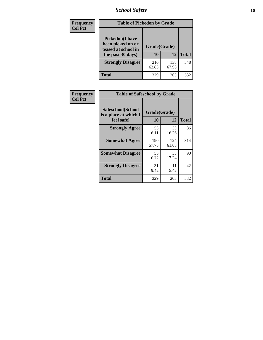# *School Safety* **16**

| Frequency      | <b>Table of Pickedon by Grade</b>                                                        |                    |              |     |
|----------------|------------------------------------------------------------------------------------------|--------------------|--------------|-----|
| <b>Col Pct</b> | <b>Pickedon</b> (I have<br>been picked on or<br>teased at school in<br>the past 30 days) | Grade(Grade)<br>10 | <b>Total</b> |     |
|                | <b>Strongly Disagree</b>                                                                 | 210<br>63.83       | 138<br>67.98 | 348 |
|                | Total                                                                                    | 329                | 203          | 532 |

| Frequency      | <b>Table of Safeschool by Grade</b>                      |                    |              |     |
|----------------|----------------------------------------------------------|--------------------|--------------|-----|
| <b>Col Pct</b> | Safeschool(School<br>is a place at which I<br>feel safe) | Grade(Grade)<br>10 | <b>Total</b> |     |
|                | <b>Strongly Agree</b>                                    | 53<br>16.11        | 33<br>16.26  | 86  |
|                | <b>Somewhat Agree</b>                                    | 190<br>57.75       | 124<br>61.08 | 314 |
|                | <b>Somewhat Disagree</b>                                 | 55<br>16.72        | 35<br>17.24  | 90  |
|                | <b>Strongly Disagree</b>                                 | 31<br>9.42         | 11<br>5.42   | 42  |
|                | <b>Total</b>                                             | 329                | 203          | 532 |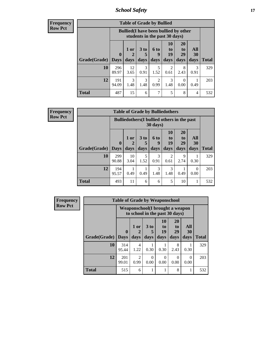*School Safety* **17**

| Frequency      |
|----------------|
| <b>Row Pct</b> |

**r** 

| <b>Table of Grade by Bullied</b> |                         |                                                                               |                              |                        |                        |                        |                   |              |  |  |  |
|----------------------------------|-------------------------|-------------------------------------------------------------------------------|------------------------------|------------------------|------------------------|------------------------|-------------------|--------------|--|--|--|
|                                  |                         | <b>Bullied</b> (I have been bullied by other<br>students in the past 30 days) |                              |                        |                        |                        |                   |              |  |  |  |
| Grade(Grade)                     | $\bf{0}$<br><b>Days</b> | $1$ or<br>days                                                                | 3 <sub>to</sub><br>5<br>days | 6 to<br>9<br>days      | 10<br>to<br>19<br>days | 20<br>to<br>29<br>days | All<br>30<br>days | <b>Total</b> |  |  |  |
| 10                               | 296<br>89.97            | 12<br>3.65                                                                    | 3<br>0.91                    | 5<br>1.52              | $\mathfrak{D}$<br>0.61 | 8<br>2.43              | 3<br>0.91         | 329          |  |  |  |
| 12                               | 191<br>94.09            | $\mathcal{F}$<br>1.48                                                         | 3<br>1.48                    | $\mathfrak{D}$<br>0.99 | 3<br>1.48              | $\Omega$<br>0.00       | 0.49              | 203          |  |  |  |
| <b>Total</b>                     | 487                     | 15                                                                            | 6                            | 7                      | 5                      | 8                      | 4                 | 532          |  |  |  |

| <b>Frequency</b> |  |
|------------------|--|
| <b>Row Pct</b>   |  |

| <b>Table of Grade by Bulliedothers</b> |                             |                                                                |                              |                   |                               |                               |                   |              |  |  |  |
|----------------------------------------|-----------------------------|----------------------------------------------------------------|------------------------------|-------------------|-------------------------------|-------------------------------|-------------------|--------------|--|--|--|
|                                        |                             | <b>Bulliedothers</b> (I bullied others in the past<br>30 days) |                              |                   |                               |                               |                   |              |  |  |  |
| Grade(Grade)                           | $\mathbf{0}$<br><b>Days</b> | 1 or<br>2<br>days                                              | 3 <sub>to</sub><br>5<br>days | 6 to<br>9<br>days | <b>10</b><br>to<br>19<br>days | <b>20</b><br>to<br>29<br>days | All<br>30<br>days | <b>Total</b> |  |  |  |
| 10                                     | 299<br>90.88                | 10<br>3.04                                                     | 5<br>1.52                    | 3<br>0.91         | 2<br>0.61                     | 9<br>2.74                     | 0.30              | 329          |  |  |  |
| 12                                     | 194<br>95.57                | 0.49                                                           | 0.49                         | 3<br>1.48         | 3<br>1.48                     | 0.49                          | 0<br>0.00         | 203          |  |  |  |
| <b>Total</b>                           | 493                         | 11                                                             | 6                            | 6                 | 5                             | 10                            |                   | 532          |  |  |  |

| <b>Frequency</b> | <b>Table of Grade by Weaponschool</b> |                                                                    |                                     |              |                        |                                           |                   |              |  |
|------------------|---------------------------------------|--------------------------------------------------------------------|-------------------------------------|--------------|------------------------|-------------------------------------------|-------------------|--------------|--|
| <b>Row Pct</b>   |                                       | Weaponschool (I brought a weapon<br>to school in the past 30 days) |                                     |              |                        |                                           |                   |              |  |
|                  | Grade(Grade)                          | $\mathbf 0$<br><b>Days</b>                                         | 1 or<br>days                        | 3 to<br>days | 10<br>to<br>19<br>days | <b>20</b><br>t <sub>0</sub><br>29<br>days | All<br>30<br>days | <b>Total</b> |  |
|                  | 10                                    | 314<br>95.44                                                       | 4<br>1.22                           | 0.30         | 0.30                   | 8<br>2.43                                 | 0.30              | 329          |  |
|                  | 12                                    | 201<br>99.01                                                       | $\mathcal{D}_{\mathcal{L}}$<br>0.99 | ∩<br>0.00    | 0<br>0.00              | $\Omega$<br>0.00                          | $\Omega$<br>0.00  | 203          |  |
|                  | <b>Total</b>                          | 515                                                                | 6                                   |              |                        | 8                                         |                   | 532          |  |

 $\blacksquare$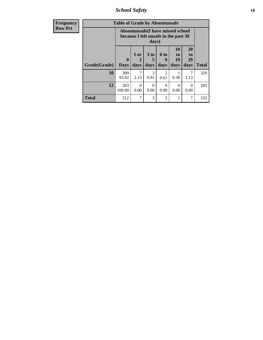*School Safety* **18**

| <b>Frequency</b> | <b>Table of Grade by Absentunsafe</b> |                             |                                                                                    |              |                                     |                               |                                    |              |  |  |  |
|------------------|---------------------------------------|-----------------------------|------------------------------------------------------------------------------------|--------------|-------------------------------------|-------------------------------|------------------------------------|--------------|--|--|--|
| <b>Row Pct</b>   |                                       |                             | Absentunsafe(I have missed school<br>because I felt unsafe in the past 30<br>days) |              |                                     |                               |                                    |              |  |  |  |
|                  | Grade(Grade)                          | $\mathbf{0}$<br><b>Days</b> | $1$ or<br>2<br>days                                                                | 3 to<br>days | $6$ to<br>9<br>days                 | <b>10</b><br>to<br>19<br>days | 20<br>t <sub>0</sub><br>29<br>days | <b>Total</b> |  |  |  |
|                  | 10                                    | 309<br>93.92                | 7<br>2.13                                                                          | 3<br>0.91    | $\mathcal{D}_{\mathcal{L}}$<br>0.61 | 0.30                          | 2.13                               | 329          |  |  |  |
|                  | 12                                    | 203<br>100.00               | $\Omega$<br>0.00                                                                   | 0<br>0.00    | $\Omega$<br>0.00                    | $\Omega$<br>0.00              | $\Omega$<br>0.00                   | 203          |  |  |  |
|                  | <b>Total</b>                          | 512                         | 7                                                                                  | 3            | $\overline{2}$                      |                               | 7                                  | 532          |  |  |  |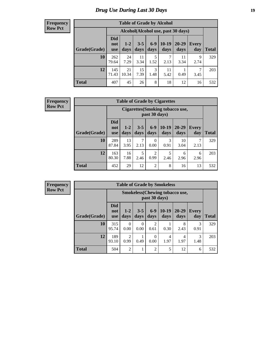# *Drug Use During Last 30 Days* **19**

#### **Frequency Row Pct**

| <b>Table of Grade by Alcohol</b> |                                 |                                     |                 |               |                 |               |                     |       |  |  |  |
|----------------------------------|---------------------------------|-------------------------------------|-----------------|---------------|-----------------|---------------|---------------------|-------|--|--|--|
|                                  |                                 | Alcohol (Alcohol use, past 30 days) |                 |               |                 |               |                     |       |  |  |  |
| Grade(Grade)                     | <b>Did</b><br>not<br><b>use</b> | $1 - 2$<br>days                     | $3 - 5$<br>days | $6-9$<br>days | $10-19$<br>days | 20-29<br>days | <b>Every</b><br>day | Total |  |  |  |
| 10                               | 262<br>79.64                    | 24<br>7.29                          | 11<br>3.34      | 5<br>1.52     | 7<br>2.13       | 11<br>3.34    | 9<br>2.74           | 329   |  |  |  |
| 12                               | 145<br>71.43                    | 21<br>10.34                         | 15<br>7.39      | 3<br>1.48     | 11<br>5.42      | 0.49          | 7<br>3.45           | 203   |  |  |  |
| <b>Total</b>                     | 407                             | 45                                  | 26              | 8             | 18              | 12            | 16                  | 532   |  |  |  |

#### **Frequency Row Pct**

| <b>Table of Grade by Cigarettes</b> |                                                                                                                                                   |                                                          |           |                  |           |            |           |              |  |  |  |
|-------------------------------------|---------------------------------------------------------------------------------------------------------------------------------------------------|----------------------------------------------------------|-----------|------------------|-----------|------------|-----------|--------------|--|--|--|
|                                     |                                                                                                                                                   | <b>Cigarettes (Smoking tobacco use,</b><br>past 30 days) |           |                  |           |            |           |              |  |  |  |
| Grade(Grade)                        | <b>Did</b><br>$6-9$<br>$10-19$<br>20-29<br>$3 - 5$<br>$1 - 2$<br><b>Every</b><br>not<br>days<br>days<br>day<br>days<br>days<br>days<br><b>use</b> |                                                          |           |                  |           |            |           | <b>Total</b> |  |  |  |
| 10                                  | 289<br>87.84                                                                                                                                      | 13<br>3.95                                               | 7<br>2.13 | $\Omega$<br>0.00 | 3<br>0.91 | 10<br>3.04 | 7<br>2.13 | 329          |  |  |  |
| 12                                  | 163<br>80.30                                                                                                                                      | 16<br>7.88                                               | 5<br>2.46 | 2<br>0.99        | 5<br>2.46 | 6<br>2.96  | 6<br>2.96 | 203          |  |  |  |
| <b>Total</b>                        | 452                                                                                                                                               | 29                                                       | 12        | $\overline{c}$   | 8         | 16         | 13        | 532          |  |  |  |

| <b>Table of Grade by Smokeless</b> |                                 |                                                        |                 |                        |                 |                 |              |              |  |  |  |
|------------------------------------|---------------------------------|--------------------------------------------------------|-----------------|------------------------|-----------------|-----------------|--------------|--------------|--|--|--|
|                                    |                                 | <b>Smokeless</b> (Chewing tobaccouse,<br>past 30 days) |                 |                        |                 |                 |              |              |  |  |  |
| Grade(Grade)                       | <b>Did</b><br>not<br><b>use</b> | $1 - 2$<br>days                                        | $3 - 5$<br>days | $6-9$<br>days          | $10-19$<br>days | $20-29$<br>days | Every<br>day | <b>Total</b> |  |  |  |
| 10                                 | 315<br>95.74                    | 0<br>0.00                                              | 0<br>0.00       | $\overline{c}$<br>0.61 | 0.30            | 8<br>2.43       | 3<br>0.91    | 329          |  |  |  |
| 12                                 | 189<br>93.10                    | 2<br>0.99                                              | 0.49            | 0<br>0.00              | 4<br>1.97       | 4<br>1.97       | 3<br>1.48    | 203          |  |  |  |
| <b>Total</b>                       | 504                             | 2                                                      | 1               | $\overline{2}$         | 5               | 12              | 6            | 532          |  |  |  |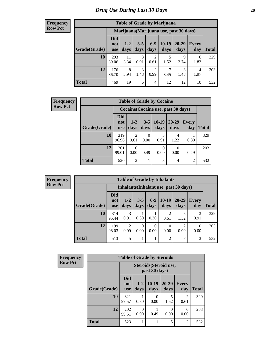#### **Frequency Row Pct**

| <b>Table of Grade by Marijuana</b> |                                 |                                         |                 |                        |                 |               |              |       |  |  |
|------------------------------------|---------------------------------|-----------------------------------------|-----------------|------------------------|-----------------|---------------|--------------|-------|--|--|
|                                    |                                 | Marijuana (Marijuana use, past 30 days) |                 |                        |                 |               |              |       |  |  |
| Grade(Grade)                       | <b>Did</b><br>not<br><b>use</b> | $1-2$<br>days                           | $3 - 5$<br>days | $6-9$<br>days          | $10-19$<br>days | 20-29<br>days | Every<br>day | Total |  |  |
| 10                                 | 293<br>89.06                    | 11<br>3.34                              | 3<br>0.91       | $\overline{c}$<br>0.61 | 5<br>1.52       | 9<br>2.74     | 6<br>1.82    | 329   |  |  |
| 12                                 | 176<br>86.70                    | 8<br>3.94                               | 3<br>1.48       | $\overline{c}$<br>0.99 | 7<br>3.45       | 3<br>1.48     | 4<br>1.97    | 203   |  |  |
| <b>Total</b>                       | 469                             | 19                                      | 6               | $\overline{4}$         | 12              | 12            | 10           | 532   |  |  |

| <b>Frequency</b> |                                     | <b>Table of Grade by Cocaine</b> |                       |                 |                  |                   |                     |              |  |
|------------------|-------------------------------------|----------------------------------|-----------------------|-----------------|------------------|-------------------|---------------------|--------------|--|
| <b>Row Pct</b>   | Cocaine (Cocaine use, past 30 days) |                                  |                       |                 |                  |                   |                     |              |  |
|                  | Grade(Grade)                        | <b>Did</b><br>not<br>use         | $1 - 2$<br>days       | $3 - 5$<br>days | $10-19$<br>days  | $20 - 29$<br>days | <b>Every</b><br>day | <b>Total</b> |  |
|                  | 10                                  | 319<br>96.96                     | $\mathcal{D}$<br>0.61 | 0<br>0.00       | 3<br>0.91        | 4<br>1.22         | 0.30                | 329          |  |
|                  | 12                                  | 201<br>99.01                     | $\Omega$<br>0.00      | 0.49            | $\Omega$<br>0.00 | 0.00              | 0.49                | 203          |  |
|                  | <b>Total</b>                        | 520                              | $\overline{2}$        |                 | 3                | 4                 | $\overline{2}$      | 532          |  |

| <b>Table of Grade by Inhalants</b> |                                        |                        |                  |               |                       |                        |                     |       |  |  |
|------------------------------------|----------------------------------------|------------------------|------------------|---------------|-----------------------|------------------------|---------------------|-------|--|--|
|                                    | Inhalants (Inhalant use, past 30 days) |                        |                  |               |                       |                        |                     |       |  |  |
| Grade(Grade)                       | <b>Did</b><br>not<br><b>use</b>        | $1 - 2$<br>days        | $3 - 5$<br>days  | $6-9$<br>days | $10-19$<br>days       | $20 - 29$<br>days      | <b>Every</b><br>day | Total |  |  |
| 10                                 | 314<br>95.44                           | 3<br>0.91              | 0.30             | 0.30          | $\mathcal{D}$<br>0.61 | 1.52                   | 3<br>0.91           | 329   |  |  |
| 12                                 | 199<br>98.03                           | $\overline{2}$<br>0.99 | $\Omega$<br>0.00 | 0<br>0.00     | 0<br>0.00             | $\overline{2}$<br>0.99 | 0<br>0.00           | 203   |  |  |
| <b>Total</b>                       | 513                                    | 5                      |                  |               | $\overline{2}$        | 7                      | 3                   | 532   |  |  |

| <b>Frequency</b> | <b>Table of Grade by Steroids</b> |                                 |                 |                 |                   |                        |              |  |
|------------------|-----------------------------------|---------------------------------|-----------------|-----------------|-------------------|------------------------|--------------|--|
| <b>Row Pct</b>   |                                   |                                 |                 |                 |                   |                        |              |  |
|                  | Grade(Grade)                      | <b>Did</b><br>not<br><b>use</b> | $1 - 2$<br>days | $10-19$<br>days | $20 - 29$<br>days | <b>Every</b><br>day    | <b>Total</b> |  |
|                  | 10                                | 321<br>97.57                    | 0.30            | 0<br>0.00       | 5<br>1.52         | $\overline{2}$<br>0.61 | 329          |  |
|                  | 12                                | 202<br>99.51                    | 0<br>0.00       | 0.49            | 0<br>0.00         | 0<br>0.00              | 203          |  |
|                  | <b>Total</b>                      | 523                             | 1               |                 | 5                 | $\overline{2}$         | 532          |  |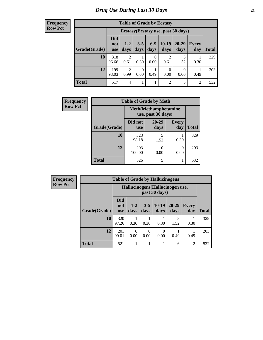| <b>Table of Grade by Ecstasy</b>                                                                                                                             |              |                                     |           |           |                  |           |                |     |  |  |
|--------------------------------------------------------------------------------------------------------------------------------------------------------------|--------------|-------------------------------------|-----------|-----------|------------------|-----------|----------------|-----|--|--|
|                                                                                                                                                              |              | Ecstasy (Ecstasy use, past 30 days) |           |           |                  |           |                |     |  |  |
| <b>Did</b><br>$6 - 9$<br>$10-19$<br>20-29<br>$3 - 5$<br>$1 - 2$<br>Every<br>not<br>Grade(Grade)<br>days<br>days<br>days<br>day<br>days<br>days<br><b>use</b> |              |                                     |           |           |                  |           | <b>Total</b>   |     |  |  |
| 10                                                                                                                                                           | 318<br>96.66 | $\overline{2}$<br>0.61              | 0.30      | 0<br>0.00 | 2<br>0.61        | 5<br>1.52 | 0.30           | 329 |  |  |
| 12                                                                                                                                                           | 199<br>98.03 | $\overline{2}$<br>0.99              | 0<br>0.00 | 0.49      | $\Omega$<br>0.00 | 0.00      | 0.49           | 203 |  |  |
| <b>Total</b>                                                                                                                                                 | 517          | $\overline{4}$                      |           | 1         | 2                | 5         | $\overline{2}$ | 532 |  |  |

| <b>Frequency</b> | <b>Table of Grade by Meth</b> |                       |                                                    |                     |              |  |  |  |  |
|------------------|-------------------------------|-----------------------|----------------------------------------------------|---------------------|--------------|--|--|--|--|
| <b>Row Pct</b>   |                               |                       | <b>Meth</b> (Methamphetamine<br>use, past 30 days) |                     |              |  |  |  |  |
|                  | Grade(Grade)                  | Did not<br><b>use</b> | $20 - 29$<br>days                                  | <b>Every</b><br>day | <b>Total</b> |  |  |  |  |
|                  | 10                            | 323<br>98.18          | 1.52                                               | 0.30                | 329          |  |  |  |  |
|                  | 12                            | 203<br>100.00         | 0.00                                               | $\theta$<br>0.00    | 203          |  |  |  |  |
|                  | <b>Total</b>                  | 526                   | 5                                                  |                     | 532          |  |  |  |  |

| Frequency      |              |                                 |                                                   |                  | <b>Table of Grade by Hallucinogens</b> |                   |                     |              |  |
|----------------|--------------|---------------------------------|---------------------------------------------------|------------------|----------------------------------------|-------------------|---------------------|--------------|--|
| <b>Row Pct</b> |              |                                 | Hallucinogens (Hallucinogen use,<br>past 30 days) |                  |                                        |                   |                     |              |  |
|                | Grade(Grade) | <b>Did</b><br>not<br><b>use</b> | $1 - 2$<br>days                                   | $3 - 5$<br>days  | $10-19$<br>days                        | $20 - 29$<br>days | <b>Every</b><br>day | <b>Total</b> |  |
|                | 10           | 320<br>97.26                    | 0.30                                              | 0.30             | 0.30                                   | 1.52              | 0.30                | 329          |  |
|                | 12           | 201<br>99.01                    | 0<br>0.00                                         | $\theta$<br>0.00 | 0<br>0.00                              | 0.49              | 0.49                | 203          |  |
|                | <b>Total</b> | 521                             |                                                   |                  |                                        | 6                 | $\overline{2}$      | 532          |  |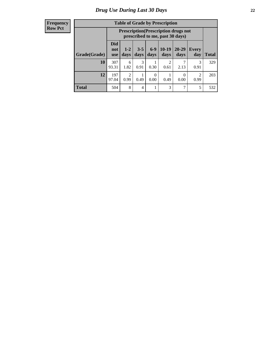| <b>Table of Grade by Prescription</b> |                                 |                                                                                                                        |           |           |           |      |                        |     |  |
|---------------------------------------|---------------------------------|------------------------------------------------------------------------------------------------------------------------|-----------|-----------|-----------|------|------------------------|-----|--|
|                                       |                                 | <b>Prescription</b> (Prescription drugs not<br>prescribed to me, past 30 days)                                         |           |           |           |      |                        |     |  |
| Grade(Grade)                          | <b>Did</b><br>not<br><b>use</b> | $6 - 9$<br>$10-19$<br>$3 - 5$<br>$20 - 29$<br>$1 - 2$<br>Every<br>days<br>Total<br>days<br>days<br>day<br>days<br>days |           |           |           |      |                        |     |  |
| 10                                    | 307<br>93.31                    | 6<br>1.82                                                                                                              | 3<br>0.91 | 0.30      | 2<br>0.61 | 2.13 | 3<br>0.91              | 329 |  |
| 12                                    | 197<br>97.04                    | $\overline{2}$<br>0.99                                                                                                 | 0.49      | 0<br>0.00 | 0.49      | 0.00 | $\mathfrak{D}$<br>0.99 | 203 |  |
| <b>Total</b>                          | 504                             | 8                                                                                                                      | 4         | 1         | 3         | ┑    | 5                      | 532 |  |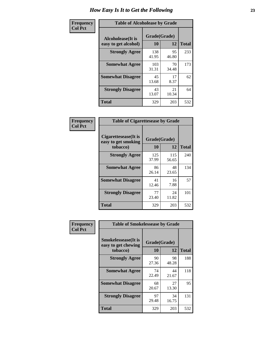| Frequency      | <b>Table of Alcoholease by Grade</b>              |                    |             |              |  |  |  |  |
|----------------|---------------------------------------------------|--------------------|-------------|--------------|--|--|--|--|
| <b>Col Pct</b> | <b>Alcoholease</b> (It is<br>easy to get alcohol) | Grade(Grade)<br>10 | 12          | <b>Total</b> |  |  |  |  |
|                | <b>Strongly Agree</b>                             | 138<br>41.95       | 95<br>46.80 | 233          |  |  |  |  |
|                | <b>Somewhat Agree</b>                             | 103<br>31.31       | 70<br>34.48 | 173          |  |  |  |  |
|                | <b>Somewhat Disagree</b>                          | 45<br>13.68        | 17<br>8.37  | 62           |  |  |  |  |
|                | <b>Strongly Disagree</b>                          | 43<br>13.07        | 21<br>10.34 | 64           |  |  |  |  |
|                | <b>Total</b>                                      | 329                | 203         | 532          |  |  |  |  |

| Frequency<br>Col Pct |
|----------------------|

| <b>Table of Cigarettesease by Grade</b>                 |                    |              |              |  |  |  |  |
|---------------------------------------------------------|--------------------|--------------|--------------|--|--|--|--|
| Cigarettesease(It is<br>easy to get smoking<br>tobacco) | Grade(Grade)<br>10 | 12           | <b>Total</b> |  |  |  |  |
| <b>Strongly Agree</b>                                   | 125<br>37.99       | 115<br>56.65 | 240          |  |  |  |  |
| <b>Somewhat Agree</b>                                   | 86<br>26.14        | 48<br>23.65  | 134          |  |  |  |  |
| <b>Somewhat Disagree</b>                                | 41<br>12.46        | 16<br>7.88   | 57           |  |  |  |  |
| <b>Strongly Disagree</b>                                | 77<br>23.40        | 24<br>11.82  | 101          |  |  |  |  |
| <b>Total</b>                                            | 329                | 203          | 532          |  |  |  |  |

| Frequency      | <b>Table of Smokelessease by Grade</b>                         |                    |              |     |
|----------------|----------------------------------------------------------------|--------------------|--------------|-----|
| <b>Col Pct</b> | <b>Smokelessease</b> (It is<br>easy to get chewing<br>tobacco) | Grade(Grade)<br>10 | <b>Total</b> |     |
|                | <b>Strongly Agree</b>                                          | 90<br>27.36        | 98<br>48.28  | 188 |
|                | <b>Somewhat Agree</b>                                          | 74<br>22.49        | 44<br>21.67  | 118 |
|                | <b>Somewhat Disagree</b>                                       | 68<br>20.67        | 27<br>13.30  | 95  |
|                | <b>Strongly Disagree</b>                                       | 97<br>29.48        | 34<br>16.75  | 131 |
|                | <b>Total</b>                                                   | 329                | 203          | 532 |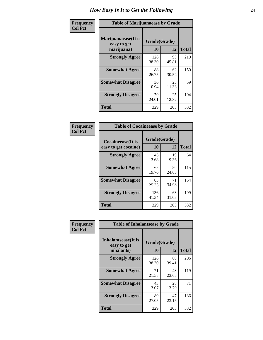| Frequency      | <b>Table of Marijuanaease by Grade</b>           |                    |             |              |  |  |  |  |  |  |
|----------------|--------------------------------------------------|--------------------|-------------|--------------|--|--|--|--|--|--|
| <b>Col Pct</b> | Marijuanaease(It is<br>easy to get<br>marijuana) | Grade(Grade)<br>10 | 12          | <b>Total</b> |  |  |  |  |  |  |
|                | <b>Strongly Agree</b>                            | 126<br>38.30       | 93<br>45.81 | 219          |  |  |  |  |  |  |
|                | <b>Somewhat Agree</b>                            | 88<br>26.75        | 62<br>30.54 | 150          |  |  |  |  |  |  |
|                | <b>Somewhat Disagree</b>                         | 36<br>10.94        | 23<br>11.33 | 59           |  |  |  |  |  |  |
|                | <b>Strongly Disagree</b>                         | 79<br>24.01        | 25<br>12.32 | 104          |  |  |  |  |  |  |
|                | <b>Total</b>                                     | 329                | 203         | 532          |  |  |  |  |  |  |

| <b>Table of Cocaineease by Grade</b> |              |              |              |  |  |  |  |  |  |  |
|--------------------------------------|--------------|--------------|--------------|--|--|--|--|--|--|--|
| <b>Cocaineease</b> (It is            |              | Grade(Grade) |              |  |  |  |  |  |  |  |
| easy to get cocaine)                 | 10           | 12           | <b>Total</b> |  |  |  |  |  |  |  |
| <b>Strongly Agree</b>                | 45<br>13.68  | 19<br>9.36   | 64           |  |  |  |  |  |  |  |
| <b>Somewhat Agree</b>                | 65<br>19.76  | 50<br>24.63  | 115          |  |  |  |  |  |  |  |
| <b>Somewhat Disagree</b>             | 83<br>25.23  | 71<br>34.98  | 154          |  |  |  |  |  |  |  |
| <b>Strongly Disagree</b>             | 136<br>41.34 | 63<br>31.03  | 199          |  |  |  |  |  |  |  |
| <b>Total</b>                         | 329          | 203          | 532          |  |  |  |  |  |  |  |

| Frequency      | <b>Table of Inhalantsease by Grade</b>     |              |             |              |  |  |  |  |  |  |
|----------------|--------------------------------------------|--------------|-------------|--------------|--|--|--|--|--|--|
| <b>Col Pct</b> | <b>Inhalantsease</b> (It is<br>easy to get | Grade(Grade) |             |              |  |  |  |  |  |  |
|                | inhalants)                                 | 10           | 12          | <b>Total</b> |  |  |  |  |  |  |
|                | <b>Strongly Agree</b>                      | 126<br>38.30 | 80<br>39.41 | 206          |  |  |  |  |  |  |
|                | <b>Somewhat Agree</b>                      | 71<br>21.58  | 48<br>23.65 | 119          |  |  |  |  |  |  |
|                | <b>Somewhat Disagree</b>                   | 43<br>13.07  | 28<br>13.79 | 71           |  |  |  |  |  |  |
|                | <b>Strongly Disagree</b>                   | 89<br>27.05  | 47<br>23.15 | 136          |  |  |  |  |  |  |
|                | <b>Total</b>                               | 329          | 203         | 532          |  |  |  |  |  |  |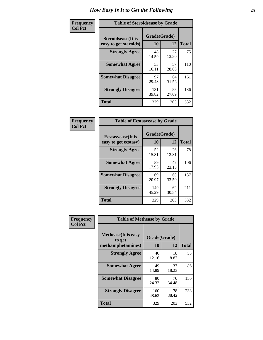| Frequency      | <b>Table of Steroidsease by Grade</b>               |                    |             |              |  |  |  |  |  |  |
|----------------|-----------------------------------------------------|--------------------|-------------|--------------|--|--|--|--|--|--|
| <b>Col Pct</b> | <b>Steroidsease</b> (It is<br>easy to get steroids) | Grade(Grade)<br>10 | 12          | <b>Total</b> |  |  |  |  |  |  |
|                | <b>Strongly Agree</b>                               | 48<br>14.59        | 75          |              |  |  |  |  |  |  |
|                | <b>Somewhat Agree</b>                               | 53<br>16.11        | 57<br>28.08 | 110          |  |  |  |  |  |  |
|                | <b>Somewhat Disagree</b>                            | 97<br>29.48        | 64<br>31.53 | 161          |  |  |  |  |  |  |
|                | <b>Strongly Disagree</b>                            | 131<br>39.82       | 55<br>27.09 | 186          |  |  |  |  |  |  |
|                | <b>Total</b>                                        | 329                | 203         | 532          |  |  |  |  |  |  |

| Frequency      | <b>Table of Ecstasyease by Grade</b>              |                    |             |              |
|----------------|---------------------------------------------------|--------------------|-------------|--------------|
| <b>Col Pct</b> | <b>Ecstasyease</b> (It is<br>easy to get ecstasy) | Grade(Grade)<br>10 | 12          | <b>Total</b> |
|                | <b>Strongly Agree</b>                             | 52<br>15.81        | 26<br>12.81 | 78           |
|                | <b>Somewhat Agree</b>                             | 59<br>17.93        | 47<br>23.15 | 106          |
|                | <b>Somewhat Disagree</b>                          | 69<br>20.97        | 68<br>33.50 | 137          |
|                | <b>Strongly Disagree</b>                          | 149<br>45.29       | 62<br>30.54 | 211          |
|                | Total                                             | 329                | 203         | 532          |

| Frequency      | <b>Table of Methease by Grade</b>                          |                    |             |              |
|----------------|------------------------------------------------------------|--------------------|-------------|--------------|
| <b>Col Pct</b> | <b>Methease</b> (It is easy<br>to get<br>methamphetamines) | Grade(Grade)<br>10 | 12          | <b>Total</b> |
|                | <b>Strongly Agree</b>                                      | 40<br>12.16        | 18<br>8.87  | 58           |
|                | <b>Somewhat Agree</b>                                      | 49<br>14.89        | 37<br>18.23 | 86           |
|                | <b>Somewhat Disagree</b>                                   | 80<br>24.32        | 70<br>34.48 | 150          |
|                | <b>Strongly Disagree</b>                                   | 160<br>48.63       | 78<br>38.42 | 238          |
|                | <b>Total</b>                                               | 329                | 203         | 532          |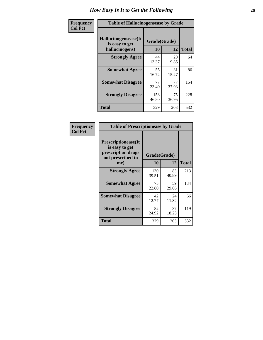| <b>Frequency</b> | <b>Table of Hallucinogensease by Grade</b>               |                    |             |              |  |  |  |  |  |  |
|------------------|----------------------------------------------------------|--------------------|-------------|--------------|--|--|--|--|--|--|
| <b>Col Pct</b>   | Hallucinogensease(It<br>is easy to get<br>hallucinogens) | Grade(Grade)<br>10 | 12          | <b>Total</b> |  |  |  |  |  |  |
|                  | <b>Strongly Agree</b>                                    | 44<br>13.37        | 20<br>9.85  | 64           |  |  |  |  |  |  |
|                  | <b>Somewhat Agree</b>                                    | 55<br>16.72        | 31<br>15.27 | 86           |  |  |  |  |  |  |
|                  | <b>Somewhat Disagree</b>                                 | 77<br>23.40        | 77<br>37.93 | 154          |  |  |  |  |  |  |
|                  | <b>Strongly Disagree</b>                                 | 153<br>46.50       | 75<br>36.95 | 228          |  |  |  |  |  |  |
|                  | <b>Total</b>                                             | 329                | 203         | 532          |  |  |  |  |  |  |

| Frequency<br>Col Pct |
|----------------------|
|                      |

г

| <b>Table of Prescriptionease by Grade</b>                                                |              |              |              |  |  |  |  |  |  |  |
|------------------------------------------------------------------------------------------|--------------|--------------|--------------|--|--|--|--|--|--|--|
| <b>Prescriptionease</b> (It<br>is easy to get<br>prescription drugs<br>not prescribed to |              | Grade(Grade) |              |  |  |  |  |  |  |  |
| me)                                                                                      | 10           | 12           | <b>Total</b> |  |  |  |  |  |  |  |
| <b>Strongly Agree</b>                                                                    | 130<br>39.51 | 83<br>40.89  | 213          |  |  |  |  |  |  |  |
| <b>Somewhat Agree</b>                                                                    | 75<br>22.80  | 59<br>29.06  | 134          |  |  |  |  |  |  |  |
| <b>Somewhat Disagree</b>                                                                 | 42<br>12.77  | 24<br>11.82  | 66           |  |  |  |  |  |  |  |
| <b>Strongly Disagree</b>                                                                 | 82<br>24.92  | 37<br>18.23  | 119          |  |  |  |  |  |  |  |
| Total                                                                                    | 329          | 203          | 532          |  |  |  |  |  |  |  |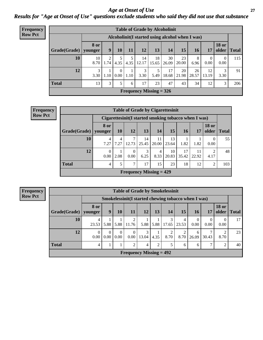#### *Age at Onset of Use* **27** *Results for "Age at Onset of Use" questions exclude students who said they did not use that substance*

| <b>Frequency</b> | <b>Table of Grade by Alcoholinit</b> |                       |                                                  |                  |           |             |                           |             |             |             |                  |                       |              |
|------------------|--------------------------------------|-----------------------|--------------------------------------------------|------------------|-----------|-------------|---------------------------|-------------|-------------|-------------|------------------|-----------------------|--------------|
| <b>Row Pct</b>   |                                      |                       | Alcoholinit (I started using alcohol when I was) |                  |           |             |                           |             |             |             |                  |                       |              |
|                  | Grade(Grade)                         | 8 or<br>younger       | 9                                                | 10               | 11        | 12          | 13                        | 14          | 15          | 16          | 17               | <b>18 or</b><br>older | <b>Total</b> |
|                  | 10                                   | 10<br>8.70            | 2<br>1.74                                        | 5<br>4.35        | 5<br>4.35 | 14<br>12.17 | 18<br>15.65               | 30<br>26.09 | 23<br>20.00 | 8<br>6.96   | $\theta$<br>0.00 | $\theta$<br>0.00      | 115          |
|                  | 12                                   | $\mathcal{E}$<br>3.30 | 1.10                                             | $\Omega$<br>0.00 | 1.10      | 3<br>3.30   | 5<br>5.49                 | 17<br>18.68 | 20<br>21.98 | 26<br>28.57 | 12<br>13.19      | 3<br>3.30             | 91           |
|                  | <b>Total</b>                         | 13                    | 3                                                | 5                | 6         | 17          | 23                        | 47          | 43          | 34          | 12               | 3                     | 206          |
|                  |                                      |                       |                                                  |                  |           |             | Frequency Missing $= 326$ |             |             |             |                  |                       |              |

| <b>Frequency</b> | <b>Table of Grade by Cigarettesinit</b>               |                  |           |                  |             |                           |             |             |             |                       |              |  |  |
|------------------|-------------------------------------------------------|------------------|-----------|------------------|-------------|---------------------------|-------------|-------------|-------------|-----------------------|--------------|--|--|
| <b>Row Pct</b>   | Cigarettesinit (I started smoking tobacco when I was) |                  |           |                  |             |                           |             |             |             |                       |              |  |  |
|                  | Grade(Grade)   younger                                | <b>8 or</b>      | <b>10</b> | 12               | 13          | 14                        | 15          | <b>16</b>   | 17          | <b>18 or</b><br>older | <b>Total</b> |  |  |
|                  | <b>10</b>                                             | 4<br>7.27        | 4<br>7.27 | 7<br>12.73       | 14<br>25.45 | 11<br>20.00               | 13<br>23.64 | 1.82        | 1.82        | $\Omega$<br>0.00      | 55           |  |  |
|                  | 12                                                    | $\theta$<br>0.00 | 2.08      | $\Omega$<br>0.00 | 3<br>6.25   | 4<br>8.33                 | 10<br>20.83 | 17<br>35.42 | 11<br>22.92 | 2<br>4.17             | 48           |  |  |
|                  | <b>Total</b>                                          | 4                | 5         | 7                | 17          | 15                        | 23          | 18          | 12          | 2                     | 103          |  |  |
|                  |                                                       |                  |           |                  |             | Frequency Missing $= 429$ |             |             |             |                       |              |  |  |

**Frequency Row Pct**

| <b>Table of Grade by Smokelessinit</b> |                  |                                                     |                  |                         |                           |                |            |                         |            |                  |                       |              |
|----------------------------------------|------------------|-----------------------------------------------------|------------------|-------------------------|---------------------------|----------------|------------|-------------------------|------------|------------------|-----------------------|--------------|
|                                        |                  | Smokelessinit(I started chewing tobacco when I was) |                  |                         |                           |                |            |                         |            |                  |                       |              |
| Grade(Grade)                           | 8 or<br>younger  | 9                                                   | 10               | 11                      | <b>12</b>                 | 13             | 14         | 15                      | 16         | <b>17</b>        | <b>18 or</b><br>older | <b>Total</b> |
| 10                                     | 4<br>23.53       | 5.88                                                | 5.88             | $\overline{2}$<br>11.76 | 5.88                      | 5.88           | 3<br>17.65 | $\overline{4}$<br>23.53 | 0<br>0.00  | $\Omega$<br>0.00 | $\theta$<br>0.00      | 17           |
| 12                                     | $\Omega$<br>0.00 | 0<br>0.00                                           | $\Omega$<br>0.00 | $\theta$<br>0.00        | 3<br>13.04                | 4.35           | 8.70       | 8.70                    | 6<br>26.09 | 30.43            | 2<br>8.70             | 23           |
| <b>Total</b>                           | 4                |                                                     |                  | $\overline{2}$          | 4                         | $\overline{2}$ | 5          | 6                       | 6          | ⇁                | $\overline{2}$        | 40           |
|                                        |                  |                                                     |                  |                         | Frequency Missing $= 492$ |                |            |                         |            |                  |                       |              |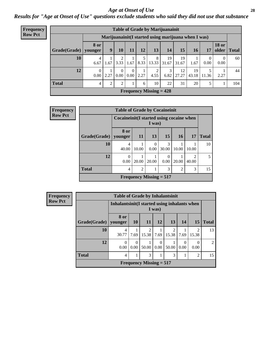#### *Age at Onset of Use* **28**

*Results for "Age at Onset of Use" questions exclude students who said they did not use that substance*

| <b>Frequency</b> |              | <b>Table of Grade by Marijuanainit</b> |                                                      |                                |      |      |                           |             |             |             |                  |                       |              |
|------------------|--------------|----------------------------------------|------------------------------------------------------|--------------------------------|------|------|---------------------------|-------------|-------------|-------------|------------------|-----------------------|--------------|
| <b>Row Pct</b>   |              |                                        | Marijuanainit (I started using marijuana when I was) |                                |      |      |                           |             |             |             |                  |                       |              |
|                  | Grade(Grade) | <b>8 or</b><br>younger                 | 9 <sup>°</sup>                                       | 10                             | 11   | 12   | 13                        | 14          | 15          | 16          | 17               | <b>18 or</b><br>older | <b>Total</b> |
|                  | 10           | 4<br>6.67                              | 1.67                                                 | 3.33                           | 1.67 | 8.33 | 8<br>13.33                | 19<br>31.67 | 19<br>31.67 | 1.67        | $\Omega$<br>0.00 | 0<br>0.00             | 60           |
|                  | 12           | $\overline{0}$<br>$0.00\,$             | 2.27                                                 | $0.00\,$                       | 0.00 | 2.27 | 4.55                      | 3<br>6.82   | 12<br>27.27 | 19<br>43.18 | 5<br>11.36       | 2.27                  | 44           |
|                  | <b>Total</b> | $\overline{4}$                         | $\overline{c}$                                       | <sup><math>\gamma</math></sup> |      | 6    | 10                        | 22          | 31          | 20          | 5                |                       | 104          |
|                  |              |                                        |                                                      |                                |      |      | Frequency Missing $= 428$ |             |             |             |                  |                       |              |

| Frequency      |              | <b>Table of Grade by Cocaineinit</b>      |                |                           |            |                |                                      |              |
|----------------|--------------|-------------------------------------------|----------------|---------------------------|------------|----------------|--------------------------------------|--------------|
| <b>Row Pct</b> |              | Cocaineinit (I started using cocaine when |                | I was)                    |            |                |                                      |              |
|                | Grade(Grade) | 8 or<br>younger                           | <b>11</b>      | 13                        | 15         | <b>16</b>      | 17                                   | <b>Total</b> |
|                | 10           | 4<br>40.00                                | 10.00          | $\theta$<br>0.00          | 3<br>30.00 | 10.00          | 10.00                                | 10           |
|                | 12           | 0<br>0.00                                 | 20.00          | 20.00                     | 0<br>0.00  | 20.00          | $\mathcal{D}_{\mathcal{A}}$<br>40.00 | 5            |
|                | <b>Total</b> | 4                                         | $\overline{2}$ | 1                         | 3          | $\mathfrak{D}$ | 3                                    | 15           |
|                |              |                                           |                | Frequency Missing $= 517$ |            |                |                                      |              |

**Frequency Row Pct**

| <b>Table of Grade by Inhalantsinit</b> |                 |                                                         |                         |                  |                         |                  |                  |                |  |
|----------------------------------------|-----------------|---------------------------------------------------------|-------------------------|------------------|-------------------------|------------------|------------------|----------------|--|
|                                        |                 | Inhalantsinit (I started using inhalants when<br>I was) |                         |                  |                         |                  |                  |                |  |
| Grade(Grade)                           | 8 or<br>younger | <b>10</b>                                               | <b>11</b>               | 12               | 13                      | 14               | 15               | <b>Total</b>   |  |
| 10                                     | 4<br>30.77      | 7.69                                                    | $\overline{c}$<br>15.38 | 7.69             | $\overline{2}$<br>15.38 | 7.69             | 2<br>15.38       | 13             |  |
| 12                                     | 0<br>0.00       | 0<br>0.00                                               | 1<br>50.00              | $\Omega$<br>0.00 | 50.00                   | $\Omega$<br>0.00 | $\Omega$<br>0.00 | $\mathfrak{D}$ |  |
| <b>Total</b>                           | 4               |                                                         | 3                       | 1                | 3                       |                  | 2                | 15             |  |
| Frequency Missing $= 517$              |                 |                                                         |                         |                  |                         |                  |                  |                |  |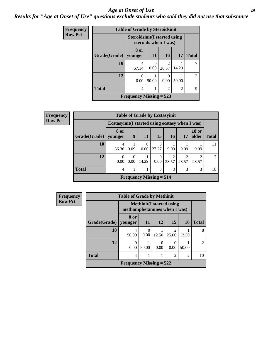#### *Age at Onset of Use* **29**

*Results for "Age at Onset of Use" questions exclude students who said they did not use that substance*

| Frequency      |                                                       | <b>Table of Grade by Steroidsinit</b> |                      |                         |       |                |  |  |  |  |
|----------------|-------------------------------------------------------|---------------------------------------|----------------------|-------------------------|-------|----------------|--|--|--|--|
| <b>Row Pct</b> |                                                       | <b>Steroidsinit (I started using</b>  | steroids when I was) |                         |       |                |  |  |  |  |
|                | Grade(Grade)                                          | 8 or<br>vounger                       | 11                   | 16 <sup>1</sup>         | 17    | <b>Total</b>   |  |  |  |  |
|                | 10                                                    | 4<br>57.14                            | 0<br>0.00            | $\mathfrak{D}$<br>28.57 | 14.29 |                |  |  |  |  |
|                | 12                                                    | 0<br>0.00                             | 50.00                | $\theta$<br>0.00        | 50.00 | $\mathfrak{D}$ |  |  |  |  |
|                | <b>Total</b><br>$\overline{2}$<br>$\overline{2}$<br>4 |                                       |                      |                         |       |                |  |  |  |  |
|                |                                                       | Frequency Missing $= 523$             |                      |                         |       |                |  |  |  |  |

| <b>Frequency</b> |              |                                                  |                  |                  | <b>Table of Grade by Ecstasyinit</b> |                        |       |                        |              |
|------------------|--------------|--------------------------------------------------|------------------|------------------|--------------------------------------|------------------------|-------|------------------------|--------------|
| <b>Row Pct</b>   |              | Ecstasyinit (I started using ecstasy when I was) |                  |                  |                                      |                        |       |                        |              |
|                  | Grade(Grade) | 8 or<br>younger                                  | 9                | <b>11</b>        | 15                                   | <b>16</b>              | 17    | <b>18 or</b><br>older  | <b>Total</b> |
|                  | 10           | 4<br>36.36                                       | 9.09             | $\theta$<br>0.00 | $\mathcal{R}$<br>27.27               | 9.09                   | 9.09  | 9.09                   |              |
|                  | 12           | $\left($<br>0.00                                 | $\Omega$<br>0.00 | 14.29            | $\Omega$<br>0.00                     | $\mathcal{D}$<br>28.57 | 28.57 | $\mathcal{D}$<br>28.57 | 7            |
|                  | <b>Total</b> | 4                                                |                  |                  | 3                                    | 3                      | 3     | 3                      | 18           |
|                  |              |                                                  |                  |                  | Frequency Missing $= 514$            |                        |       |                        |              |

| <b>Frequency</b> |              | <b>Table of Grade by Methinit</b> |           |           |                                 |                |                |
|------------------|--------------|-----------------------------------|-----------|-----------|---------------------------------|----------------|----------------|
| <b>Row Pct</b>   |              | methamphetamines when I was)      |           |           | <b>Methinit(I started using</b> |                |                |
|                  | Grade(Grade) | 8 or<br>vounger                   | <b>11</b> | <b>12</b> | 15                              | <b>16</b>      | <b>Total</b>   |
|                  | 10           | 4<br>50.00                        | 0<br>0.00 | 12.50     | $\mathcal{D}$<br>25.00          | 12.50          | 8              |
|                  | 12           | ∩<br>0.00                         | 50.00     | 0<br>0.00 | $\left($<br>0.00                | 50.00          | $\mathfrak{D}$ |
|                  | <b>Total</b> | 4                                 |           | 1         | $\overline{2}$                  | $\overline{2}$ | 10             |
|                  |              | Frequency Missing $= 522$         |           |           |                                 |                |                |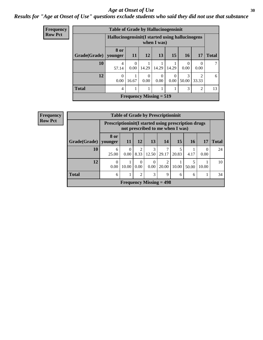#### Age at Onset of Use **30**

### *Results for "Age at Onset of Use" questions exclude students who said they did not use that substance*

| Frequency      | <b>Table of Grade by Hallucinogensinit</b> |                                                  |                           |                  |                  |           |                        |                          |              |  |
|----------------|--------------------------------------------|--------------------------------------------------|---------------------------|------------------|------------------|-----------|------------------------|--------------------------|--------------|--|
| <b>Row Pct</b> |                                            | Hallucinogensinit (I started using hallucinogens |                           |                  | when I was)      |           |                        |                          |              |  |
|                | Grade(Grade)                               | 8 or<br>younger                                  | 11                        | 12               | 13               | 15        | <b>16</b>              | 17                       | <b>Total</b> |  |
|                | 10                                         | 4<br>57.14                                       | $\Omega$<br>0.00          | 14.29            | 14.29            | 14.29     | $\theta$<br>0.00       | $\left( \right)$<br>0.00 |              |  |
|                | 12                                         | $\Omega$<br>0.00                                 | 16.67                     | $\Omega$<br>0.00 | $\Omega$<br>0.00 | 0<br>0.00 | $\mathcal{R}$<br>50.00 | $\mathfrak{D}$<br>33.33  | 6            |  |
|                | <b>Total</b>                               | 4                                                |                           |                  |                  |           | 3                      | $\overline{2}$           | 13           |  |
|                |                                            |                                                  | Frequency Missing $= 519$ |                  |                  |           |                        |                          |              |  |

| <b>Frequency</b> |                        |                                                     |                  |           | <b>Table of Grade by Prescriptioninit</b> |            |                                  |            |       |              |
|------------------|------------------------|-----------------------------------------------------|------------------|-----------|-------------------------------------------|------------|----------------------------------|------------|-------|--------------|
| <b>Row Pct</b>   |                        | Prescriptioninit(I started using prescription drugs |                  |           |                                           |            | not prescribed to me when I was) |            |       |              |
|                  | Grade(Grade)   younger | 8 or                                                | 11               | 12        | 13                                        | 14         | <b>15</b>                        | <b>16</b>  | 17    | <b>Total</b> |
|                  | 10                     | 6<br>25.00                                          | $\Omega$<br>0.00 | 2<br>8.33 | 3<br>12.50                                | 29.17      | 20.83                            | 4.17       | 0.00  | 24           |
|                  | 12                     | $\Omega$<br>0.00                                    | 10.00            | 0<br>0.00 | $\Omega$<br>0.00                          | ↑<br>20.00 | 10.00                            | 5<br>50.00 | 10.00 | 10           |
|                  | <b>Total</b>           | 6                                                   |                  | 2         | 3                                         | 9          | 6                                | 6          |       | 34           |
|                  |                        |                                                     |                  |           | Frequency Missing $= 498$                 |            |                                  |            |       |              |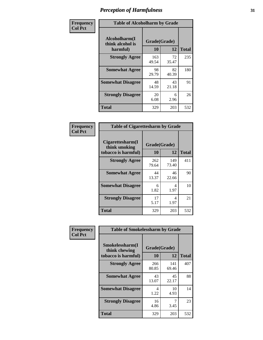| Frequency      | <b>Table of Alcoholharm by Grade</b>          |                    |             |              |
|----------------|-----------------------------------------------|--------------------|-------------|--------------|
| <b>Col Pct</b> | Alcoholharm(I<br>think alcohol is<br>harmful) | Grade(Grade)<br>10 | 12          | <b>Total</b> |
|                | <b>Strongly Agree</b>                         | 163<br>49.54       | 72<br>35.47 | 235          |
|                | <b>Somewhat Agree</b>                         | 98<br>29.79        | 82<br>40.39 | 180          |
|                | <b>Somewhat Disagree</b>                      | 48<br>14.59        | 43<br>21.18 | 91           |
|                | <b>Strongly Disagree</b>                      | 20<br>6.08         | 6<br>2.96   | 26           |
|                | <b>Total</b>                                  | 329                | 203         | 532          |

|                                                          | <b>Table of Cigarettesharm by Grade</b> |              |              |  |  |  |  |  |
|----------------------------------------------------------|-----------------------------------------|--------------|--------------|--|--|--|--|--|
| Cigarettesharm(I<br>think smoking<br>tobacco is harmful) | Grade(Grade)<br>10                      | 12           | <b>Total</b> |  |  |  |  |  |
| <b>Strongly Agree</b>                                    | 262<br>79.64                            | 149<br>73.40 | 411          |  |  |  |  |  |
| <b>Somewhat Agree</b>                                    | 44<br>13.37                             | 46<br>22.66  | 90           |  |  |  |  |  |
| <b>Somewhat Disagree</b>                                 | 6<br>1.82                               | 4<br>1.97    | 10           |  |  |  |  |  |
| <b>Strongly Disagree</b>                                 | 17<br>5.17                              | 4<br>1.97    | 21           |  |  |  |  |  |
| <b>Total</b>                                             | 329                                     | 203          | 532          |  |  |  |  |  |

| Frequency      | <b>Table of Smokelessharm by Grade</b>                  |                    |              |              |
|----------------|---------------------------------------------------------|--------------------|--------------|--------------|
| <b>Col Pct</b> | Smokelessharm(I<br>think chewing<br>tobacco is harmful) | Grade(Grade)<br>10 | 12           | <b>Total</b> |
|                | <b>Strongly Agree</b>                                   | 266<br>80.85       | 141<br>69.46 | 407          |
|                | <b>Somewhat Agree</b>                                   | 43<br>13.07        | 45<br>22.17  | 88           |
|                | <b>Somewhat Disagree</b>                                | 4<br>1.22          | 10<br>4.93   | 14           |
|                | <b>Strongly Disagree</b>                                | 16<br>4.86         | 7<br>3.45    | 23           |
|                | Total                                                   | 329                | 203          | 532          |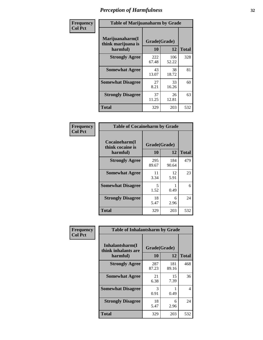| Frequency      |                                                   | <b>Table of Marijuanaharm by Grade</b> |              |              |  |  |  |  |  |  |
|----------------|---------------------------------------------------|----------------------------------------|--------------|--------------|--|--|--|--|--|--|
| <b>Col Pct</b> | Marijuanaharm(I<br>think marijuana is<br>harmful) | Grade(Grade)<br>10                     | 12           | <b>Total</b> |  |  |  |  |  |  |
|                | <b>Strongly Agree</b>                             | 222<br>67.48                           | 106<br>52.22 | 328          |  |  |  |  |  |  |
|                | <b>Somewhat Agree</b>                             | 43<br>13.07                            | 38<br>18.72  | 81           |  |  |  |  |  |  |
|                | <b>Somewhat Disagree</b>                          | 27<br>8.21                             | 33<br>16.26  | 60           |  |  |  |  |  |  |
|                | <b>Strongly Disagree</b>                          | 37<br>11.25                            | 26<br>12.81  | 63           |  |  |  |  |  |  |
|                | <b>Total</b>                                      | 329                                    | 203          | 532          |  |  |  |  |  |  |

| <b>Table of Cocaineharm by Grade</b>          |                    |              |              |  |  |
|-----------------------------------------------|--------------------|--------------|--------------|--|--|
| Cocaineharm(I<br>think cocaine is<br>harmful) | Grade(Grade)<br>10 | 12           | <b>Total</b> |  |  |
| <b>Strongly Agree</b>                         | 295<br>89.67       | 184<br>90.64 | 479          |  |  |
| <b>Somewhat Agree</b>                         | 11<br>3.34         | 12<br>5.91   | 23           |  |  |
| <b>Somewhat Disagree</b>                      | 5<br>1.52          | 0.49         | 6            |  |  |
| <b>Strongly Disagree</b>                      | 18<br>5.47         | 6<br>2.96    | 24           |  |  |
| Total                                         | 329                | 203          | 532          |  |  |

| Frequency      | <b>Table of Inhalantsharm by Grade</b>             |                    |              |              |  |
|----------------|----------------------------------------------------|--------------------|--------------|--------------|--|
| <b>Col Pct</b> | Inhalantsharm(I<br>think inhalants are<br>harmful) | Grade(Grade)<br>10 | <b>12</b>    | <b>Total</b> |  |
|                | <b>Strongly Agree</b>                              | 287<br>87.23       | 181<br>89.16 | 468          |  |
|                | <b>Somewhat Agree</b>                              | 21<br>6.38         | 15<br>7.39   | 36           |  |
|                | <b>Somewhat Disagree</b>                           | 3<br>0.91          | 0.49         | 4            |  |
|                | <b>Strongly Disagree</b>                           | 18<br>5.47         | 6<br>2.96    | 24           |  |
|                | <b>Total</b>                                       | 329                | 203          | 532          |  |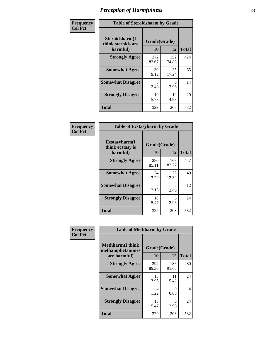| Frequency      | <b>Table of Steroidsharm by Grade</b>            |                    |              |              |
|----------------|--------------------------------------------------|--------------------|--------------|--------------|
| <b>Col Pct</b> | Steroidsharm(I<br>think steroids are<br>harmful) | Grade(Grade)<br>10 | 12           | <b>Total</b> |
|                | <b>Strongly Agree</b>                            | 272<br>82.67       | 152<br>74.88 | 424          |
|                | <b>Somewhat Agree</b>                            | 30<br>9.12         | 35<br>17.24  | 65           |
|                | <b>Somewhat Disagree</b>                         | 8<br>2.43          | 6<br>2.96    | 14           |
|                | <b>Strongly Disagree</b>                         | 19<br>5.78         | 10<br>4.93   | 29           |
|                | <b>Total</b>                                     | 329                | 203          | 532          |

| <b>Table of Ecstasyharm by Grade</b>                |                    |              |     |  |  |
|-----------------------------------------------------|--------------------|--------------|-----|--|--|
| $E$ cstasyharm $(I$<br>think ecstasy is<br>harmful) | Grade(Grade)<br>10 | <b>Total</b> |     |  |  |
| <b>Strongly Agree</b>                               | 280<br>85.11       | 167<br>82.27 | 447 |  |  |
| <b>Somewhat Agree</b>                               | 24<br>7.29         | 25<br>12.32  | 49  |  |  |
| <b>Somewhat Disagree</b>                            | 7<br>2.13          | 5<br>2.46    | 12  |  |  |
| <b>Strongly Disagree</b>                            | 18<br>5.47         | 6<br>2.96    | 24  |  |  |
| Total                                               | 329                | 203          | 532 |  |  |

| Frequency      | <b>Table of Methharm by Grade</b>                            |                    |              |              |  |
|----------------|--------------------------------------------------------------|--------------------|--------------|--------------|--|
| <b>Col Pct</b> | <b>Methharm</b> (I think<br>methamphetamines<br>are harmful) | Grade(Grade)<br>10 | 12           | <b>Total</b> |  |
|                | <b>Strongly Agree</b>                                        | 294<br>89.36       | 186<br>91.63 | 480          |  |
|                | <b>Somewhat Agree</b>                                        | 13<br>3.95         | 11<br>5.42   | 24           |  |
|                | <b>Somewhat Disagree</b>                                     | 4<br>1.22          | 0<br>0.00    | 4            |  |
|                | <b>Strongly Disagree</b>                                     | 18<br>5.47         | 6<br>2.96    | 24           |  |
|                | <b>Total</b>                                                 | 329                | 203          | 532          |  |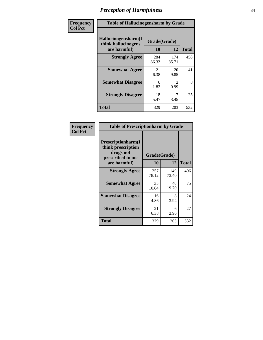| Frequency      | <b>Table of Hallucinogensharm by Grade</b>                 |                    |                       |              |
|----------------|------------------------------------------------------------|--------------------|-----------------------|--------------|
| <b>Col Pct</b> | Hallucinogensharm(I<br>think hallucinogens<br>are harmful) | Grade(Grade)<br>10 | 12                    | <b>Total</b> |
|                | <b>Strongly Agree</b>                                      | 284<br>86.32       | 174<br>85.71          | 458          |
|                | <b>Somewhat Agree</b>                                      | 21<br>6.38         | 20<br>9.85            | 41           |
|                | <b>Somewhat Disagree</b>                                   | 6<br>1.82          | $\mathcal{L}$<br>0.99 | 8            |
|                | <b>Strongly Disagree</b>                                   | 18<br>5.47         | 7<br>3.45             | 25           |
|                | <b>Total</b>                                               | 329                | 203                   | 532          |

| <b>Table of Prescriptionharm by Grade</b>                                         |              |              |              |  |
|-----------------------------------------------------------------------------------|--------------|--------------|--------------|--|
| <b>Prescriptionharm</b> (I<br>think prescription<br>drugs not<br>prescribed to me | Grade(Grade) |              |              |  |
| are harmful)                                                                      | 10           | 12           | <b>Total</b> |  |
| <b>Strongly Agree</b>                                                             | 257<br>78.12 | 149<br>73.40 | 406          |  |
| <b>Somewhat Agree</b>                                                             | 35<br>10.64  | 40<br>19.70  | 75           |  |
| <b>Somewhat Disagree</b>                                                          | 16<br>4.86   | 8<br>3.94    | 24           |  |
| <b>Strongly Disagree</b>                                                          | 21<br>6.38   | 6<br>2.96    | 27           |  |
| <b>Total</b>                                                                      | 329          | 203          | 532          |  |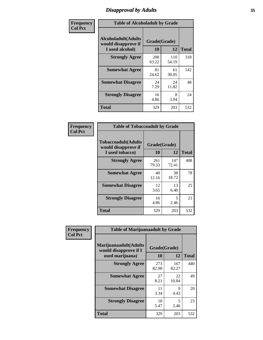# *Disapproval by Adults* **35**

| Frequency<br><b>Col Pct</b> | <b>Table of Alcoholadult by Grade</b>                                 |                    |              |              |  |
|-----------------------------|-----------------------------------------------------------------------|--------------------|--------------|--------------|--|
|                             | <b>Alcoholadult</b> (Adults<br>would disapprove if<br>I used alcohol) | Grade(Grade)<br>10 | 12           | <b>Total</b> |  |
|                             | <b>Strongly Agree</b>                                                 | 208<br>63.22       | 110<br>54.19 | 318          |  |
|                             | <b>Somewhat Agree</b>                                                 | 81<br>24.62        | 61<br>30.05  | 142          |  |
|                             | <b>Somewhat Disagree</b>                                              | 24<br>7.29         | 24<br>11.82  | 48           |  |
|                             | <b>Strongly Disagree</b>                                              | 16<br>4.86         | 8<br>3.94    | 24           |  |
|                             | <b>Total</b>                                                          | 329                | 203          | 532          |  |

| <b>Table of Tobaccoadult by Grade</b>                                 |                    |              |              |  |  |
|-----------------------------------------------------------------------|--------------------|--------------|--------------|--|--|
| <b>Tobaccoadult</b> (Adults<br>would disapprove if<br>I used tobacco) | Grade(Grade)<br>10 | 12           | <b>Total</b> |  |  |
| <b>Strongly Agree</b>                                                 | 261<br>79.33       | 147<br>72.41 | 408          |  |  |
| <b>Somewhat Agree</b>                                                 | 40<br>12.16        | 38<br>18.72  | 78           |  |  |
| <b>Somewhat Disagree</b>                                              | 12<br>3.65         | 13<br>6.40   | 25           |  |  |
| <b>Strongly Disagree</b>                                              | 16<br>4.86         | 5<br>2.46    | 21           |  |  |
| Total                                                                 | 329                | 203          | 532          |  |  |

| Frequency      | <b>Table of Marijuanaadult by Grade</b>                           |                    |              |              |  |
|----------------|-------------------------------------------------------------------|--------------------|--------------|--------------|--|
| <b>Col Pct</b> | Marijuanaadult(Adults<br>would disapprove if I<br>used marijuana) | Grade(Grade)<br>10 | 12           | <b>Total</b> |  |
|                | <b>Strongly Agree</b>                                             | 273<br>82.98       | 167<br>82.27 | 440          |  |
|                | <b>Somewhat Agree</b>                                             | 27<br>8.21         | 22<br>10.84  | 49           |  |
|                | <b>Somewhat Disagree</b>                                          | 11<br>3.34         | 9<br>4.43    | 20           |  |
|                | <b>Strongly Disagree</b>                                          | 18<br>5.47         | 5<br>2.46    | 23           |  |
|                | <b>Total</b>                                                      | 329                | 203          | 532          |  |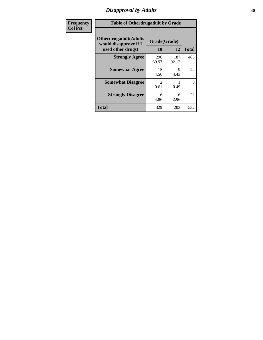# *Disapproval by Adults* **36**

| <b>Frequency</b> | <b>Table of Otherdrugadult by Grade</b>                                     |                                     |              |              |
|------------------|-----------------------------------------------------------------------------|-------------------------------------|--------------|--------------|
| <b>Col Pct</b>   | <b>Otherdrugadult</b> (Adults<br>would disapprove if I<br>used other drugs) | Grade(Grade)<br>10                  | 12           | <b>Total</b> |
|                  | <b>Strongly Agree</b>                                                       | 296<br>89.97                        | 187<br>92.12 | 483          |
|                  | <b>Somewhat Agree</b>                                                       | 15<br>4.56                          | 9<br>4.43    | 24           |
|                  | <b>Somewhat Disagree</b>                                                    | $\mathcal{D}_{\mathcal{L}}$<br>0.61 | 0.49         | 3            |
|                  | <b>Strongly Disagree</b>                                                    | 16<br>4.86                          | 6<br>2.96    | 22           |
|                  | <b>Total</b>                                                                | 329                                 | 203          | 532          |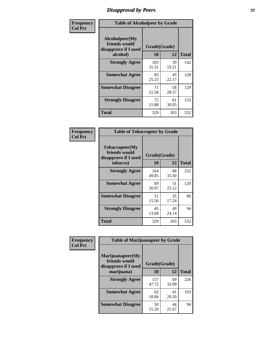# *Disapproval by Peers* **37**

| Frequency      | <b>Table of Alcoholpeer by Grade</b>                    |              |             |              |  |
|----------------|---------------------------------------------------------|--------------|-------------|--------------|--|
| <b>Col Pct</b> | Alcoholpeer(My<br>friends would<br>disapprove if I used | Grade(Grade) |             |              |  |
|                | alcohol)                                                | 10           | 12          | <b>Total</b> |  |
|                | <b>Strongly Agree</b>                                   | 103<br>31.31 | 39<br>19.21 | 142          |  |
|                | <b>Somewhat Agree</b>                                   | 83<br>25.23  | 45<br>22.17 | 128          |  |
|                | <b>Somewhat Disagree</b>                                | 71<br>21.58  | 58<br>28.57 | 129          |  |
|                | <b>Strongly Disagree</b>                                | 72<br>21.88  | 61<br>30.05 | 133          |  |
|                | Total                                                   | 329          | 203         | 532          |  |

| Frequency      | <b>Table of Tobaccopeer by Grade</b>                                |                           |             |              |
|----------------|---------------------------------------------------------------------|---------------------------|-------------|--------------|
| <b>Col Pct</b> | Tobaccopeer(My<br>friends would<br>disapprove if I used<br>tobacco) | Grade(Grade)<br><b>10</b> | 12          | <b>Total</b> |
|                | <b>Strongly Agree</b>                                               | 164<br>49.85              | 68<br>33.50 | 232          |
|                | <b>Somewhat Agree</b>                                               | 69<br>20.97               | 51<br>25.12 | 120          |
|                | <b>Somewhat Disagree</b>                                            | 51<br>15.50               | 35<br>17.24 | 86           |
|                | <b>Strongly Disagree</b>                                            | 45<br>13.68               | 49<br>24.14 | 94           |
|                | Total                                                               | 329                       | 203         | 532          |

| Frequency      | <b>Table of Marijuanapeer by Grade</b>                    |              |             |              |
|----------------|-----------------------------------------------------------|--------------|-------------|--------------|
| <b>Col Pct</b> | Marijuanapeer(My<br>friends would<br>disapprove if I used | Grade(Grade) |             |              |
|                | marijuana)                                                | 10           | 12          | <b>Total</b> |
|                | <b>Strongly Agree</b>                                     | 157<br>47.72 | 69<br>33.99 | 226          |
|                | <b>Somewhat Agree</b>                                     | 62<br>18.84  | 41<br>20.20 | 103          |
|                | <b>Somewhat Disagree</b>                                  | 50<br>15.20  | 44<br>21.67 | 94           |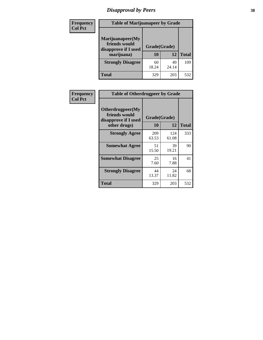# *Disapproval by Peers* **38**

| Frequency<br><b>Col Pct</b> | <b>Table of Marijuanapeer by Grade</b>                                  |                    |             |              |
|-----------------------------|-------------------------------------------------------------------------|--------------------|-------------|--------------|
|                             | Marijuanapeer(My<br>friends would<br>disapprove if I used<br>marijuana) | Grade(Grade)<br>10 | 12          | <b>Total</b> |
|                             | <b>Strongly Disagree</b>                                                | 60<br>18.24        | 49<br>24.14 | 109          |
|                             | Total                                                                   | 329                | 203         | 532          |

| Frequency      | <b>Table of Otherdrugpeer by Grade</b>                                    |                    |              |              |
|----------------|---------------------------------------------------------------------------|--------------------|--------------|--------------|
| <b>Col Pct</b> | Otherdrugpeer(My<br>friends would<br>disapprove if I used<br>other drugs) | Grade(Grade)<br>10 | 12           | <b>Total</b> |
|                | <b>Strongly Agree</b>                                                     | 209<br>63.53       | 124<br>61.08 | 333          |
|                | <b>Somewhat Agree</b>                                                     | 51<br>15.50        | 39<br>19.21  | 90           |
|                | <b>Somewhat Disagree</b>                                                  | 25<br>7.60         | 16<br>7.88   | 41           |
|                | <b>Strongly Disagree</b>                                                  | 44<br>13.37        | 24<br>11.82  | 68           |
|                | <b>Total</b>                                                              | 329                | 203          | 532          |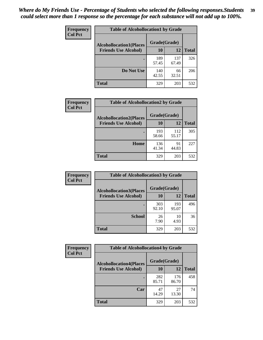| Frequency      | <b>Table of Alcohollocation1 by Grade</b> |              |              |              |
|----------------|-------------------------------------------|--------------|--------------|--------------|
| <b>Col Pct</b> | <b>Alcohollocation1(Places</b>            | Grade(Grade) |              |              |
|                | <b>Friends Use Alcohol)</b>               | 10           | 12           | <b>Total</b> |
|                |                                           | 189<br>57.45 | 137<br>67.49 | 326          |
|                | Do Not Use                                | 140<br>42.55 | 66<br>32.51  | 206          |
|                | <b>Total</b>                              | 329          | 203          | 532          |

| <b>Frequency</b> | <b>Table of Alcohollocation2 by Grade</b>                     |                           |              |              |
|------------------|---------------------------------------------------------------|---------------------------|--------------|--------------|
| <b>Col Pct</b>   | <b>Alcohollocation2(Places</b><br><b>Friends Use Alcohol)</b> | Grade(Grade)<br><b>10</b> | 12           | <b>Total</b> |
|                  |                                                               | 193<br>58.66              | 112<br>55.17 | 305          |
|                  | Home                                                          | 136<br>41.34              | 91<br>44.83  | 227          |
|                  | <b>Total</b>                                                  | 329                       | 203          | 532          |

| Frequency<br><b>Col Pct</b> | <b>Table of Alcohollocation 3 by Grade</b>                    |              |              |              |
|-----------------------------|---------------------------------------------------------------|--------------|--------------|--------------|
|                             | <b>Alcohollocation3(Places</b><br><b>Friends Use Alcohol)</b> | Grade(Grade) |              |              |
|                             |                                                               | 10           | 12           | <b>Total</b> |
|                             |                                                               | 303<br>92.10 | 193<br>95.07 | 496          |
|                             | <b>School</b>                                                 | 26<br>7.90   | 10<br>4.93   | 36           |
|                             | <b>Total</b>                                                  | 329          | 203          | 532          |

| <b>Frequency</b> | <b>Table of Alcohollocation4 by Grade</b> |              |              |              |  |
|------------------|-------------------------------------------|--------------|--------------|--------------|--|
| <b>Col Pct</b>   | <b>Alcohollocation4(Places</b>            | Grade(Grade) |              |              |  |
|                  | <b>Friends Use Alcohol)</b>               | 10           | 12           | <b>Total</b> |  |
|                  |                                           | 282<br>85.71 | 176<br>86.70 | 458          |  |
|                  | Car                                       | 47<br>14.29  | 27<br>13.30  | 74           |  |
|                  | <b>Total</b>                              | 329          | 203          | 532          |  |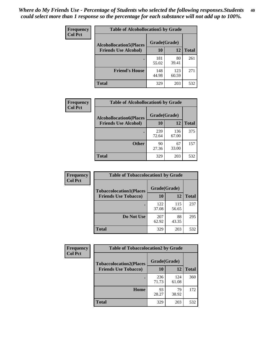| Frequency<br><b>Col Pct</b> | <b>Table of Alcohollocation5 by Grade</b>      |              |              |              |  |
|-----------------------------|------------------------------------------------|--------------|--------------|--------------|--|
|                             | Grade(Grade)<br><b>Alcohollocation5(Places</b> |              |              |              |  |
|                             | <b>Friends Use Alcohol)</b>                    | 10           | 12           | <b>Total</b> |  |
|                             |                                                | 181<br>55.02 | 80<br>39.41  | 261          |  |
|                             | <b>Friend's House</b>                          | 148<br>44.98 | 123<br>60.59 | 271          |  |
|                             | <b>Total</b>                                   | 329          | 203          | 532          |  |

| <b>Frequency</b> | <b>Table of Alcohollocation6 by Grade</b>                     |                           |              |              |
|------------------|---------------------------------------------------------------|---------------------------|--------------|--------------|
| <b>Col Pct</b>   | <b>Alcohollocation6(Places</b><br><b>Friends Use Alcohol)</b> | Grade(Grade)<br><b>10</b> | 12           | <b>Total</b> |
|                  |                                                               | 239<br>72.64              | 136<br>67.00 | 375          |
|                  | <b>Other</b>                                                  | 90<br>27.36               | 67<br>33.00  | 157          |
|                  | <b>Total</b>                                                  | 329                       | 203          | 532          |

| <b>Frequency</b> | <b>Table of Tobaccolocation1 by Grade</b> |              |              |              |
|------------------|-------------------------------------------|--------------|--------------|--------------|
| <b>Col Pct</b>   | <b>Tobaccolocation1(Places</b>            | Grade(Grade) |              |              |
|                  | <b>Friends Use Tobacco)</b>               | 10           | 12           | <b>Total</b> |
|                  |                                           | 122<br>37.08 | 115<br>56.65 | 237          |
|                  | Do Not Use                                | 207<br>62.92 | 88<br>43.35  | 295          |
|                  | <b>Total</b>                              | 329          | 203          | 532          |

| <b>Frequency</b> | <b>Table of Tobaccolocation2 by Grade</b> |              |              |              |
|------------------|-------------------------------------------|--------------|--------------|--------------|
| <b>Col Pct</b>   | <b>Tobaccolocation2(Places</b>            | Grade(Grade) |              |              |
|                  | <b>Friends Use Tobacco)</b>               | 10           | 12           | <b>Total</b> |
|                  |                                           | 236<br>71.73 | 124<br>61.08 | 360          |
|                  | Home                                      | 93<br>28.27  | 79<br>38.92  | 172          |
|                  | <b>Total</b>                              | 329          | 203          | 532          |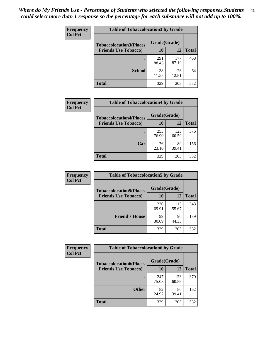| Frequency      | <b>Table of Tobaccolocation 3 by Grade</b> |              |              |              |
|----------------|--------------------------------------------|--------------|--------------|--------------|
| <b>Col Pct</b> | <b>Tobaccolocation3(Places</b>             | Grade(Grade) |              |              |
|                | <b>Friends Use Tobacco)</b>                | 10           | 12           | <b>Total</b> |
|                |                                            | 291<br>88.45 | 177<br>87.19 | 468          |
|                | <b>School</b>                              | 38<br>11.55  | 26<br>12.81  | 64           |
|                | <b>Total</b>                               | 329          | 203          | 532          |

| Frequency      | <b>Table of Tobaccolocation4 by Grade</b> |              |              |              |
|----------------|-------------------------------------------|--------------|--------------|--------------|
| <b>Col Pct</b> | <b>Tobaccolocation4(Places</b>            | Grade(Grade) |              |              |
|                | <b>Friends Use Tobacco)</b>               | 10           | 12           | <b>Total</b> |
|                |                                           | 253<br>76.90 | 123<br>60.59 | 376          |
|                | Car                                       | 76<br>23.10  | 80<br>39.41  | 156          |
|                | <b>Total</b>                              | 329          | 203          | 532          |

| Frequency      | <b>Table of Tobaccolocation5 by Grade</b> |              |              |              |
|----------------|-------------------------------------------|--------------|--------------|--------------|
| <b>Col Pct</b> | <b>Tobaccolocation5(Places</b>            | Grade(Grade) |              |              |
|                | <b>Friends Use Tobacco)</b>               | 10           | 12           | <b>Total</b> |
|                |                                           | 230<br>69.91 | 113<br>55.67 | 343          |
|                | <b>Friend's House</b>                     | 99<br>30.09  | 90<br>44.33  | 189          |
|                | <b>Total</b>                              | 329          | 203          | 532          |

| Frequency      | <b>Table of Tobaccolocation6 by Grade</b> |              |              |              |  |
|----------------|-------------------------------------------|--------------|--------------|--------------|--|
| <b>Col Pct</b> | <b>Tobaccolocation6(Places</b>            | Grade(Grade) |              |              |  |
|                | <b>Friends Use Tobacco)</b>               | 10           | 12           | <b>Total</b> |  |
|                |                                           | 247<br>75.08 | 123<br>60.59 | 370          |  |
|                | <b>Other</b>                              | 82<br>24.92  | 80<br>39.41  | 162          |  |
|                | <b>Total</b>                              | 329          | 203          | 532          |  |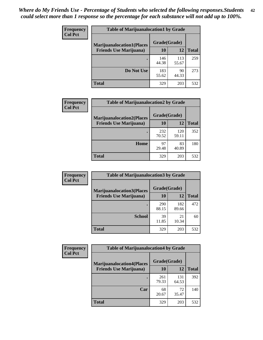| <b>Frequency</b> | <b>Table of Marijuanalocation1 by Grade</b> |              |              |              |
|------------------|---------------------------------------------|--------------|--------------|--------------|
| <b>Col Pct</b>   | <b>Marijuanalocation1(Places</b>            | Grade(Grade) |              |              |
|                  | <b>Friends Use Marijuana</b> )              | 10           | 12           | <b>Total</b> |
|                  |                                             | 146<br>44.38 | 113<br>55.67 | 259          |
|                  | Do Not Use                                  | 183<br>55.62 | 90<br>44.33  | 273          |
|                  | <b>Total</b>                                | 329          | 203          | 532          |

| <b>Frequency</b> | <b>Table of Marijuanalocation2 by Grade</b>                        |                    |              |              |
|------------------|--------------------------------------------------------------------|--------------------|--------------|--------------|
| <b>Col Pct</b>   | <b>Marijuanalocation2(Places</b><br><b>Friends Use Marijuana</b> ) | Grade(Grade)<br>10 | 12           | <b>Total</b> |
|                  |                                                                    |                    |              |              |
|                  |                                                                    | 232<br>70.52       | 120<br>59.11 | 352          |
|                  | Home                                                               | 97<br>29.48        | 83<br>40.89  | 180          |
|                  | <b>Total</b>                                                       | 329                | 203          | 532          |

| Frequency      | <b>Table of Marijuanalocation3 by Grade</b> |              |       |              |
|----------------|---------------------------------------------|--------------|-------|--------------|
| <b>Col Pct</b> | <b>Marijuanalocation3</b> (Places           | Grade(Grade) |       |              |
|                | <b>Friends Use Marijuana</b> )              | 10           | 12    | <b>Total</b> |
|                |                                             | 290          | 182   | 472          |
|                |                                             | 88.15        | 89.66 |              |
|                | <b>School</b>                               | 39           | 21    | 60           |
|                |                                             | 11.85        | 10.34 |              |
|                | <b>Total</b>                                | 329          | 203   | 532          |

| Frequency      | <b>Table of Marijuanalocation4 by Grade</b> |              |              |              |
|----------------|---------------------------------------------|--------------|--------------|--------------|
| <b>Col Pct</b> | <b>Marijuanalocation4(Places</b>            | Grade(Grade) |              |              |
|                | <b>Friends Use Marijuana</b> )              | <b>10</b>    | 12           | <b>Total</b> |
|                |                                             | 261<br>79.33 | 131<br>64.53 | 392          |
|                | Car                                         | 68<br>20.67  | 72<br>35.47  | 140          |
|                | <b>Total</b>                                | 329          | 203          | 532          |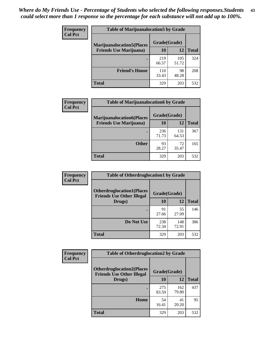| <b>Frequency</b> | <b>Table of Marijuanalocation5 by Grade</b> |              |              |              |
|------------------|---------------------------------------------|--------------|--------------|--------------|
| <b>Col Pct</b>   | <b>Marijuanalocation5</b> (Places           | Grade(Grade) |              |              |
|                  | <b>Friends Use Marijuana</b> )              | 10           | 12           | <b>Total</b> |
|                  |                                             | 219<br>66.57 | 105<br>51.72 | 324          |
|                  | <b>Friend's House</b>                       | 110<br>33.43 | 98<br>48.28  | 208          |
|                  | <b>Total</b>                                | 329          | 203          | 532          |

| <b>Frequency</b> | <b>Table of Marijuanalocation6 by Grade</b>                        |                    |              |              |
|------------------|--------------------------------------------------------------------|--------------------|--------------|--------------|
| <b>Col Pct</b>   | <b>Marijuanalocation6(Places</b><br><b>Friends Use Marijuana</b> ) | Grade(Grade)<br>10 | 12           | <b>Total</b> |
|                  |                                                                    | 236<br>71.73       | 131<br>64.53 | 367          |
|                  | <b>Other</b>                                                       | 93<br>28.27        | 72<br>35.47  | 165          |
|                  | <b>Total</b>                                                       | 329                | 203          | 532          |

| <b>Frequency</b> | <b>Table of Otherdruglocation1 by Grade</b>                          |              |              |              |
|------------------|----------------------------------------------------------------------|--------------|--------------|--------------|
| <b>Col Pct</b>   | <b>Otherdruglocation1(Places</b><br><b>Friends Use Other Illegal</b> | Grade(Grade) |              |              |
|                  | Drugs)                                                               | 10           | 12           | <b>Total</b> |
|                  |                                                                      | 91<br>27.66  | 55<br>27.09  | 146          |
|                  | Do Not Use                                                           | 238<br>72.34 | 148<br>72.91 | 386          |
|                  | <b>Total</b>                                                         | 329          | 203          | 532          |

| Frequency      | <b>Table of Otherdruglocation2 by Grade</b>                           |              |              |              |
|----------------|-----------------------------------------------------------------------|--------------|--------------|--------------|
| <b>Col Pct</b> | <b>Otherdruglocation2(Places)</b><br><b>Friends Use Other Illegal</b> | Grade(Grade) |              |              |
|                | Drugs)                                                                | 10           | 12           | <b>Total</b> |
|                |                                                                       | 275<br>83.59 | 162<br>79.80 | 437          |
|                | Home                                                                  | 54<br>16.41  | 41<br>20.20  | 95           |
|                | <b>Total</b>                                                          | 329          | 203          | 532          |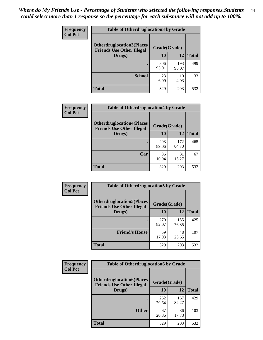| <b>Frequency</b> | <b>Table of Otherdruglocation3 by Grade</b>                           |              |              |              |
|------------------|-----------------------------------------------------------------------|--------------|--------------|--------------|
| <b>Col Pct</b>   | <b>Otherdruglocation3(Places)</b><br><b>Friends Use Other Illegal</b> | Grade(Grade) |              |              |
|                  | Drugs)                                                                | 10           | 12           | <b>Total</b> |
|                  |                                                                       | 306<br>93.01 | 193<br>95.07 | 499          |
|                  | <b>School</b>                                                         | 23<br>6.99   | 10<br>4.93   | 33           |
|                  | <b>Total</b>                                                          | 329          | 203          | 532          |

| Frequency      | <b>Table of Otherdruglocation4 by Grade</b>                          |              |              |              |
|----------------|----------------------------------------------------------------------|--------------|--------------|--------------|
| <b>Col Pct</b> | <b>Otherdruglocation4(Places</b><br><b>Friends Use Other Illegal</b> | Grade(Grade) |              |              |
|                | Drugs)                                                               | 10           | 12           | <b>Total</b> |
|                |                                                                      | 293<br>89.06 | 172<br>84.73 | 465          |
|                | Car                                                                  | 36<br>10.94  | 31<br>15.27  | 67           |
|                | <b>Total</b>                                                         | 329          | 203          | 532          |

| <b>Frequency</b> | <b>Table of Otherdruglocation5 by Grade</b>                          |              |              |              |
|------------------|----------------------------------------------------------------------|--------------|--------------|--------------|
| <b>Col Pct</b>   | <b>Otherdruglocation5(Places</b><br><b>Friends Use Other Illegal</b> | Grade(Grade) |              |              |
|                  | Drugs)                                                               | 10           | 12           | <b>Total</b> |
|                  |                                                                      | 270<br>82.07 | 155<br>76.35 | 425          |
|                  | <b>Friend's House</b>                                                | 59<br>17.93  | 48<br>23.65  | 107          |
|                  | <b>Total</b>                                                         | 329          | 203          | 532          |

| <b>Frequency</b> | <b>Table of Otherdruglocation6 by Grade</b>                          |              |              |              |
|------------------|----------------------------------------------------------------------|--------------|--------------|--------------|
| <b>Col Pct</b>   | <b>Otherdruglocation6(Places</b><br><b>Friends Use Other Illegal</b> | Grade(Grade) |              |              |
|                  | Drugs)                                                               | 10           | 12           | <b>Total</b> |
|                  |                                                                      | 262<br>79.64 | 167<br>82.27 | 429          |
|                  | <b>Other</b>                                                         | 67<br>20.36  | 36<br>17.73  | 103          |
|                  | <b>Total</b>                                                         | 329          | 203          | 532          |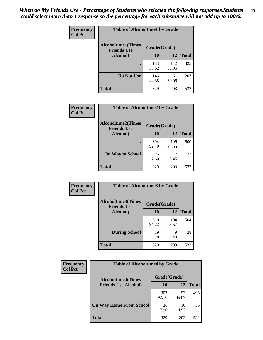| Frequency      | <b>Table of Alcoholtime1 by Grade</b>           |              |              |              |
|----------------|-------------------------------------------------|--------------|--------------|--------------|
| <b>Col Pct</b> | <b>Alcoholtime1(Times</b><br><b>Friends Use</b> | Grade(Grade) |              |              |
|                | Alcohol)                                        | 10           | <b>12</b>    | <b>Total</b> |
|                |                                                 | 183<br>55.62 | 142<br>69.95 | 325          |
|                | Do Not Use                                      | 146<br>44.38 | 61<br>30.05  | 207          |
|                | <b>Total</b>                                    | 329          | 203          | 532          |

| Frequency      | <b>Table of Alcoholtime2 by Grade</b>           |              |              |              |
|----------------|-------------------------------------------------|--------------|--------------|--------------|
| <b>Col Pct</b> | <b>Alcoholtime2(Times</b><br><b>Friends Use</b> | Grade(Grade) |              |              |
|                | Alcohol)                                        | 10           | 12           | <b>Total</b> |
|                |                                                 | 304<br>92.40 | 196<br>96.55 | 500          |
|                | <b>On Way to School</b>                         | 25<br>7.60   | 7<br>3.45    | 32           |
|                | <b>Total</b>                                    | 329          | 203          | 532          |

| Frequency<br><b>Col Pct</b> | <b>Table of Alcoholtime3 by Grade</b>                           |              |              |              |
|-----------------------------|-----------------------------------------------------------------|--------------|--------------|--------------|
|                             | <b>Alcoholtime3(Times</b><br>Grade(Grade)<br><b>Friends Use</b> |              |              |              |
|                             | Alcohol)                                                        | 10           | 12           | <b>Total</b> |
|                             |                                                                 | 310<br>94.22 | 194<br>95.57 | 504          |
|                             | <b>During School</b>                                            | 19<br>5.78   | 9<br>4.43    | 28           |
|                             | <b>Total</b>                                                    | 329          | 203          | 532          |

| <b>Frequency</b><br><b>Col Pct</b> | <b>Table of Alcoholtime4 by Grade</b> |              |              |              |  |
|------------------------------------|---------------------------------------|--------------|--------------|--------------|--|
|                                    | <b>Alcoholtime4(Times</b>             | Grade(Grade) |              |              |  |
|                                    | <b>Friends Use Alcohol)</b>           | <b>10</b>    | 12           | <b>Total</b> |  |
|                                    |                                       | 303<br>92.10 | 193<br>95.07 | 496          |  |
|                                    | <b>On Way Home From School</b>        | 26<br>7.90   | 10<br>4.93   | 36           |  |
|                                    | <b>Total</b>                          | 329          | 203          | 532          |  |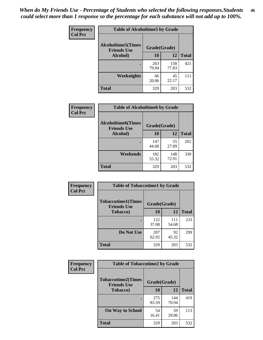*When do My Friends Use - Percentage of Students who selected the following responses.Students could select more than 1 response so the percentage for each substance will not add up to 100%.* **46**

| Frequency      | <b>Table of Alcoholtime5 by Grade</b>           |              |              |              |
|----------------|-------------------------------------------------|--------------|--------------|--------------|
| <b>Col Pct</b> | <b>Alcoholtime5(Times</b><br><b>Friends Use</b> | Grade(Grade) |              |              |
|                | Alcohol)                                        | 10           | 12           | <b>Total</b> |
|                |                                                 | 263<br>79.94 | 158<br>77.83 | 421          |
|                | Weeknights                                      | 66<br>20.06  | 45<br>22.17  | 111          |
|                | <b>Total</b>                                    | 329          | 203          | 532          |

| Frequency      | <b>Table of Alcoholtime6 by Grade</b>           |              |              |              |
|----------------|-------------------------------------------------|--------------|--------------|--------------|
| <b>Col Pct</b> | <b>Alcoholtime6(Times</b><br><b>Friends Use</b> | Grade(Grade) |              |              |
|                | Alcohol)                                        | 10           | 12           | <b>Total</b> |
|                |                                                 | 147<br>44.68 | 55<br>27.09  | 202          |
|                | Weekends                                        | 182<br>55.32 | 148<br>72.91 | 330          |
|                | <b>Total</b>                                    | 329          | 203          | 532          |

| Frequency<br><b>Col Pct</b> | <b>Table of Tobaccotime1 by Grade</b>           |              |              |              |
|-----------------------------|-------------------------------------------------|--------------|--------------|--------------|
|                             | <b>Tobaccotime1(Times</b><br><b>Friends Use</b> | Grade(Grade) |              |              |
|                             | <b>Tobacco</b> )                                | 10           | 12           | <b>Total</b> |
|                             |                                                 | 122<br>37.08 | 111<br>54.68 | 233          |
|                             | Do Not Use                                      | 207<br>62.92 | 92<br>45.32  | 299          |
|                             | <b>Total</b>                                    | 329          | 203          | 532          |

| <b>Frequency</b> | <b>Table of Tobaccotime2 by Grade</b>           |              |              |              |
|------------------|-------------------------------------------------|--------------|--------------|--------------|
| <b>Col Pct</b>   | <b>Tobaccotime2(Times</b><br><b>Friends Use</b> | Grade(Grade) |              |              |
|                  | <b>Tobacco</b> )                                | 10           | <b>12</b>    | <b>Total</b> |
|                  |                                                 | 275<br>83.59 | 144<br>70.94 | 419          |
|                  | <b>On Way to School</b>                         | 54<br>16.41  | 59<br>29.06  | 113          |
|                  | <b>Total</b>                                    | 329          | 203          | 532          |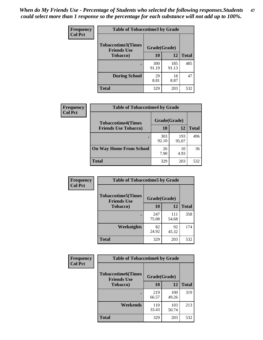*When do My Friends Use - Percentage of Students who selected the following responses.Students could select more than 1 response so the percentage for each substance will not add up to 100%.* **47**

| <b>Frequency</b> | <b>Table of Tobaccotime3 by Grade</b>           |              |              |              |  |
|------------------|-------------------------------------------------|--------------|--------------|--------------|--|
| <b>Col Pct</b>   | <b>Tobaccotime3(Times</b><br><b>Friends Use</b> |              | Grade(Grade) |              |  |
|                  | <b>Tobacco</b> )                                | 10           | 12           | <b>Total</b> |  |
|                  |                                                 | 300<br>91.19 | 185<br>91.13 | 485          |  |
|                  | <b>During School</b>                            | 29<br>8.81   | 18<br>8.87   | 47           |  |
|                  | <b>Total</b>                                    | 329          | 203          | 532          |  |

| <b>Frequency</b> | <b>Table of Tobaccotime4 by Grade</b> |              |              |              |
|------------------|---------------------------------------|--------------|--------------|--------------|
| <b>Col Pct</b>   | <b>Tobaccotime4(Times</b>             | Grade(Grade) |              |              |
|                  | <b>Friends Use Tobacco)</b>           | 10           | 12           | <b>Total</b> |
|                  |                                       | 303<br>92.10 | 193<br>95.07 | 496          |
|                  | <b>On Way Home From School</b>        | 26<br>7.90   | 10<br>4.93   | 36           |
|                  | Total                                 | 329          | 203          | 532          |

| Frequency      | <b>Table of Tobaccotime5 by Grade</b>                           |              |              |              |
|----------------|-----------------------------------------------------------------|--------------|--------------|--------------|
| <b>Col Pct</b> | <b>Tobaccotime5(Times</b><br>Grade(Grade)<br><b>Friends Use</b> |              |              |              |
|                | <b>Tobacco</b> )                                                | 10           | <b>12</b>    | <b>Total</b> |
|                |                                                                 | 247<br>75.08 | 111<br>54.68 | 358          |
|                | Weeknights                                                      | 82<br>24.92  | 92<br>45.32  | 174          |
|                | <b>Total</b>                                                    | 329          | 203          | 532          |

| <b>Frequency</b> | <b>Table of Tobaccotime6 by Grade</b>           |              |              |              |
|------------------|-------------------------------------------------|--------------|--------------|--------------|
| <b>Col Pct</b>   | <b>Tobaccotime6(Times</b><br><b>Friends Use</b> | Grade(Grade) |              |              |
|                  | <b>Tobacco</b> )                                | 10           | 12           | <b>Total</b> |
|                  |                                                 | 219<br>66.57 | 100<br>49.26 | 319          |
|                  | <b>Weekends</b>                                 | 110<br>33.43 | 103<br>50.74 | 213          |
|                  | Total                                           | 329          | 203          | 532          |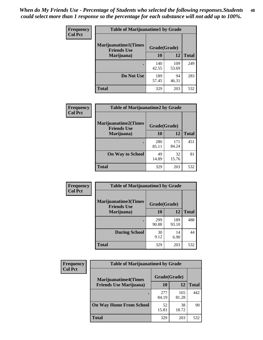| Frequency      | <b>Table of Marijuanatime1 by Grade</b>           |              |              |              |  |
|----------------|---------------------------------------------------|--------------|--------------|--------------|--|
| <b>Col Pct</b> | <b>Marijuanatime1(Times</b><br><b>Friends Use</b> | Grade(Grade) |              |              |  |
|                | Marijuana)                                        | 10           | 12           | <b>Total</b> |  |
|                |                                                   | 140<br>42.55 | 109<br>53.69 | 249          |  |
|                | Do Not Use                                        | 189<br>57.45 | 94<br>46.31  | 283          |  |
|                | <b>Total</b>                                      | 329          | 203          | 532          |  |

| <b>Frequency</b> | <b>Table of Marijuanatime2 by Grade</b>           |              |              |              |
|------------------|---------------------------------------------------|--------------|--------------|--------------|
| <b>Col Pct</b>   | <b>Marijuanatime2(Times</b><br><b>Friends Use</b> | Grade(Grade) |              |              |
|                  | Marijuana)                                        | 10           | 12           | <b>Total</b> |
|                  |                                                   | 280<br>85.11 | 171<br>84.24 | 451          |
|                  | <b>On Way to School</b>                           | 49<br>14.89  | 32<br>15.76  | 81           |
|                  | <b>Total</b>                                      | 329          | 203          | 532          |

| Frequency      | <b>Table of Marijuanatime3 by Grade</b>    |              |              |              |  |
|----------------|--------------------------------------------|--------------|--------------|--------------|--|
| <b>Col Pct</b> | Marijuanatime3(Times<br><b>Friends Use</b> | Grade(Grade) |              |              |  |
|                | Marijuana)                                 | 10           | 12           | <b>Total</b> |  |
|                |                                            | 299<br>90.88 | 189<br>93.10 | 488          |  |
|                | <b>During School</b>                       | 30<br>9.12   | 14<br>6.90   | 44           |  |
|                | <b>Total</b>                               | 329          | 203          | 532          |  |

| <b>Frequency</b><br><b>Col Pct</b> | <b>Table of Marijuanatime4 by Grade</b> |              |              |              |
|------------------------------------|-----------------------------------------|--------------|--------------|--------------|
|                                    | <b>Marijuanatime4(Times</b>             | Grade(Grade) |              |              |
|                                    | <b>Friends Use Marijuana</b> )          | 10           | 12           | <b>Total</b> |
|                                    |                                         | 277<br>84.19 | 165<br>81.28 | 442          |
|                                    | <b>On Way Home From School</b>          | 52<br>15.81  | 38<br>18.72  | 90           |
|                                    | <b>Total</b>                            | 329          | 203          | 532          |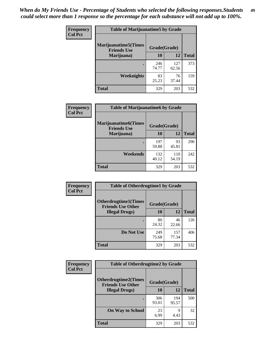| Frequency      | <b>Table of Marijuanatime5 by Grade</b>            |              |              |              |
|----------------|----------------------------------------------------|--------------|--------------|--------------|
| <b>Col Pct</b> | <b>Marijuanatime5</b> (Times<br><b>Friends Use</b> | Grade(Grade) |              |              |
|                | Marijuana)                                         | 10           | 12           | <b>Total</b> |
|                |                                                    | 246<br>74.77 | 127<br>62.56 | 373          |
|                | Weeknights                                         | 83<br>25.23  | 76<br>37.44  | 159          |
|                | <b>Total</b>                                       | 329          | 203          | 532          |

| Frequency      | <b>Table of Marijuanatime6 by Grade</b>            |              |              |              |
|----------------|----------------------------------------------------|--------------|--------------|--------------|
| <b>Col Pct</b> | <b>Marijuanatime6</b> (Times<br><b>Friends Use</b> | Grade(Grade) |              |              |
|                | Marijuana)                                         | 10           | 12           | <b>Total</b> |
|                |                                                    | 197<br>59.88 | 93<br>45.81  | 290          |
|                | Weekends                                           | 132<br>40.12 | 110<br>54.19 | 242          |
|                | <b>Total</b>                                       | 329          | 203          | 532          |

| <b>Frequency</b> | <b>Table of Otherdrugtime1 by Grade</b>                  |              |              |              |  |
|------------------|----------------------------------------------------------|--------------|--------------|--------------|--|
| <b>Col Pct</b>   | <b>Otherdrugtime1</b> (Times<br><b>Friends Use Other</b> | Grade(Grade) |              |              |  |
|                  | <b>Illegal Drugs</b> )                                   | 10           | 12           | <b>Total</b> |  |
|                  |                                                          | 80<br>24.32  | 46<br>22.66  | 126          |  |
|                  | Do Not Use                                               | 249<br>75.68 | 157<br>77.34 | 406          |  |
|                  | <b>Total</b>                                             | 329          | 203          | 532          |  |

| Frequency      | <b>Table of Otherdrugtime2 by Grade</b>                 |              |              |              |  |  |  |
|----------------|---------------------------------------------------------|--------------|--------------|--------------|--|--|--|
| <b>Col Pct</b> | <b>Otherdrugtime2(Times</b><br><b>Friends Use Other</b> | Grade(Grade) |              |              |  |  |  |
|                | <b>Illegal Drugs</b> )                                  | 10           | 12           | <b>Total</b> |  |  |  |
|                |                                                         | 306<br>93.01 | 194<br>95.57 | 500          |  |  |  |
|                | <b>On Way to School</b>                                 | 23<br>6.99   | 9<br>4.43    | 32           |  |  |  |
|                | Total                                                   | 329          | 203          | 532          |  |  |  |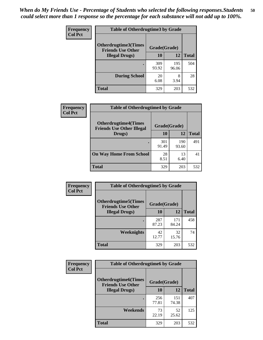| <b>Frequency</b> | <b>Table of Otherdrugtime3 by Grade</b>                 |              |              |              |  |  |
|------------------|---------------------------------------------------------|--------------|--------------|--------------|--|--|
| <b>Col Pct</b>   | <b>Otherdrugtime3(Times</b><br><b>Friends Use Other</b> | Grade(Grade) |              |              |  |  |
|                  | <b>Illegal Drugs</b> )                                  | 10           | 12           | <b>Total</b> |  |  |
|                  |                                                         | 309<br>93.92 | 195<br>96.06 | 504          |  |  |
|                  | <b>During School</b>                                    | 20<br>6.08   | 8<br>3.94    | 28           |  |  |
|                  | Total                                                   | 329          | 203          | 532          |  |  |

| <b>Frequency</b> | <b>Table of Otherdrugtime4 by Grade</b>                         |              |              |              |  |  |
|------------------|-----------------------------------------------------------------|--------------|--------------|--------------|--|--|
| <b>Col Pct</b>   | <b>Otherdrugtime4(Times</b><br><b>Friends Use Other Illegal</b> | Grade(Grade) |              |              |  |  |
|                  | Drugs)                                                          | 10           | 12           | <b>Total</b> |  |  |
|                  |                                                                 | 301<br>91.49 | 190<br>93.60 | 491          |  |  |
|                  | <b>On Way Home From School</b>                                  | 28<br>8.51   | 13<br>6.40   | 41           |  |  |
|                  | <b>Total</b>                                                    | 329          | 203          | 532          |  |  |

| <b>Frequency</b> | <b>Table of Otherdrugtime5 by Grade</b>                  |              |              |              |  |  |
|------------------|----------------------------------------------------------|--------------|--------------|--------------|--|--|
| <b>Col Pct</b>   | <b>Otherdrugtime5</b> (Times<br><b>Friends Use Other</b> | Grade(Grade) |              |              |  |  |
|                  | <b>Illegal Drugs</b> )                                   | 10           | 12           | <b>Total</b> |  |  |
|                  |                                                          | 287<br>87.23 | 171<br>84.24 | 458          |  |  |
|                  | <b>Weeknights</b>                                        | 42<br>12.77  | 32<br>15.76  | 74           |  |  |
|                  | Total                                                    | 329          | 203          | 532          |  |  |

| <b>Frequency</b><br><b>Col Pct</b> | <b>Table of Otherdrugtime6 by Grade</b>                                 |              |              |              |  |  |
|------------------------------------|-------------------------------------------------------------------------|--------------|--------------|--------------|--|--|
|                                    | <b>Otherdrugtime6(Times</b><br>Grade(Grade)<br><b>Friends Use Other</b> |              |              |              |  |  |
|                                    | <b>Illegal Drugs</b> )                                                  | 10           | 12           | <b>Total</b> |  |  |
|                                    |                                                                         | 256<br>77.81 | 151<br>74.38 | 407          |  |  |
|                                    | Weekends                                                                | 73<br>22.19  | 52<br>25.62  | 125          |  |  |
|                                    | <b>Total</b>                                                            | 329          | 203          | 532          |  |  |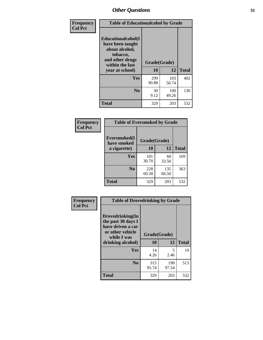| Frequency      | <b>Table of Educationalcohol by Grade</b>                                                                  |              |              |              |  |  |
|----------------|------------------------------------------------------------------------------------------------------------|--------------|--------------|--------------|--|--|
| <b>Col Pct</b> | Educationalcohol(I<br>have been taught<br>about alcohol,<br>tobacco,<br>and other drugs<br>within the last | Grade(Grade) |              |              |  |  |
|                | year at school)                                                                                            | 10           | 12           | <b>Total</b> |  |  |
|                | Yes                                                                                                        | 299<br>90.88 | 103<br>50.74 | 402          |  |  |
|                | N <sub>0</sub>                                                                                             | 30<br>9.12   | 100<br>49.26 | 130          |  |  |
|                | <b>Total</b>                                                                                               | 329          | 203          | 532          |  |  |

| Frequency      | <b>Table of Eversmoked by Grade</b> |              |              |              |  |  |  |
|----------------|-------------------------------------|--------------|--------------|--------------|--|--|--|
| <b>Col Pct</b> | Eversmoked(I<br>have smoked         | Grade(Grade) |              |              |  |  |  |
|                | a cigarette)                        | 10           | 12           | <b>Total</b> |  |  |  |
|                | Yes                                 | 101<br>30.70 | 68<br>33.50  | 169          |  |  |  |
|                | N <sub>0</sub>                      | 228<br>69.30 | 135<br>66.50 | 363          |  |  |  |
|                | <b>Total</b>                        | 329          | 203          | 532          |  |  |  |

| Frequency      | <b>Table of Drovedrinking by Grade</b>                                                                              |                    |              |              |  |  |  |
|----------------|---------------------------------------------------------------------------------------------------------------------|--------------------|--------------|--------------|--|--|--|
| <b>Col Pct</b> | Drovedrinking(In<br>the past 30 days I<br>have driven a car<br>or other vehicle<br>while I was<br>drinking alcohol) | Grade(Grade)<br>10 | 12           | <b>Total</b> |  |  |  |
|                | <b>Yes</b>                                                                                                          | 14<br>4.26         | 5<br>2.46    | 19           |  |  |  |
|                | N <sub>0</sub>                                                                                                      | 315<br>95.74       | 198<br>97.54 | 513          |  |  |  |
|                | <b>Total</b>                                                                                                        | 329                | 203          | 532          |  |  |  |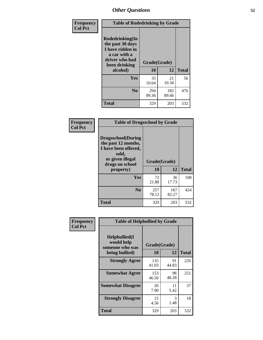| Frequency<br><b>Col Pct</b> | <b>Table of Rodedrinking by Grade</b>                                                                      |              |              |              |  |  |  |
|-----------------------------|------------------------------------------------------------------------------------------------------------|--------------|--------------|--------------|--|--|--|
|                             | Rodedrinking(In<br>the past 30 days<br>I have ridden in<br>a car with a<br>driver who had<br>been drinking |              | Grade(Grade) |              |  |  |  |
|                             | alcohol)                                                                                                   | 10           | 12           | <b>Total</b> |  |  |  |
|                             | <b>Yes</b>                                                                                                 | 35<br>10.64  | 21<br>10.34  | 56           |  |  |  |
|                             | N <sub>0</sub>                                                                                             | 294<br>89.36 | 182<br>89.66 | 476          |  |  |  |
|                             | <b>Total</b>                                                                                               | 329          | 203          | 532          |  |  |  |

#### **Frequency Col Pct**

| <b>Table of Drugsschool by Grade</b>                                                                                      |              |              |              |  |  |  |
|---------------------------------------------------------------------------------------------------------------------------|--------------|--------------|--------------|--|--|--|
| <b>Drugsschool</b> (During<br>the past 12 months,<br>I have been offered,<br>sold,<br>or given illegal<br>drugs on school | Grade(Grade) |              |              |  |  |  |
| property)                                                                                                                 | 10           | 12           | <b>Total</b> |  |  |  |
| Yes                                                                                                                       | 72<br>21.88  | 36<br>17.73  | 108          |  |  |  |
| N <sub>0</sub>                                                                                                            | 257<br>78.12 | 167<br>82.27 | 42.4         |  |  |  |
| <b>Total</b>                                                                                                              | 329          | 203          | 532          |  |  |  |

| Frequency      | <b>Table of Helpbullied by Grade</b>                 |              |             |              |  |  |  |
|----------------|------------------------------------------------------|--------------|-------------|--------------|--|--|--|
| <b>Col Pct</b> | $Helpb$ ullied $(I$<br>would help<br>someone who was | Grade(Grade) |             |              |  |  |  |
|                | being bullied)                                       | 10           | 12          | <b>Total</b> |  |  |  |
|                | <b>Strongly Agree</b>                                | 135<br>41.03 | 91<br>44.83 | 226          |  |  |  |
|                | <b>Somewhat Agree</b>                                | 153<br>46.50 | 98<br>48.28 | 251          |  |  |  |
|                | <b>Somewhat Disagree</b>                             | 26<br>7.90   | 11<br>5.42  | 37           |  |  |  |
|                | <b>Strongly Disagree</b>                             | 15<br>4.56   | 3<br>1.48   | 18           |  |  |  |
|                | <b>Total</b>                                         | 329          | 203         | 532          |  |  |  |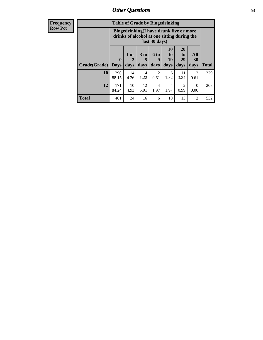| <b>Frequency</b><br><b>Row Pct</b> |                     | <b>Table of Grade by Bingedrinking</b><br>Bingedrinking(I have drunk five or more<br>drinks of alcohol at one sitting during the<br>last 30 days) |                                |                              |                   |                               |                               |                          |              |
|------------------------------------|---------------------|---------------------------------------------------------------------------------------------------------------------------------------------------|--------------------------------|------------------------------|-------------------|-------------------------------|-------------------------------|--------------------------|--------------|
|                                    | <b>Grade(Grade)</b> | $\mathbf{0}$<br><b>Days</b>                                                                                                                       | 1 or<br>$\overline{2}$<br>days | 3 <sub>to</sub><br>5<br>days | 6 to<br>9<br>days | <b>10</b><br>to<br>19<br>days | <b>20</b><br>to<br>29<br>days | All<br><b>30</b><br>days | <b>Total</b> |
|                                    | 10                  | 290<br>88.15                                                                                                                                      | 14<br>4.26                     | $\overline{4}$<br>1.22       | 2<br>0.61         | 6<br>1.82                     | 11<br>3.34                    | $\mathfrak{D}$<br>0.61   | 329          |
|                                    | 12                  | 171<br>84.24                                                                                                                                      | 10<br>4.93                     | 12<br>5.91                   | 4<br>1.97         | 4<br>1.97                     | $\mathcal{D}$<br>0.99         | $\Omega$<br>0.00         | 203          |
|                                    | <b>Total</b>        | 461                                                                                                                                               | 24                             | 16                           | 6                 | 10                            | 13                            | 2                        | 532          |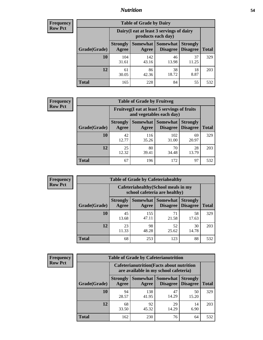#### *Nutrition* **54**

| <b>Frequency</b><br>Row Pct |
|-----------------------------|
|                             |

| <b>Table of Grade by Dairy</b> |                          |                                                                 |                                    |                                    |              |  |  |  |
|--------------------------------|--------------------------|-----------------------------------------------------------------|------------------------------------|------------------------------------|--------------|--|--|--|
|                                |                          | Dairy (I eat at least 3 servings of dairy<br>products each day) |                                    |                                    |              |  |  |  |
| Grade(Grade)                   | <b>Strongly</b><br>Agree | <b>Somewhat</b><br>Agree                                        | <b>Somewhat</b><br><b>Disagree</b> | <b>Strongly</b><br><b>Disagree</b> | <b>Total</b> |  |  |  |
| 10                             | 104<br>31.61             | 142<br>43.16                                                    | 46<br>13.98                        | 37<br>11.25                        | 329          |  |  |  |
| 12                             | 61<br>30.05              | 86<br>42.36                                                     | 38<br>18.72                        | 18<br>8.87                         | 203          |  |  |  |
| <b>Total</b>                   | 165                      | 228                                                             | 84                                 | 55                                 | 532          |  |  |  |

| <b>Frequency</b> |  |
|------------------|--|
| <b>Row Pct</b>   |  |

| <b>Table of Grade by Fruitveg</b> |                          |                                                                          |                               |                                    |              |  |  |  |
|-----------------------------------|--------------------------|--------------------------------------------------------------------------|-------------------------------|------------------------------------|--------------|--|--|--|
|                                   |                          | Fruitveg(I eat at least 5 servings of fruits<br>and vegetables each day) |                               |                                    |              |  |  |  |
| Grade(Grade)                      | <b>Strongly</b><br>Agree | Agree                                                                    | Somewhat Somewhat<br>Disagree | <b>Strongly</b><br><b>Disagree</b> | <b>Total</b> |  |  |  |
| 10                                | 42<br>12.77              | 116<br>35.26                                                             | 102<br>31.00                  | 69<br>20.97                        | 329          |  |  |  |
| 12                                | 25<br>12.32              | 80<br>39.41                                                              | 70<br>34.48                   | 28<br>13.79                        | 203          |  |  |  |
| <b>Total</b>                      | 67                       | 196                                                                      | 172                           | 97                                 | 532          |  |  |  |

| <b>Frequency</b> |
|------------------|
| <b>Row Pct</b>   |

| <b>Table of Grade by Cafeteriahealthy</b> |              |                          |                                                                       |                             |                                    |              |  |  |  |  |
|-------------------------------------------|--------------|--------------------------|-----------------------------------------------------------------------|-----------------------------|------------------------------------|--------------|--|--|--|--|
|                                           |              |                          | Cafeteriahealthy (School meals in my<br>school cafeteria are healthy) |                             |                                    |              |  |  |  |  |
|                                           | Grade(Grade) | <b>Strongly</b><br>Agree | Somewhat  <br>Agree                                                   | <b>Somewhat</b><br>Disagree | <b>Strongly</b><br><b>Disagree</b> | <b>Total</b> |  |  |  |  |
|                                           | 10           | 45<br>13.68              | 155<br>47.11                                                          | 71<br>21.58                 | 58<br>17.63                        | 329          |  |  |  |  |
|                                           | 12           | 23<br>11.33              | 98<br>48.28                                                           | 52<br>25.62                 | 30<br>14.78                        | 203          |  |  |  |  |
|                                           | <b>Total</b> | 68                       | 253                                                                   | 123                         | 88                                 | 532          |  |  |  |  |

**Frequency Row Pct**

| <b>Table of Grade by Cafeterianutrition</b> |              |                          |                                                                                           |                      |                                    |              |  |  |  |
|---------------------------------------------|--------------|--------------------------|-------------------------------------------------------------------------------------------|----------------------|------------------------------------|--------------|--|--|--|
|                                             |              |                          | <b>Cafeterianutrition</b> (Facts about nutrition<br>are available in my school cafeteria) |                      |                                    |              |  |  |  |
|                                             | Grade(Grade) | <b>Strongly</b><br>Agree | Somewhat  <br>Agree                                                                       | Somewhat<br>Disagree | <b>Strongly</b><br><b>Disagree</b> | <b>Total</b> |  |  |  |
|                                             | 10           | 94<br>28.57              | 138<br>41.95                                                                              | 47<br>14.29          | 50<br>15.20                        | 329          |  |  |  |
|                                             | 12           | 68<br>33.50              | 92<br>45.32                                                                               | 29<br>14.29          | 14<br>6.90                         | 203          |  |  |  |
|                                             | <b>Total</b> | 162                      | 230                                                                                       | 76                   | 64                                 | 532          |  |  |  |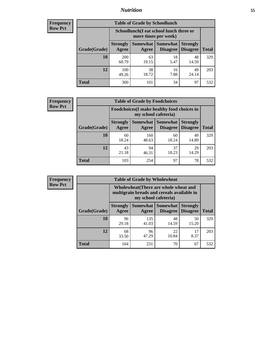### *Nutrition* **55**

| <b>Frequency</b> |
|------------------|
| <b>Row Pct</b>   |

| <b>Table of Grade by Schoollunch</b> |                                                                                                                                      |                                                                 |            |             |     |  |  |  |
|--------------------------------------|--------------------------------------------------------------------------------------------------------------------------------------|-----------------------------------------------------------------|------------|-------------|-----|--|--|--|
|                                      |                                                                                                                                      | Schoollunch(I eat school lunch three or<br>more times per week) |            |             |     |  |  |  |
| Grade(Grade)                         | Somewhat  <br><b>Somewhat</b><br><b>Strongly</b><br><b>Strongly</b><br><b>Disagree</b><br>Disagree<br>Agree<br><b>Total</b><br>Agree |                                                                 |            |             |     |  |  |  |
| 10                                   | 200<br>60.79                                                                                                                         | 63<br>19.15                                                     | 18<br>5.47 | 48<br>14.59 | 329 |  |  |  |
| 12                                   | 100<br>49.26                                                                                                                         | 38<br>18.72                                                     | 16<br>7.88 | 49<br>24.14 | 203 |  |  |  |
| <b>Total</b>                         | 300                                                                                                                                  | 101                                                             | 34         | 97          | 532 |  |  |  |

| <b>Frequency</b> |
|------------------|
| <b>Row Pct</b>   |

| <b>Table of Grade by Foodchoices</b>                                |                          |              |                                 |                                    |              |  |  |
|---------------------------------------------------------------------|--------------------------|--------------|---------------------------------|------------------------------------|--------------|--|--|
| Foodchoices (I make healthy food choices in<br>my school cafeteria) |                          |              |                                 |                                    |              |  |  |
| Grade(Grade)                                                        | <b>Strongly</b><br>Agree | Agree        | Somewhat   Somewhat<br>Disagree | <b>Strongly</b><br><b>Disagree</b> | <b>Total</b> |  |  |
| 10                                                                  | 60<br>18.24              | 160<br>48.63 | 60<br>18.24                     | 49<br>14.89                        | 329          |  |  |
| 12                                                                  | 43<br>21.18              | 94<br>46.31  | 37<br>18.23                     | 29<br>14.29                        | 203          |  |  |
| <b>Total</b>                                                        | 103                      | 254          | 97                              | 78                                 | 532          |  |  |

| <b>Frequency</b> | <b>Table of Grade by Wholewheat</b> |                                                                                                             |              |                                        |                                    |              |  |
|------------------|-------------------------------------|-------------------------------------------------------------------------------------------------------------|--------------|----------------------------------------|------------------------------------|--------------|--|
| <b>Row Pct</b>   |                                     | Wholewheat (There are whole wheat and<br>multigrain breads and cereals available in<br>my school cafeteria) |              |                                        |                                    |              |  |
|                  | Grade(Grade)                        | <b>Strongly</b><br>Agree                                                                                    | Agree        | Somewhat   Somewhat<br><b>Disagree</b> | <b>Strongly</b><br><b>Disagree</b> | <b>Total</b> |  |
|                  | 10                                  | 96<br>29.18                                                                                                 | 135<br>41.03 | 48<br>14.59                            | 50<br>15.20                        | 329          |  |
|                  | 12                                  | 68<br>33.50                                                                                                 | 96<br>47.29  | 22<br>10.84                            | 17<br>8.37                         | 203          |  |
|                  | <b>Total</b>                        | 164                                                                                                         | 231          | 70                                     | 67                                 | 532          |  |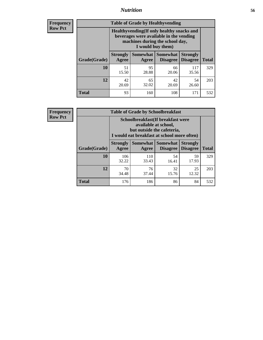### *Nutrition* **56**

**Frequency Row Pct**

| <b>Table of Grade by Healthyvending</b> |                                                                                                                                               |                          |                                    |                                    |              |  |
|-----------------------------------------|-----------------------------------------------------------------------------------------------------------------------------------------------|--------------------------|------------------------------------|------------------------------------|--------------|--|
|                                         | Healthyvending (If only healthy snacks and<br>beverages were available in the vending<br>machines during the school day,<br>I would buy them) |                          |                                    |                                    |              |  |
| Grade(Grade)                            | <b>Strongly</b><br>Agree                                                                                                                      | <b>Somewhat</b><br>Agree | <b>Somewhat</b><br><b>Disagree</b> | <b>Strongly</b><br><b>Disagree</b> | <b>Total</b> |  |
| 10                                      | 51<br>15.50                                                                                                                                   | 95<br>28.88              | 66<br>20.06                        | 117<br>35.56                       | 329          |  |
| 12                                      | 42<br>20.69                                                                                                                                   | 65<br>32.02              | 42<br>20.69                        | 54<br>26.60                        | 203          |  |
| <b>Total</b>                            | 93                                                                                                                                            | 160                      | 108                                | 171                                | 532          |  |

**Frequency Row Pct**

| <b>Table of Grade by Schoolbreakfast</b> |                                                                                                                                         |                     |                                    |                                    |              |  |
|------------------------------------------|-----------------------------------------------------------------------------------------------------------------------------------------|---------------------|------------------------------------|------------------------------------|--------------|--|
|                                          | Schoolbreakfast (If breakfast were<br>available at school,<br>but outside the cafeteria,<br>I would eat breakfast at school more often) |                     |                                    |                                    |              |  |
| Grade(Grade)                             | <b>Strongly</b><br>Agree                                                                                                                | Somewhat  <br>Agree | <b>Somewhat</b><br><b>Disagree</b> | <b>Strongly</b><br><b>Disagree</b> | <b>Total</b> |  |
| 10                                       | 106<br>32.22                                                                                                                            | 110<br>33.43        | 54<br>16.41                        | 59<br>17.93                        | 329          |  |
| 12                                       | 32<br>76<br>70<br>25<br>34.48<br>12.32<br>37.44<br>15.76                                                                                |                     |                                    |                                    |              |  |
| <b>Total</b>                             | 176                                                                                                                                     | 186                 | 86                                 | 84                                 | 532          |  |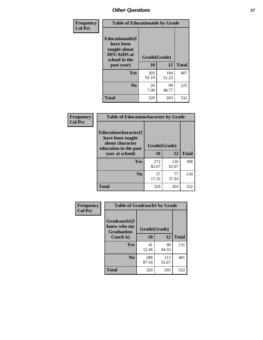| Frequency<br><b>Col Pct</b> | <b>Table of Educationaids by Grade</b>                                                                    |                    |             |              |
|-----------------------------|-----------------------------------------------------------------------------------------------------------|--------------------|-------------|--------------|
|                             | <b>Educationaids</b> (I<br>have been<br>taught about<br><b>HIV/AIDS</b> at<br>school in the<br>past year) | Grade(Grade)<br>10 | 12          | <b>Total</b> |
|                             | Yes                                                                                                       | 303                | 104         | 407          |
|                             |                                                                                                           | 92.10              | 51.23       |              |
|                             | N <sub>0</sub>                                                                                            | 26<br>7.90         | 99<br>48.77 | 125          |
|                             | <b>Total</b>                                                                                              | 329                | 203         | 532          |

| Frequency<br><b>Col Pct</b> | <b>Table of Educationcharacter by Grade</b>                 |              |              |              |  |
|-----------------------------|-------------------------------------------------------------|--------------|--------------|--------------|--|
|                             | Educationcharacter(I<br>have been taught<br>about character |              |              |              |  |
|                             | education in the past                                       | Grade(Grade) |              |              |  |
|                             | year at school)                                             | 10           | 12           | <b>Total</b> |  |
|                             | <b>Yes</b>                                                  | 272<br>82.67 | 126<br>62.07 | 398          |  |
|                             | N <sub>0</sub>                                              | 57<br>17.33  | 77<br>37.93  | 134          |  |
|                             | <b>Total</b>                                                | 329          | 203          | 532          |  |

| Frequency      | <b>Table of Gradcoach1 by Grade</b>              |              |              |              |
|----------------|--------------------------------------------------|--------------|--------------|--------------|
| <b>Col Pct</b> | Gradcoach1(I<br>know who my<br><b>Graduation</b> | Grade(Grade) |              |              |
|                | Coach is)                                        | 10           | 12           | <b>Total</b> |
|                | <b>Yes</b>                                       | 41<br>12.46  | 90<br>44.33  | 131          |
|                | N <sub>0</sub>                                   | 288<br>87.54 | 113<br>55.67 | 401          |
|                | <b>Total</b>                                     | 329          | 203          | 532          |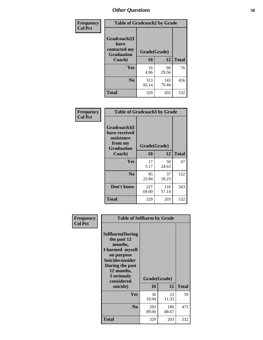| Frequency      | <b>Table of Gradcoach2 by Grade</b> |              |              |              |
|----------------|-------------------------------------|--------------|--------------|--------------|
| <b>Col Pct</b> |                                     |              |              |              |
|                | Gradcoach2(I<br>have                |              |              |              |
|                | contacted my<br><b>Graduation</b>   | Grade(Grade) |              |              |
|                | Coach)                              | 10           | 12           | <b>Total</b> |
|                | Yes                                 | 16<br>4.86   | 60<br>29.56  | 76           |
|                | N <sub>0</sub>                      | 313<br>95.14 | 143<br>70.44 | 456          |
|                | <b>Total</b>                        | 329          | 203          | 532          |

| Frequency<br><b>Col Pct</b> | <b>Table of Gradcoach3 by Grade</b>                                         |              |              |              |
|-----------------------------|-----------------------------------------------------------------------------|--------------|--------------|--------------|
|                             | Gradcoach3(I<br>have received<br>assistance<br>from my<br><b>Graduation</b> | Grade(Grade) |              |              |
|                             | Coach)                                                                      | 10           | 12           | <b>Total</b> |
|                             | <b>Yes</b>                                                                  | 17           | 50           | 67           |
|                             |                                                                             | 5.17         | 24.63        |              |
|                             | N <sub>0</sub>                                                              | 85           | 37           | 122          |
|                             |                                                                             | 25.84        | 18.23        |              |
|                             | Don't know                                                                  | 227<br>69.00 | 116<br>57.14 | 343          |
|                             | <b>Total</b>                                                                | 329          | 203          | 532          |

| Frequency      | <b>Table of Selfharm by Grade</b>                                                                                               |                    |              |              |
|----------------|---------------------------------------------------------------------------------------------------------------------------------|--------------------|--------------|--------------|
| <b>Col Pct</b> | <b>Selfharm</b> (During<br>the past 12<br>months,<br>I harmed myself<br>on purpose<br><b>Suicideconsider</b><br>During the past |                    |              |              |
|                | 12 months,<br>I seriously<br>considered<br>suicide)                                                                             | Grade(Grade)<br>10 | 12           | <b>Total</b> |
|                |                                                                                                                                 |                    |              |              |
|                | <b>Yes</b>                                                                                                                      | 36<br>10.94        | 23<br>11.33  | 59           |
|                | N <sub>0</sub>                                                                                                                  | 293<br>89.06       | 180<br>88.67 | 473          |
|                | <b>Total</b>                                                                                                                    | 329                | 203          | 532          |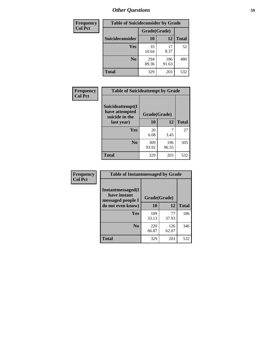| <b>Frequency</b> | <b>Table of Suicideconsider by Grade</b> |              |              |              |  |
|------------------|------------------------------------------|--------------|--------------|--------------|--|
| <b>Col Pct</b>   |                                          | Grade(Grade) |              |              |  |
|                  | Suicideconsider                          | <b>10</b>    | 12           | <b>Total</b> |  |
|                  | Yes                                      | 35<br>10.64  | 17<br>8.37   | 52           |  |
|                  | N <sub>0</sub>                           | 294<br>89.36 | 186<br>91.63 | 480          |  |
|                  | Total                                    | 329          | 203          | 532          |  |

| Frequency      | <b>Table of Suicideattempt by Grade</b>              |              |              |              |
|----------------|------------------------------------------------------|--------------|--------------|--------------|
| <b>Col Pct</b> | Suicideattempt(I<br>have attempted<br>suicide in the | Grade(Grade) |              |              |
|                | last year)                                           | 10           | 12           | <b>Total</b> |
|                | Yes                                                  | 20<br>6.08   | 3.45         | 27           |
|                | N <sub>0</sub>                                       | 309<br>93.92 | 196<br>96.55 | 505          |
|                | <b>Total</b>                                         | 329          | 203          | 532          |

| Frequency      | <b>Table of Instantmessaged by Grade</b>               |              |              |              |
|----------------|--------------------------------------------------------|--------------|--------------|--------------|
| <b>Col Pct</b> | Instantmessaged(I<br>have instant<br>messaged people I | Grade(Grade) |              |              |
|                | do not even know)                                      | 10           | 12           | <b>Total</b> |
|                | Yes                                                    | 109<br>33.13 | 77<br>37.93  | 186          |
|                | N <sub>0</sub>                                         | 220<br>66.87 | 126<br>62.07 | 346          |
|                | <b>Total</b>                                           | 329          | 203          | 532          |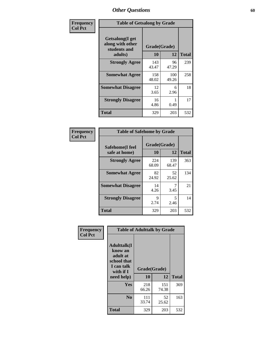| Frequency      | <b>Table of Getsalong by Grade</b>                          |              |              |              |
|----------------|-------------------------------------------------------------|--------------|--------------|--------------|
| <b>Col Pct</b> | <b>Getsalong</b> (I get<br>along with other<br>students and |              | Grade(Grade) |              |
|                | adults)                                                     | 10           | 12           | <b>Total</b> |
|                | <b>Strongly Agree</b>                                       | 143<br>43.47 | 96<br>47.29  | 239          |
|                | <b>Somewhat Agree</b>                                       | 158<br>48.02 | 100<br>49.26 | 258          |
|                | <b>Somewhat Disagree</b>                                    | 12<br>3.65   | 6<br>2.96    | 18           |
|                | <b>Strongly Disagree</b>                                    | 16<br>4.86   | 0.49         | 17           |
|                | <b>Total</b>                                                | 329          | 203          | 532          |

| Frequency      | <b>Table of Safehome by Grade</b> |                           |              |              |  |  |
|----------------|-----------------------------------|---------------------------|--------------|--------------|--|--|
| <b>Col Pct</b> | Safehome(I feel<br>safe at home)  | Grade(Grade)<br><b>10</b> | 12           | <b>Total</b> |  |  |
|                | <b>Strongly Agree</b>             | 224<br>68.09              | 139<br>68.47 | 363          |  |  |
|                | <b>Somewhat Agree</b>             | 82<br>24.92               | 52<br>25.62  | 134          |  |  |
|                | <b>Somewhat Disagree</b>          | 14<br>4.26                | 7<br>3.45    | 21           |  |  |
|                | <b>Strongly Disagree</b>          | 9<br>2.74                 | 5<br>2.46    | 14           |  |  |
|                | <b>Total</b>                      | 329                       | 203          | 532          |  |  |

| Frequency      | <b>Table of Adulttalk by Grade</b>                                                   |                    |              |              |  |  |
|----------------|--------------------------------------------------------------------------------------|--------------------|--------------|--------------|--|--|
| <b>Col Pct</b> | <b>Adulttalk</b> (I<br>know an<br>adult at<br>school that<br>I can talk<br>with if I | Grade(Grade)<br>10 | 12           | <b>Total</b> |  |  |
|                | need help)                                                                           |                    |              |              |  |  |
|                | <b>Yes</b>                                                                           | 218<br>66.26       | 151<br>74.38 | 369          |  |  |
|                | N <sub>0</sub>                                                                       | 111<br>33.74       | 52<br>25.62  | 163          |  |  |
|                | <b>Total</b>                                                                         | 329                | 203          | 532          |  |  |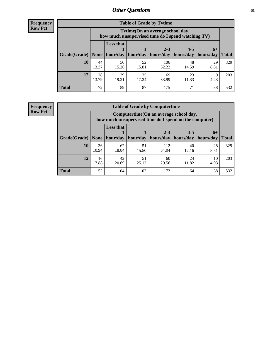**Frequency Row Pct**

| <b>Table of Grade by Tytime</b> |             |                                                                                        |             |                                                                                   |             |            |              |  |  |
|---------------------------------|-------------|----------------------------------------------------------------------------------------|-------------|-----------------------------------------------------------------------------------|-------------|------------|--------------|--|--|
|                                 |             | Tvtime(On an average school day,<br>how much unsupervised time do I spend watching TV) |             |                                                                                   |             |            |              |  |  |
| Grade(Grade)   None             |             | <b>Less that</b><br>hour/day                                                           |             | $2 - 3$<br>$\vert$ hour/day $\vert$ hours/day $\vert$ hours/day $\vert$ hours/day | $4 - 5$     | $6+$       | <b>Total</b> |  |  |
|                                 |             |                                                                                        |             |                                                                                   |             |            |              |  |  |
| 10                              | 44<br>13.37 | 50<br>15.20                                                                            | 52<br>15.81 | 106<br>32.22                                                                      | 48<br>14.59 | 29<br>8.81 | 329          |  |  |
| 12                              | 28<br>13.79 | 39<br>19.21                                                                            | 35<br>17.24 | 69<br>33.99                                                                       | 23<br>11.33 | Q<br>4.43  | 203          |  |  |
| Total                           | 72          | 89                                                                                     | 87          | 175                                                                               | 71          | 38         | 532          |  |  |

**Frequency Row Pct**

| <b>Table of Grade by Computertime</b> |             |                                                                                                   |             |                      |                      |                   |              |  |  |
|---------------------------------------|-------------|---------------------------------------------------------------------------------------------------|-------------|----------------------|----------------------|-------------------|--------------|--|--|
|                                       |             | Computertime (On an average school day,<br>how much unsupervised time do I spend on the computer) |             |                      |                      |                   |              |  |  |
| Grade(Grade)                          | None        | <b>Less that</b><br>hour/day                                                                      | hour/day    | $2 - 3$<br>hours/day | $4 - 5$<br>hours/day | $6+$<br>hours/day | <b>Total</b> |  |  |
| 10                                    | 36<br>10.94 | 62<br>18.84                                                                                       | 51<br>15.50 | 112<br>34.04         | 40<br>12.16          | 28<br>8.51        | 329          |  |  |
| 12                                    | 16<br>7.88  | 42<br>20.69                                                                                       | 51<br>25.12 | 60<br>29.56          | 24<br>11.82          | 10<br>4.93        | 203          |  |  |
| <b>Total</b>                          | 52          | 104                                                                                               | 102         | 172                  | 64                   | 38                | 532          |  |  |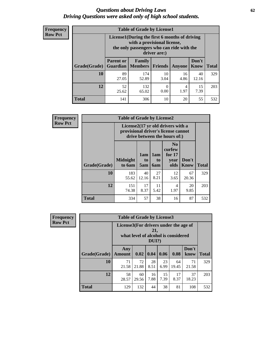#### *Questions about Driving Laws* **62** *Driving Questions were asked only of high school students.*

| <b>Frequency</b> |
|------------------|
| <b>Row Pct</b>   |

| <b>Table of Grade by License1</b> |                                                                            |                                                                                                                                           |                |               |                      |              |  |  |  |
|-----------------------------------|----------------------------------------------------------------------------|-------------------------------------------------------------------------------------------------------------------------------------------|----------------|---------------|----------------------|--------------|--|--|--|
|                                   |                                                                            | License1(During the first 6 months of driving<br>with a provisional license,<br>the only passengers who can ride with the<br>driver are:) |                |               |                      |              |  |  |  |
| Grade(Grade)                      | <b>Parent or</b><br><b>Guardian</b>                                        | Family<br><b>Members</b>                                                                                                                  | <b>Friends</b> | <b>Anyone</b> | Don't<br><b>Know</b> | <b>Total</b> |  |  |  |
| 10                                | 89<br>27.05                                                                | 174<br>52.89                                                                                                                              | 10<br>3.04     | 16<br>4.86    | 40<br>12.16          | 329          |  |  |  |
| 12                                | 15<br>52<br>132<br>4<br>$\theta$<br>7.39<br>1.97<br>0.00<br>65.02<br>25.62 |                                                                                                                                           |                |               |                      |              |  |  |  |
| <b>Total</b>                      | 141                                                                        | 306                                                                                                                                       | 10             | 20            | 55                   | 532          |  |  |  |

| Frequency      |              | <b>Table of Grade by License2</b>                                                                        |                  |                  |                                                      |                      |              |  |  |
|----------------|--------------|----------------------------------------------------------------------------------------------------------|------------------|------------------|------------------------------------------------------|----------------------|--------------|--|--|
| <b>Row Pct</b> |              | License2(17 yr old drivers with a<br>provisional driver's license cannot<br>drive between the hours of:) |                  |                  |                                                      |                      |              |  |  |
|                | Grade(Grade) | <b>Midnight</b><br>to 6am                                                                                | 1am<br>to<br>5am | 1am<br>to<br>6am | N <sub>0</sub><br>curfew<br>for $17$<br>year<br>olds | Don't<br><b>Know</b> | <b>Total</b> |  |  |
|                | 10           | 183<br>55.62                                                                                             | 40<br>12.16      | 27<br>8.21       | 12<br>3.65                                           | 67<br>20.36          | 329          |  |  |
|                | 12           | 151<br>74.38                                                                                             | 17<br>8.37       | 11<br>5.42       | 4<br>1.97                                            | 20<br>9.85           | 203          |  |  |
|                | <b>Total</b> | 334                                                                                                      | 57               | 38               | 16                                                   | 87                   | 532          |  |  |

| Frequency      |              | <b>Table of Grade by License3</b>     |             |                 |            |                                     |               |              |  |
|----------------|--------------|---------------------------------------|-------------|-----------------|------------|-------------------------------------|---------------|--------------|--|
| <b>Row Pct</b> |              | License3(For drivers under the age of |             | 21,<br>$DUI$ ?) |            | what level of alcohol is considered |               |              |  |
|                | Grade(Grade) | Any<br><b>Amount</b>                  | 0.02        | 0.04            | 0.06       | 0.08                                | Don't<br>know | <b>Total</b> |  |
|                | 10           | 71<br>21.58                           | 72<br>21.88 | 28<br>8.51      | 23<br>6.99 | 64<br>19.45                         | 71<br>21.58   | 329          |  |
|                | 12           | 58<br>28.57                           | 60<br>29.56 | 16<br>7.88      | 15<br>7.39 | 17<br>8.37                          | 37<br>18.23   | 203          |  |
|                | <b>Total</b> | 129                                   | 132         | 44              | 38         | 81                                  | 108           | 532          |  |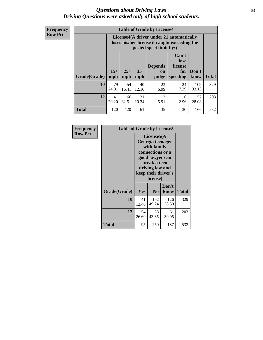#### *Questions about Driving Laws* **63** *Driving Questions were asked only of high school students.*

**Frequency Row Pct**

| <b>Table of Grade by License4</b> |              |                                                                                                                                               |             |            |            |              |     |  |  |
|-----------------------------------|--------------|-----------------------------------------------------------------------------------------------------------------------------------------------|-------------|------------|------------|--------------|-----|--|--|
|                                   |              | License4(A driver under 21 automatically<br>loses his/her license if caught exceeding the<br>posted speet limit by:)                          |             |            |            |              |     |  |  |
| Grade(Grade)                      | $15+$<br>mph | Can't<br>lose<br><b>Depends</b><br>license<br>$25+$<br>$35+$<br>Don't<br>for<br>on<br><b>Total</b><br>mph<br>speeding<br>mph<br>judge<br>know |             |            |            |              |     |  |  |
| 10                                | 79<br>24.01  | 54<br>16.41                                                                                                                                   | 40<br>12.16 | 23<br>6.99 | 24<br>7.29 | 109<br>33.13 | 329 |  |  |
| 12                                | 41<br>20.20  | 66<br>32.51                                                                                                                                   | 21<br>10.34 | 12<br>5.91 | 6<br>2.96  | 57<br>28.08  | 203 |  |  |
| <b>Total</b>                      | 120          | 120                                                                                                                                           | 61          | 35         | 30         | 166          | 532 |  |  |

| Frequency      | <b>Table of Grade by License5</b> |             |                                                                                                                                      |                     |              |
|----------------|-----------------------------------|-------------|--------------------------------------------------------------------------------------------------------------------------------------|---------------------|--------------|
| <b>Row Pct</b> |                                   |             | License5(A)<br>Georgia teenager<br>with family<br>connections or a<br>good lawyer can<br>break a teen<br>driving law and<br>license) | keep their driver's |              |
|                | Grade(Grade)                      | Yes         | N <sub>0</sub>                                                                                                                       | Don't<br>know       | <b>Total</b> |
|                | 10                                | 41<br>12.46 | 162<br>49.24                                                                                                                         | 126<br>38.30        | 329          |
|                | 12                                | 54<br>26.60 | 88<br>43.35                                                                                                                          | 61<br>30.05         | 203          |
|                | <b>Total</b>                      | 95          | 250                                                                                                                                  | 187                 | 532          |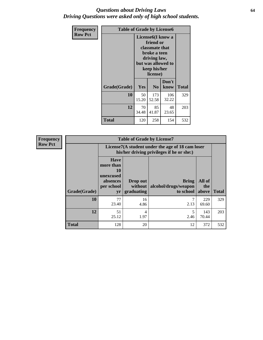#### *Questions about Driving Laws* **64** *Driving Questions were asked only of high school students.*

| <b>Frequency</b> | <b>Table of Grade by License6</b> |             |                                                                                                                           |                    |              |  |
|------------------|-----------------------------------|-------------|---------------------------------------------------------------------------------------------------------------------------|--------------------|--------------|--|
| <b>Row Pct</b>   |                                   |             | License <sub>6</sub> (I know a<br>friend or<br>classmate that<br>broke a teen<br>driving law,<br>keep his/her<br>license) | but was allowed to |              |  |
|                  | Grade(Grade)                      | <b>Yes</b>  | N <sub>0</sub>                                                                                                            | Don't<br>know      | <b>Total</b> |  |
|                  | 10                                | 50<br>15.20 | 173<br>52.58                                                                                                              | 106<br>32.22       | 329          |  |
|                  | 12                                | 70<br>34.48 | 85<br>41.87                                                                                                               | 48<br>23.65        | 203          |  |
|                  | <b>Total</b>                      | 120         | 258                                                                                                                       | 154                | 532          |  |

| Frequency      |              |                                                                             | <b>Table of Grade by License7</b>   |                                                                                               |                        |              |
|----------------|--------------|-----------------------------------------------------------------------------|-------------------------------------|-----------------------------------------------------------------------------------------------|------------------------|--------------|
| <b>Row Pct</b> |              |                                                                             |                                     | License7(A student under the age of 18 cam loser<br>his/her driving privileges if he or she:) |                        |              |
|                | Grade(Grade) | <b>Have</b><br>more than<br>10<br>unexcused<br>absences<br>per school<br>yr | Drop out<br>without  <br>graduating | <b>Bring</b><br>alcohol/drugs/weapon<br>to school                                             | All of<br>the<br>above | <b>Total</b> |
|                | 10           | 77<br>23.40                                                                 | 16<br>4.86                          | 2.13                                                                                          | 229<br>69.60           | 329          |
|                | 12           | 51<br>25.12                                                                 | 4<br>1.97                           | 5<br>2.46                                                                                     | 143<br>70.44           | 203          |
|                | <b>Total</b> | 128                                                                         | 20                                  | 12                                                                                            | 372                    | 532          |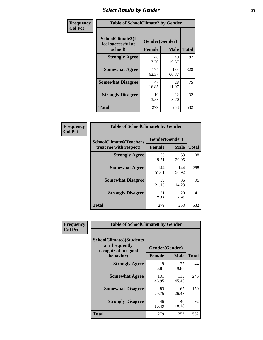# *Select Results by Gender* **65**

| Frequency      | <b>Table of SchoolClimate2 by Gender</b>          |                                 |              |              |  |
|----------------|---------------------------------------------------|---------------------------------|--------------|--------------|--|
| <b>Col Pct</b> | SchoolClimate2(I<br>feel successful at<br>school) | Gender(Gender)<br><b>Female</b> | <b>Male</b>  | <b>Total</b> |  |
|                | <b>Strongly Agree</b>                             | 48<br>17.20                     | 49<br>19.37  | 97           |  |
|                | <b>Somewhat Agree</b>                             | 174<br>62.37                    | 154<br>60.87 | 328          |  |
|                | <b>Somewhat Disagree</b>                          | 47<br>16.85                     | 28<br>11.07  | 75           |  |
|                | <b>Strongly Disagree</b>                          | 10<br>3.58                      | 22<br>8.70   | 32           |  |
|                | <b>Total</b>                                      | 279                             | 253          | 532          |  |

| Frequency      | <b>Table of SchoolClimate6 by Gender</b>                 |                                 |              |              |  |
|----------------|----------------------------------------------------------|---------------------------------|--------------|--------------|--|
| <b>Col Pct</b> | <b>SchoolClimate6(Teachers</b><br>treat me with respect) | Gender(Gender)<br><b>Female</b> | <b>Male</b>  | <b>Total</b> |  |
|                | <b>Strongly Agree</b>                                    | 55<br>19.71                     | 53<br>20.95  | 108          |  |
|                | <b>Somewhat Agree</b>                                    | 144<br>51.61                    | 144<br>56.92 | 288          |  |
|                | <b>Somewhat Disagree</b>                                 | 59<br>21.15                     | 36<br>14.23  | 95           |  |
|                | <b>Strongly Disagree</b>                                 | 21<br>7.53                      | 20<br>7.91   | 41           |  |
|                | <b>Total</b>                                             | 279                             | 253          | 532          |  |

| <b>Frequency</b> | <b>Table of SchoolClimate8 by Gender</b>                                             |                                 |              |              |
|------------------|--------------------------------------------------------------------------------------|---------------------------------|--------------|--------------|
| <b>Col Pct</b>   | <b>SchoolClimate8(Students</b><br>are frequently<br>recognized for good<br>behavior) | Gender(Gender)<br><b>Female</b> | <b>Male</b>  | <b>Total</b> |
|                  |                                                                                      |                                 |              |              |
|                  | <b>Strongly Agree</b>                                                                | 19<br>6.81                      | 25<br>9.88   | 44           |
|                  | <b>Somewhat Agree</b>                                                                | 131<br>46.95                    | 115<br>45.45 | 246          |
|                  | <b>Somewhat Disagree</b>                                                             | 83<br>29.75                     | 67<br>26.48  | 150          |
|                  | <b>Strongly Disagree</b>                                                             | 46<br>16.49                     | 46<br>18.18  | 92           |
|                  | Total                                                                                | 279                             | 253          | 532          |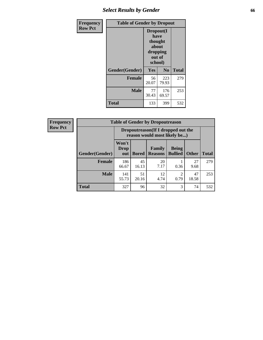# *Select Results by Gender* **66**

| Frequency      | <b>Table of Gender by Dropout</b> |                                                                        |                |              |
|----------------|-----------------------------------|------------------------------------------------------------------------|----------------|--------------|
| <b>Row Pct</b> |                                   | Dropout(I<br>have<br>thought<br>about<br>dropping<br>out of<br>school) |                |              |
|                | Gender(Gender)                    | Yes                                                                    | N <sub>0</sub> | <b>Total</b> |
|                | <b>Female</b>                     | 56<br>20.07                                                            | 223<br>79.93   | 279          |
|                | <b>Male</b>                       | 77<br>30.43                                                            | 176<br>69.57   | 253          |
|                | <b>Total</b>                      | 133                                                                    | 399            | 532          |

| <b>Frequency</b> |                        | <b>Table of Gender by Dropoutreason</b>                            |              |                                 |                                |              |              |
|------------------|------------------------|--------------------------------------------------------------------|--------------|---------------------------------|--------------------------------|--------------|--------------|
| <b>Row Pct</b>   |                        | Dropoutreason(If I dropped out the<br>reason would most likely be) |              |                                 |                                |              |              |
|                  | <b>Gender</b> (Gender) | Won't<br><b>Drop</b><br>out                                        | <b>Bored</b> | <b>Family</b><br><b>Reasons</b> | <b>Being</b><br><b>Bullied</b> | <b>Other</b> | <b>Total</b> |
|                  | <b>Female</b>          | 186<br>66.67                                                       | 45<br>16.13  | 20<br>7.17                      | 0.36                           | 27<br>9.68   | 279          |
|                  | <b>Male</b>            | 141<br>55.73                                                       | 51<br>20.16  | 12<br>4.74                      | ∍<br>0.79                      | 47<br>18.58  | 253          |
|                  | <b>Total</b>           | 327                                                                | 96           | 32                              | 3                              | 74           | 532          |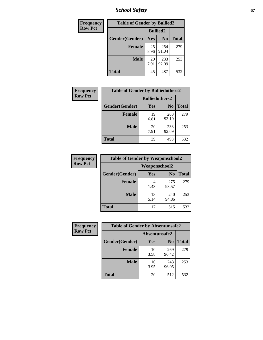*School Safety* **67**

| Frequency      | <b>Table of Gender by Bullied2</b> |                 |                |              |
|----------------|------------------------------------|-----------------|----------------|--------------|
| <b>Row Pct</b> |                                    | <b>Bullied2</b> |                |              |
|                | Gender(Gender)                     | Yes             | N <sub>0</sub> | <b>Total</b> |
|                | <b>Female</b>                      | 25<br>8.96      | 254<br>91.04   | 279          |
|                | <b>Male</b>                        | 20<br>7.91      | 233<br>92.09   | 253          |
|                | <b>Total</b>                       | 45              | 487            | 532          |

| Frequency      | <b>Table of Gender by Bulliedothers2</b> |                       |                |              |
|----------------|------------------------------------------|-----------------------|----------------|--------------|
| <b>Row Pct</b> |                                          | <b>Bulliedothers2</b> |                |              |
|                | Gender(Gender)                           | Yes                   | N <sub>0</sub> | <b>Total</b> |
|                | <b>Female</b>                            | 19<br>6.81            | 260<br>93.19   | 279          |
|                | <b>Male</b>                              | 20<br>7.91            | 233<br>92.09   | 253          |
|                | <b>Total</b>                             | 39                    | 493            | 532          |

| <b>Frequency</b> | <b>Table of Gender by Weaponschool2</b> |               |                |              |
|------------------|-----------------------------------------|---------------|----------------|--------------|
| <b>Row Pct</b>   |                                         | Weaponschool2 |                |              |
|                  | Gender(Gender)                          | Yes           | N <sub>0</sub> | <b>Total</b> |
|                  | <b>Female</b>                           | 4<br>1.43     | 275<br>98.57   | 279          |
|                  | <b>Male</b>                             | 13<br>5.14    | 240<br>94.86   | 253          |
|                  | <b>Total</b>                            | 17            | 515            | 532          |

| Frequency      | <b>Table of Gender by Absentunsafe2</b> |               |                |              |
|----------------|-----------------------------------------|---------------|----------------|--------------|
| <b>Row Pct</b> |                                         | Absentunsafe2 |                |              |
|                | Gender(Gender)                          | Yes           | N <sub>0</sub> | <b>Total</b> |
|                | <b>Female</b>                           | 10<br>3.58    | 269<br>96.42   | 279          |
|                | <b>Male</b>                             | 10<br>3.95    | 243<br>96.05   | 253          |
|                | <b>Total</b>                            | 20            | 512            | 532          |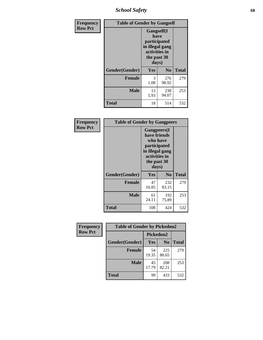*School Safety* **68**

| Frequency      | <b>Table of Gender by Gangself</b> |                                                                                                |                |              |
|----------------|------------------------------------|------------------------------------------------------------------------------------------------|----------------|--------------|
| <b>Row Pct</b> |                                    | Gangself(I<br>have<br>participated<br>in illegal gang<br>activities in<br>the past 30<br>days) |                |              |
|                | Gender(Gender)                     | Yes                                                                                            | N <sub>0</sub> | <b>Total</b> |
|                | <b>Female</b>                      | 3<br>1.08                                                                                      | 276<br>98.92   | 279          |
|                | <b>Male</b>                        | 15<br>5.93                                                                                     | 238<br>94.07   | 253          |
|                | <b>Total</b>                       | 18                                                                                             | 514            | 532          |

| Frequency      | <b>Table of Gender by Gangpeers</b> |                                                                                                                             |                |              |
|----------------|-------------------------------------|-----------------------------------------------------------------------------------------------------------------------------|----------------|--------------|
| <b>Row Pct</b> |                                     | <b>Gangpeers</b> (I<br>have friends<br>who have<br>participated<br>in illegal gang<br>activities in<br>the past 30<br>days) |                |              |
|                | Gender(Gender)                      | Yes                                                                                                                         | N <sub>0</sub> | <b>Total</b> |
|                | <b>Female</b>                       | 47<br>16.85                                                                                                                 | 232<br>83.15   | 279          |
|                | <b>Male</b>                         | 61<br>24.11                                                                                                                 | 192<br>75.89   | 253          |
|                | <b>Total</b>                        | 108                                                                                                                         | 424            | 532          |

| Frequency      | <b>Table of Gender by Pickedon2</b> |             |                |              |
|----------------|-------------------------------------|-------------|----------------|--------------|
| <b>Row Pct</b> |                                     | Pickedon2   |                |              |
|                | Gender(Gender)                      | Yes         | N <sub>0</sub> | <b>Total</b> |
|                | <b>Female</b>                       | 54<br>19.35 | 225<br>80.65   | 279          |
|                | <b>Male</b>                         | 45<br>17.79 | 208<br>82.21   | 253          |
|                | <b>Total</b>                        | 99          | 433            | 532          |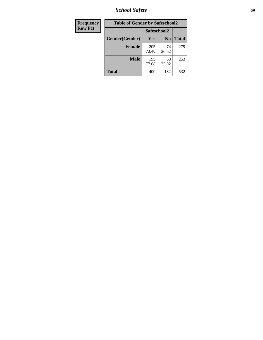*School Safety* **69**

| Frequency      | <b>Table of Gender by Safeschool2</b><br>Safeschool2 |              |                |              |  |
|----------------|------------------------------------------------------|--------------|----------------|--------------|--|
| <b>Row Pct</b> |                                                      |              |                |              |  |
|                | Gender(Gender)                                       | Yes          | N <sub>0</sub> | <b>Total</b> |  |
|                | <b>Female</b>                                        | 205<br>73.48 | 74<br>26.52    | 279          |  |
|                | Male                                                 | 195<br>77.08 | 58<br>22.92    | 253          |  |
|                | <b>Total</b>                                         | 400          | 132            | 532          |  |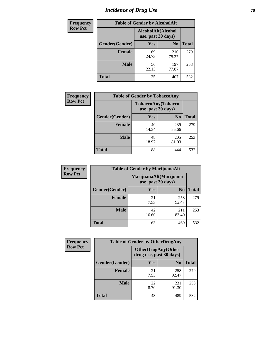# *Incidence of Drug Use* **70**

| <b>Frequency</b> | <b>Table of Gender by AlcoholAlt</b>     |             |                |              |  |
|------------------|------------------------------------------|-------------|----------------|--------------|--|
| <b>Row Pct</b>   | AlcoholAlt(Alcohol<br>use, past 30 days) |             |                |              |  |
|                  | Gender(Gender)                           | Yes         | N <sub>0</sub> | <b>Total</b> |  |
|                  | <b>Female</b>                            | 69<br>24.73 | 210<br>75.27   | 279          |  |
|                  | <b>Male</b>                              | 56<br>22.13 | 197<br>77.87   | 253          |  |
|                  | <b>Total</b>                             | 125         | 407            | 532          |  |

| <b>Frequency</b> | <b>Table of Gender by TobaccoAny</b> |             |                                          |              |  |
|------------------|--------------------------------------|-------------|------------------------------------------|--------------|--|
| <b>Row Pct</b>   |                                      |             | TobaccoAny(Tobacco<br>use, past 30 days) |              |  |
|                  | Gender(Gender)                       | Yes         | N <sub>0</sub>                           | <b>Total</b> |  |
|                  | <b>Female</b>                        | 40<br>14.34 | 239<br>85.66                             | 279          |  |
|                  | <b>Male</b>                          | 48<br>18.97 | 205<br>81.03                             | 253          |  |
|                  | <b>Total</b>                         | 88          | 444                                      | 532          |  |

| <b>Frequency</b> | <b>Table of Gender by MarijuanaAlt</b> |                                              |                |              |  |
|------------------|----------------------------------------|----------------------------------------------|----------------|--------------|--|
| <b>Row Pct</b>   |                                        | MarijuanaAlt(Marijuana<br>use, past 30 days) |                |              |  |
|                  | Gender(Gender)                         | <b>Yes</b>                                   | N <sub>0</sub> | <b>Total</b> |  |
|                  | <b>Female</b>                          | 21<br>7.53                                   | 258<br>92.47   | 279          |  |
|                  | <b>Male</b>                            | 42<br>16.60                                  | 211<br>83.40   | 253          |  |
|                  | <b>Total</b>                           | 63                                           | 469            | 532          |  |

| <b>Frequency</b> | <b>Table of Gender by OtherDrugAny</b> |                                                      |                |              |  |
|------------------|----------------------------------------|------------------------------------------------------|----------------|--------------|--|
| <b>Row Pct</b>   |                                        | <b>OtherDrugAny(Other</b><br>drug use, past 30 days) |                |              |  |
|                  | Gender(Gender)                         | <b>Yes</b>                                           | N <sub>0</sub> | <b>Total</b> |  |
|                  | <b>Female</b>                          | 21<br>7.53                                           | 258<br>92.47   | 279          |  |
|                  | <b>Male</b>                            | 22<br>8.70                                           | 231<br>91.30   | 253          |  |
|                  | <b>Total</b>                           | 43                                                   | 489            | 532          |  |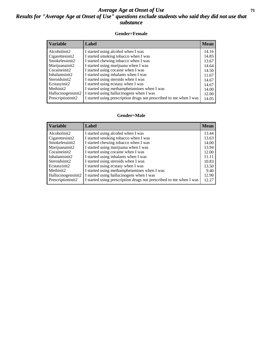#### *Average Age at Onset of Use* **71** *Results for "Average Age at Onset of Use" questions exclude students who said they did not use that substance*

#### **Gender=Female**

| <i><b>Variable</b></i>          | Label                                                              | <b>Mean</b> |
|---------------------------------|--------------------------------------------------------------------|-------------|
| Alcoholinit2                    | I started using alcohol when I was                                 | 14.16       |
| Cigarettesinit2                 | I started smoking tobacco when I was                               | 14.85       |
| Smokelessinit2                  | I started chewing tobacco when I was                               | 13.67       |
| Marijuanainit2                  | I started using marijuana when I was                               | 14.64       |
| Cocaineinit2                    | I started using cocaine when I was                                 | 14.50       |
| Inhalantsinit2                  | I started using inhalants when I was                               | 11.67       |
| Steroidsinit2                   | I started using steroids when I was                                | 14.67       |
| Ecstasyinit2                    | I started using ecstasy when I was                                 | 14.67       |
| Methinit2                       | I started using methamphetamines when I was                        | 14.00       |
| Hallucinogensinit2              | I started using hallucinogens when I was                           | 12.00       |
| Prescription in it <sub>2</sub> | I started using prescription drugs not prescribed to me when I was | 14.05       |

#### **Gender=Male**

| <b>Variable</b>                 | Label                                                              | <b>Mean</b> |
|---------------------------------|--------------------------------------------------------------------|-------------|
| Alcoholinit2                    | I started using alcohol when I was                                 | 13.44       |
| Cigarettesinit2                 | I started smoking tobacco when I was                               | 13.63       |
| Smokelessinit2                  | I started chewing tobacco when I was                               | 14.00       |
| Marijuanainit2                  | I started using marijuana when I was                               | 13.94       |
| Cocaineinit2                    | I started using cocaine when I was                                 | 12.00       |
| Inhalantsinit2                  | I started using inhalants when I was                               | 11.11       |
| Steroidsinit2                   | I started using steroids when I was                                | 10.83       |
| Ecstasyinit2                    | I started using ecstasy when I was                                 | 13.50       |
| Methinit2                       | I started using methamphetamines when I was                        | 9.40        |
| Hallucinogensinit2              | I started using hallucinogens when I was                           | 12.90       |
| Prescription in it <sub>2</sub> | I started using prescription drugs not prescribed to me when I was | 12.27       |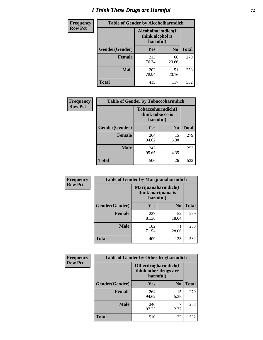# *I Think These Drugs are Harmful* **72**

| <b>Frequency</b> | <b>Table of Gender by Alcoholharmdich</b> |                                                   |                |              |  |
|------------------|-------------------------------------------|---------------------------------------------------|----------------|--------------|--|
| <b>Row Pct</b>   |                                           | Alcoholharmdich(I<br>think alcohol is<br>harmful) |                |              |  |
|                  | Gender(Gender)                            | Yes                                               | N <sub>0</sub> | <b>Total</b> |  |
|                  | <b>Female</b>                             | 213<br>76.34                                      | 66<br>23.66    | 279          |  |
|                  | <b>Male</b>                               | 202<br>79.84                                      | 51<br>20.16    | 253          |  |
|                  | Total                                     | 415                                               | 117            | 532          |  |

| Frequency      | <b>Table of Gender by Tobaccoharmdich</b> |                  |                               |              |  |
|----------------|-------------------------------------------|------------------|-------------------------------|--------------|--|
| <b>Row Pct</b> |                                           | think tobacco is | Tobaccoharmdich(I<br>harmful) |              |  |
|                | Gender(Gender)                            | Yes              | N <sub>0</sub>                | <b>Total</b> |  |
|                | <b>Female</b>                             | 264<br>94.62     | 15<br>5.38                    | 279          |  |
|                | <b>Male</b>                               | 242<br>95.65     | 11<br>4.35                    | 253          |  |
|                | Total                                     | 506              | 26                            | 532          |  |

| Frequency      | <b>Table of Gender by Marijuanaharmdich</b> |                                                       |                |              |  |
|----------------|---------------------------------------------|-------------------------------------------------------|----------------|--------------|--|
| <b>Row Pct</b> |                                             | Marijuanaharmdich(I<br>think marijuana is<br>harmful) |                |              |  |
|                | Gender(Gender)                              | <b>Yes</b>                                            | N <sub>0</sub> | <b>Total</b> |  |
|                | <b>Female</b>                               | 227<br>81.36                                          | 52<br>18.64    | 279          |  |
|                | <b>Male</b>                                 | 182<br>71.94                                          | 71<br>28.06    | 253          |  |
|                | <b>Total</b>                                | 409                                                   | 123            | 532          |  |

| Frequency      | <b>Table of Gender by Otherdrugharmdich</b> |                                                          |                |              |  |
|----------------|---------------------------------------------|----------------------------------------------------------|----------------|--------------|--|
| <b>Row Pct</b> |                                             | Otherdrugharmdich(I<br>think other drugs are<br>harmful) |                |              |  |
|                | Gender(Gender)                              | <b>Yes</b>                                               | $\mathbf{N_0}$ | <b>Total</b> |  |
|                | <b>Female</b>                               | 264<br>94.62                                             | 15<br>5.38     | 279          |  |
|                | <b>Male</b>                                 | 246<br>97.23                                             | 2.77           | 253          |  |
|                | <b>Total</b>                                | 510                                                      | 22             | 532          |  |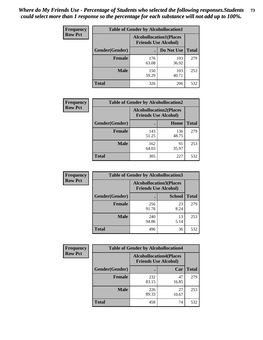| <b>Frequency</b> | <b>Table of Gender by Alcohollocation1</b> |                                                               |              |              |
|------------------|--------------------------------------------|---------------------------------------------------------------|--------------|--------------|
| <b>Row Pct</b>   |                                            | <b>Alcohollocation1(Places</b><br><b>Friends Use Alcohol)</b> |              |              |
|                  | Gender(Gender)                             |                                                               | Do Not Use   | <b>Total</b> |
|                  | <b>Female</b>                              | 176<br>63.08                                                  | 103<br>36.92 | 279          |
|                  | <b>Male</b>                                | 150<br>59.29                                                  | 103<br>40.71 | 253          |
|                  | <b>Total</b>                               | 326                                                           | 206          | 532          |

| <b>Frequency</b> | <b>Table of Gender by Alcohollocation2</b> |              |                                                               |              |
|------------------|--------------------------------------------|--------------|---------------------------------------------------------------|--------------|
| <b>Row Pct</b>   |                                            |              | <b>Alcohollocation2(Places</b><br><b>Friends Use Alcohol)</b> |              |
|                  | Gender(Gender)                             |              | Home                                                          | <b>Total</b> |
|                  | <b>Female</b>                              | 143<br>51.25 | 136<br>48.75                                                  | 279          |
|                  | <b>Male</b>                                | 162<br>64.03 | 91<br>35.97                                                   | 253          |
|                  | <b>Total</b>                               | 305          | 227                                                           | 532          |

| Frequency      | <b>Table of Gender by Alcohollocation3</b> |                                                               |               |              |
|----------------|--------------------------------------------|---------------------------------------------------------------|---------------|--------------|
| <b>Row Pct</b> |                                            | <b>Alcohollocation3(Places</b><br><b>Friends Use Alcohol)</b> |               |              |
|                | Gender(Gender)                             |                                                               | <b>School</b> | <b>Total</b> |
|                | <b>Female</b>                              | 256<br>91.76                                                  | 23<br>8.24    | 279          |
|                | <b>Male</b>                                | 240<br>94.86                                                  | 13<br>5.14    | 253          |
|                | <b>Total</b>                               | 496                                                           | 36            | 532          |

| Frequency      | <b>Table of Gender by Alcohollocation4</b> |                                                               |             |              |
|----------------|--------------------------------------------|---------------------------------------------------------------|-------------|--------------|
| <b>Row Pct</b> |                                            | <b>Alcohollocation4(Places</b><br><b>Friends Use Alcohol)</b> |             |              |
|                | Gender(Gender)                             |                                                               | Car         | <b>Total</b> |
|                | <b>Female</b>                              | 232<br>83.15                                                  | 47<br>16.85 | 279          |
|                | <b>Male</b>                                | 226<br>89.33                                                  | 27<br>10.67 | 253          |
|                | <b>Total</b>                               | 458                                                           | 74          | 532          |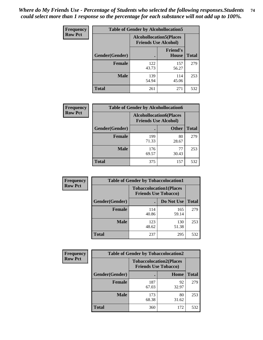| <b>Frequency</b> | <b>Table of Gender by Alcohollocation5</b> |                                                                |                                 |              |
|------------------|--------------------------------------------|----------------------------------------------------------------|---------------------------------|--------------|
| <b>Row Pct</b>   |                                            | <b>Alcohollocation5</b> (Places<br><b>Friends Use Alcohol)</b> |                                 |              |
|                  | Gender(Gender)                             |                                                                | <b>Friend's</b><br><b>House</b> | <b>Total</b> |
|                  | <b>Female</b>                              | 122<br>43.73                                                   | 157<br>56.27                    | 279          |
|                  | <b>Male</b>                                | 139<br>54.94                                                   | 114<br>45.06                    | 253          |
|                  | <b>Total</b>                               | 261                                                            | 271                             | 532          |

| Frequency      | <b>Table of Gender by Alcohollocation6</b> |                                                               |              |              |
|----------------|--------------------------------------------|---------------------------------------------------------------|--------------|--------------|
| <b>Row Pct</b> |                                            | <b>Alcohollocation6(Places</b><br><b>Friends Use Alcohol)</b> |              |              |
|                | Gender(Gender)                             |                                                               | <b>Other</b> | <b>Total</b> |
|                | <b>Female</b>                              | 199<br>71.33                                                  | 80<br>28.67  | 279          |
|                | <b>Male</b>                                | 176<br>69.57                                                  | 77<br>30.43  | 253          |
|                | <b>Total</b>                               | 375                                                           | 157          | 532          |

| Frequency      | <b>Table of Gender by Tobaccolocation1</b> |                                                               |              |              |  |
|----------------|--------------------------------------------|---------------------------------------------------------------|--------------|--------------|--|
| <b>Row Pct</b> |                                            | <b>Tobaccolocation1(Places</b><br><b>Friends Use Tobacco)</b> |              |              |  |
|                | <b>Gender</b> (Gender)                     |                                                               | Do Not Use   | <b>Total</b> |  |
|                | Female                                     | 114<br>40.86                                                  | 165<br>59.14 | 279          |  |
|                | <b>Male</b>                                | 123<br>48.62                                                  | 130<br>51.38 | 253          |  |
|                | <b>Total</b>                               | 237                                                           | 295          | 532          |  |

| <b>Frequency</b> | <b>Table of Gender by Tobaccolocation2</b> |                                                               |             |              |
|------------------|--------------------------------------------|---------------------------------------------------------------|-------------|--------------|
| <b>Row Pct</b>   |                                            | <b>Tobaccolocation2(Places</b><br><b>Friends Use Tobacco)</b> |             |              |
|                  | Gender(Gender)                             |                                                               | Home        | <b>Total</b> |
|                  | Female                                     | 187<br>67.03                                                  | 92<br>32.97 | 279          |
|                  | <b>Male</b>                                | 173<br>68.38                                                  | 80<br>31.62 | 253          |
|                  | <b>Total</b>                               | 360                                                           | 172         | 532          |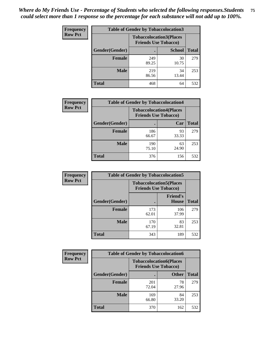| <b>Frequency</b> | <b>Table of Gender by Tobaccolocation3</b> |                                                               |               |              |
|------------------|--------------------------------------------|---------------------------------------------------------------|---------------|--------------|
| <b>Row Pct</b>   |                                            | <b>Tobaccolocation3(Places</b><br><b>Friends Use Tobacco)</b> |               |              |
|                  | Gender(Gender)                             |                                                               | <b>School</b> | <b>Total</b> |
|                  | <b>Female</b>                              | 249<br>89.25                                                  | 30<br>10.75   | 279          |
|                  | <b>Male</b>                                | 219<br>86.56                                                  | 34<br>13.44   | 253          |
|                  | <b>Total</b>                               | 468                                                           | 64            | 532          |

| <b>Frequency</b> | <b>Table of Gender by Tobaccolocation4</b> |              |                                                               |              |
|------------------|--------------------------------------------|--------------|---------------------------------------------------------------|--------------|
| <b>Row Pct</b>   |                                            |              | <b>Tobaccolocation4(Places</b><br><b>Friends Use Tobacco)</b> |              |
|                  | Gender(Gender)                             |              | Car                                                           | <b>Total</b> |
|                  | <b>Female</b>                              | 186<br>66.67 | 93<br>33.33                                                   | 279          |
|                  | <b>Male</b>                                | 190<br>75.10 | 63<br>24.90                                                   | 253          |
|                  | <b>Total</b>                               | 376          | 156                                                           | 532          |

| <b>Frequency</b> | <b>Table of Gender by Tobaccolocation5</b> |                                                               |                                 |              |
|------------------|--------------------------------------------|---------------------------------------------------------------|---------------------------------|--------------|
| <b>Row Pct</b>   |                                            | <b>Tobaccolocation5(Places</b><br><b>Friends Use Tobacco)</b> |                                 |              |
|                  | Gender(Gender)                             |                                                               | <b>Friend's</b><br><b>House</b> | <b>Total</b> |
|                  | <b>Female</b>                              | 173<br>62.01                                                  | 106<br>37.99                    | 279          |
|                  | <b>Male</b>                                | 170<br>67.19                                                  | 83<br>32.81                     | 253          |
|                  | <b>Total</b>                               | 343                                                           | 189                             | 532          |

| <b>Frequency</b> | <b>Table of Gender by Tobaccolocation6</b> |                                                               |              |              |
|------------------|--------------------------------------------|---------------------------------------------------------------|--------------|--------------|
| <b>Row Pct</b>   |                                            | <b>Tobaccolocation6(Places</b><br><b>Friends Use Tobacco)</b> |              |              |
|                  | Gender(Gender)                             |                                                               | <b>Other</b> | <b>Total</b> |
|                  | Female                                     | 201<br>72.04                                                  | 78<br>27.96  | 279          |
|                  | <b>Male</b>                                | 169<br>66.80                                                  | 84<br>33.20  | 253          |
|                  | <b>Total</b>                               | 370                                                           | 162          | 532          |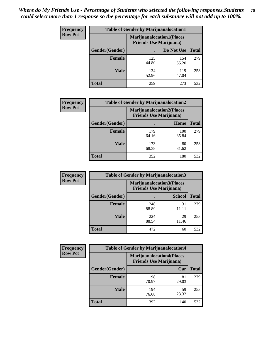| <b>Frequency</b> | <b>Table of Gender by Marijuanalocation1</b> |                                                                    |              |              |
|------------------|----------------------------------------------|--------------------------------------------------------------------|--------------|--------------|
| <b>Row Pct</b>   |                                              | <b>Marijuanalocation1(Places</b><br><b>Friends Use Marijuana</b> ) |              |              |
|                  | Gender(Gender)                               |                                                                    | Do Not Use   | <b>Total</b> |
|                  | <b>Female</b>                                | 125<br>44.80                                                       | 154<br>55.20 | 279          |
|                  | <b>Male</b>                                  | 134<br>52.96                                                       | 119<br>47.04 | 253          |
|                  | <b>Total</b>                                 | 259                                                                | 273          | 532          |

| <b>Frequency</b> | <b>Table of Gender by Marijuanalocation2</b> |                                                                    |              |              |
|------------------|----------------------------------------------|--------------------------------------------------------------------|--------------|--------------|
| <b>Row Pct</b>   |                                              | <b>Marijuanalocation2(Places</b><br><b>Friends Use Marijuana</b> ) |              |              |
|                  | Gender(Gender)                               |                                                                    | Home         | <b>Total</b> |
|                  | Female                                       | 179<br>64.16                                                       | 100<br>35.84 | 279          |
|                  | <b>Male</b>                                  | 173<br>68.38                                                       | 80<br>31.62  | 253          |
|                  | <b>Total</b>                                 | 352                                                                | 180          | 532          |

| Frequency      |                | <b>Table of Gender by Marijuanalocation3</b>                       |               |              |
|----------------|----------------|--------------------------------------------------------------------|---------------|--------------|
| <b>Row Pct</b> |                | <b>Marijuanalocation3(Places</b><br><b>Friends Use Marijuana</b> ) |               |              |
|                | Gender(Gender) |                                                                    | <b>School</b> | <b>Total</b> |
|                | Female         | 248<br>88.89                                                       | 31<br>11.11   | 279          |
|                | <b>Male</b>    | 224<br>88.54                                                       | 29<br>11.46   | 253          |
|                | <b>Total</b>   | 472                                                                | 60            | 532          |

| Frequency      | <b>Table of Gender by Marijuanalocation4</b> |                                                                    |             |              |  |
|----------------|----------------------------------------------|--------------------------------------------------------------------|-------------|--------------|--|
| <b>Row Pct</b> |                                              | <b>Marijuanalocation4(Places</b><br><b>Friends Use Marijuana</b> ) |             |              |  |
|                | Gender(Gender)                               |                                                                    | Car         | <b>Total</b> |  |
|                | <b>Female</b>                                | 198<br>70.97                                                       | 81<br>29.03 | 279          |  |
|                | <b>Male</b>                                  | 194<br>76.68                                                       | 59<br>23.32 | 253          |  |
|                | <b>Total</b>                                 | 392                                                                | 140         | 532          |  |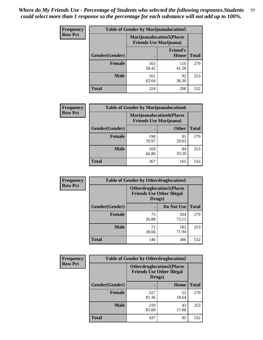| <b>Frequency</b> | <b>Table of Gender by Marijuanalocation5</b> |                                                                     |                                 |              |
|------------------|----------------------------------------------|---------------------------------------------------------------------|---------------------------------|--------------|
| <b>Row Pct</b>   |                                              | <b>Marijuanalocation5</b> (Places<br><b>Friends Use Marijuana</b> ) |                                 |              |
|                  | Gender(Gender)                               |                                                                     | <b>Friend's</b><br><b>House</b> | <b>Total</b> |
|                  | <b>Female</b>                                | 163<br>58.42                                                        | 116<br>41.58                    | 279          |
|                  | <b>Male</b>                                  | 161<br>63.64                                                        | 92<br>36.36                     | 253          |
|                  | <b>Total</b>                                 | 324                                                                 | 208                             | 532          |

| <b>Frequency</b> | <b>Table of Gender by Marijuanalocation6</b> |                                |                                   |              |  |
|------------------|----------------------------------------------|--------------------------------|-----------------------------------|--------------|--|
| <b>Row Pct</b>   |                                              | <b>Friends Use Marijuana</b> ) | <b>Marijuanalocation6(Places)</b> |              |  |
|                  | Gender(Gender)                               |                                | <b>Other</b>                      | <b>Total</b> |  |
|                  | <b>Female</b>                                | 198<br>70.97                   | 81<br>29.03                       | 279          |  |
|                  | <b>Male</b>                                  | 169<br>66.80                   | 84<br>33.20                       | 253          |  |
|                  | <b>Total</b>                                 | 367                            | 165                               | 532          |  |

| <b>Frequency</b> | <b>Table of Gender by Otherdruglocation1</b> |                                                                                |              |              |
|------------------|----------------------------------------------|--------------------------------------------------------------------------------|--------------|--------------|
| <b>Row Pct</b>   |                                              | <b>Otherdruglocation1(Places</b><br><b>Friends Use Other Illegal</b><br>Drugs) |              |              |
|                  | Gender(Gender)                               |                                                                                | Do Not Use   | <b>Total</b> |
|                  | <b>Female</b>                                | 75<br>26.88                                                                    | 204<br>73.12 | 279          |
|                  | <b>Male</b>                                  | 71<br>28.06                                                                    | 182<br>71.94 | 253          |
|                  | <b>Total</b>                                 | 146                                                                            | 386          | 532          |

| Frequency      | <b>Table of Gender by Otherdruglocation2</b> |                                                                                |             |              |
|----------------|----------------------------------------------|--------------------------------------------------------------------------------|-------------|--------------|
| <b>Row Pct</b> |                                              | <b>Otherdruglocation2(Places</b><br><b>Friends Use Other Illegal</b><br>Drugs) |             |              |
|                | Gender(Gender)                               |                                                                                | Home        | <b>Total</b> |
|                | Female                                       | 227<br>81.36                                                                   | 52<br>18.64 | 279          |
|                | <b>Male</b>                                  | 210<br>83.00                                                                   | 43<br>17.00 | 253          |
|                | <b>Total</b>                                 | 437                                                                            | 95          | 532          |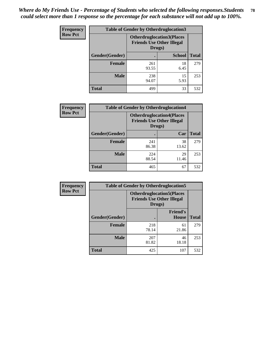| <b>Frequency</b> | <b>Table of Gender by Otherdruglocation3</b> |                                                                                |               |              |
|------------------|----------------------------------------------|--------------------------------------------------------------------------------|---------------|--------------|
| <b>Row Pct</b>   |                                              | <b>Otherdruglocation3(Places</b><br><b>Friends Use Other Illegal</b><br>Drugs) |               |              |
|                  | Gender(Gender)                               |                                                                                | <b>School</b> | <b>Total</b> |
|                  | <b>Female</b>                                | 261<br>93.55                                                                   | 18<br>6.45    | 279          |
|                  | <b>Male</b>                                  | 238<br>94.07                                                                   | 15<br>5.93    | 253          |
|                  | <b>Total</b>                                 | 499                                                                            | 33            | 532          |

| Frequency      | <b>Table of Gender by Otherdruglocation4</b> |                                                                                |             |              |
|----------------|----------------------------------------------|--------------------------------------------------------------------------------|-------------|--------------|
| <b>Row Pct</b> |                                              | <b>Otherdruglocation4(Places</b><br><b>Friends Use Other Illegal</b><br>Drugs) |             |              |
|                | Gender(Gender)                               |                                                                                | Car         | <b>Total</b> |
|                | Female                                       | 241<br>86.38                                                                   | 38<br>13.62 | 279          |
|                | <b>Male</b>                                  | 224<br>88.54                                                                   | 29<br>11.46 | 253          |
|                | <b>Total</b>                                 | 465                                                                            | 67          | 532          |

| <b>Frequency</b> | <b>Table of Gender by Otherdruglocation5</b> |              |                                                                      |              |
|------------------|----------------------------------------------|--------------|----------------------------------------------------------------------|--------------|
| <b>Row Pct</b>   |                                              | Drugs)       | <b>Otherdruglocation5(Places</b><br><b>Friends Use Other Illegal</b> |              |
|                  | Gender(Gender)                               |              | <b>Friend's</b><br>House                                             | <b>Total</b> |
|                  | <b>Female</b>                                | 218<br>78.14 | 61<br>21.86                                                          | 279          |
|                  | <b>Male</b>                                  | 207<br>81.82 | 46<br>18.18                                                          | 253          |
|                  | <b>Total</b>                                 | 425          | 107                                                                  | 532          |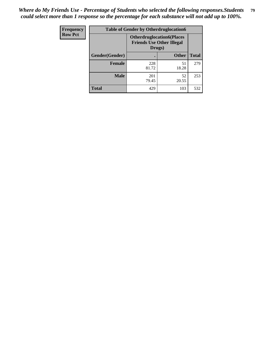| Frequency      | <b>Table of Gender by Otherdruglocation6</b> |                                            |                                  |              |
|----------------|----------------------------------------------|--------------------------------------------|----------------------------------|--------------|
| <b>Row Pct</b> |                                              | <b>Friends Use Other Illegal</b><br>Drugs) | <b>Otherdruglocation6(Places</b> |              |
|                | Gender(Gender)                               |                                            | <b>Other</b>                     | <b>Total</b> |
|                | <b>Female</b>                                | 228<br>81.72                               | 51<br>18.28                      | 279          |
|                | <b>Male</b>                                  | 201<br>79.45                               | 52<br>20.55                      | 253          |
|                | <b>Total</b>                                 | 429                                        | 103                              | 532          |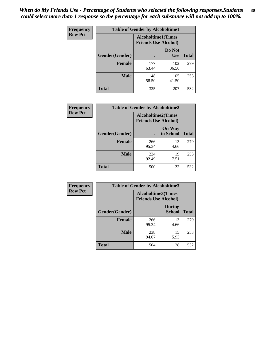| <b>Frequency</b> | <b>Table of Gender by Alcoholtime1</b> |                                                          |                      |              |
|------------------|----------------------------------------|----------------------------------------------------------|----------------------|--------------|
| <b>Row Pct</b>   |                                        | <b>Alcoholtime1(Times</b><br><b>Friends Use Alcohol)</b> |                      |              |
|                  | Gender(Gender)                         |                                                          | Do Not<br><b>Use</b> | <b>Total</b> |
|                  | <b>Female</b>                          | 177<br>63.44                                             | 102<br>36.56         | 279          |
|                  | <b>Male</b>                            | 148<br>58.50                                             | 105<br>41.50         | 253          |
|                  | <b>Total</b>                           | 325                                                      | 207                  | 532          |

| Frequency      | <b>Table of Gender by Alcoholtime2</b> |                                                          |                            |              |
|----------------|----------------------------------------|----------------------------------------------------------|----------------------------|--------------|
| <b>Row Pct</b> |                                        | <b>Alcoholtime2(Times</b><br><b>Friends Use Alcohol)</b> |                            |              |
|                | Gender(Gender)                         |                                                          | <b>On Way</b><br>to School | <b>Total</b> |
|                | <b>Female</b>                          | 266<br>95.34                                             | 13<br>4.66                 | 279          |
|                | <b>Male</b>                            | 234<br>92.49                                             | 19<br>7.51                 | 253          |
|                | Total                                  | 500                                                      | 32                         | 532          |

| Frequency      | <b>Table of Gender by Alcoholtime3</b> |                                                   |                                |              |
|----------------|----------------------------------------|---------------------------------------------------|--------------------------------|--------------|
| <b>Row Pct</b> |                                        | Alcoholtime3(Times<br><b>Friends Use Alcohol)</b> |                                |              |
|                | Gender(Gender)                         |                                                   | <b>During</b><br><b>School</b> | <b>Total</b> |
|                | Female                                 | 266<br>95.34                                      | 13<br>4.66                     | 279          |
|                | <b>Male</b>                            | 238<br>94.07                                      | 15<br>5.93                     | 253          |
|                | <b>Total</b>                           | 504                                               | 28                             | 532          |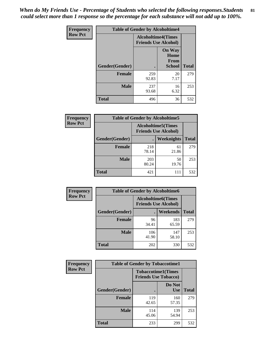*When do My Friends Use - Percentage of Students who selected the following responses.Students could select more than 1 response so the percentage for each substance will not add up to 100%.* **81**

| <b>Frequency</b> | <b>Table of Gender by Alcoholtime4</b> |                                                          |                                                |              |
|------------------|----------------------------------------|----------------------------------------------------------|------------------------------------------------|--------------|
| <b>Row Pct</b>   |                                        | <b>Alcoholtime4(Times</b><br><b>Friends Use Alcohol)</b> |                                                |              |
|                  | Gender(Gender)                         |                                                          | <b>On Way</b><br>Home<br>From<br><b>School</b> | <b>Total</b> |
|                  | <b>Female</b>                          | 259<br>92.83                                             | 20<br>7.17                                     | 279          |
|                  | <b>Male</b>                            | 237<br>93.68                                             | 16<br>6.32                                     | 253          |
|                  | <b>Total</b>                           | 496                                                      | 36                                             | 532          |

| <b>Frequency</b> | <b>Table of Gender by Alcoholtime5</b> |                                                           |             |              |
|------------------|----------------------------------------|-----------------------------------------------------------|-------------|--------------|
| <b>Row Pct</b>   |                                        | <b>Alcoholtime5</b> (Times<br><b>Friends Use Alcohol)</b> |             |              |
|                  | Gender(Gender)                         |                                                           | Weeknights  | <b>Total</b> |
|                  | <b>Female</b>                          | 218<br>78.14                                              | 61<br>21.86 | 279          |
|                  | <b>Male</b>                            | 203<br>80.24                                              | 50<br>19.76 | 253          |
|                  | <b>Total</b>                           | 421                                                       | 111         | 532          |

| <b>Frequency</b> | <b>Table of Gender by Alcoholtime6</b> |                                                          |              |              |  |
|------------------|----------------------------------------|----------------------------------------------------------|--------------|--------------|--|
| <b>Row Pct</b>   |                                        | <b>Alcoholtime6(Times</b><br><b>Friends Use Alcohol)</b> |              |              |  |
|                  | Gender(Gender)                         |                                                          | Weekends     | <b>Total</b> |  |
|                  | Female                                 | 96<br>34.41                                              | 183<br>65.59 | 279          |  |
|                  | <b>Male</b>                            | 106<br>41.90                                             | 147<br>58.10 | 253          |  |
|                  | <b>Total</b>                           | 202                                                      | 330          | 532          |  |

| Frequency      | <b>Table of Gender by Tobaccotime1</b> |                                                          |                      |              |
|----------------|----------------------------------------|----------------------------------------------------------|----------------------|--------------|
| <b>Row Pct</b> |                                        | <b>Tobaccotime1(Times</b><br><b>Friends Use Tobacco)</b> |                      |              |
|                | Gender(Gender)                         |                                                          | Do Not<br><b>Use</b> | <b>Total</b> |
|                | <b>Female</b>                          | 119<br>42.65                                             | 160<br>57.35         | 279          |
|                | <b>Male</b>                            | 114<br>45.06                                             | 139<br>54.94         | 253          |
|                | <b>Total</b>                           | 233                                                      | 299                  | 532          |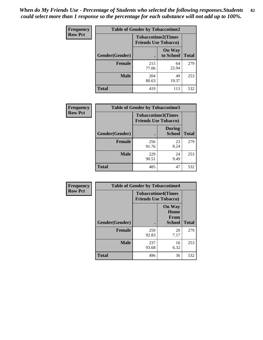| <b>Frequency</b> | <b>Table of Gender by Tobaccotime2</b> |                                                          |                            |              |
|------------------|----------------------------------------|----------------------------------------------------------|----------------------------|--------------|
| <b>Row Pct</b>   |                                        | <b>Tobaccotime2(Times</b><br><b>Friends Use Tobacco)</b> |                            |              |
|                  | Gender(Gender)                         |                                                          | <b>On Way</b><br>to School | <b>Total</b> |
|                  | <b>Female</b>                          | 215<br>77.06                                             | 64<br>22.94                | 279          |
|                  | <b>Male</b>                            | 204<br>80.63                                             | 49<br>19.37                | 253          |
|                  | <b>Total</b>                           | 419                                                      | 113                        | 532          |

| <b>Frequency</b> | <b>Table of Gender by Tobaccotime3</b> |                                                          |                                |              |
|------------------|----------------------------------------|----------------------------------------------------------|--------------------------------|--------------|
| <b>Row Pct</b>   |                                        | <b>Tobaccotime3(Times</b><br><b>Friends Use Tobacco)</b> |                                |              |
|                  | Gender(Gender)                         |                                                          | <b>During</b><br><b>School</b> | <b>Total</b> |
|                  | <b>Female</b>                          | 256<br>91.76                                             | 23<br>8.24                     | 279          |
|                  | <b>Male</b>                            | 229<br>90.51                                             | 24<br>9.49                     | 253          |
|                  | <b>Total</b>                           | 485                                                      | 47                             | 532          |

| <b>Frequency</b> | <b>Table of Gender by Tobaccotime4</b> |                                                          |                                                       |              |
|------------------|----------------------------------------|----------------------------------------------------------|-------------------------------------------------------|--------------|
| <b>Row Pct</b>   |                                        | <b>Tobaccotime4(Times</b><br><b>Friends Use Tobacco)</b> |                                                       |              |
|                  | Gender(Gender)                         |                                                          | <b>On Way</b><br>Home<br><b>From</b><br><b>School</b> | <b>Total</b> |
|                  | <b>Female</b>                          | 259<br>92.83                                             | 20<br>7.17                                            | 279          |
|                  | <b>Male</b>                            | 237<br>93.68                                             | 16<br>6.32                                            | 253          |
|                  | <b>Total</b>                           | 496                                                      | 36                                                    | 532          |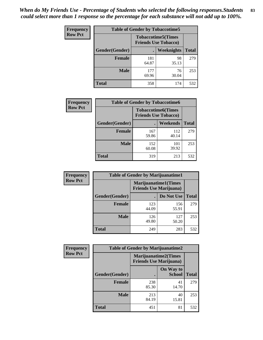| Frequency      | <b>Table of Gender by Tobaccotime5</b> |              |                                                           |              |  |
|----------------|----------------------------------------|--------------|-----------------------------------------------------------|--------------|--|
| <b>Row Pct</b> |                                        |              | <b>Tobaccotime5</b> (Times<br><b>Friends Use Tobacco)</b> |              |  |
|                | Gender(Gender)                         |              | Weeknights                                                | <b>Total</b> |  |
|                | <b>Female</b>                          | 181<br>64.87 | 98<br>35.13                                               | 279          |  |
|                | <b>Male</b>                            | 177<br>69.96 | 76<br>30.04                                               | 253          |  |
|                | <b>Total</b>                           | 358          | 174                                                       | 532          |  |

| Frequency      | <b>Table of Gender by Tobaccotime6</b> |                                                          |              |              |
|----------------|----------------------------------------|----------------------------------------------------------|--------------|--------------|
| <b>Row Pct</b> |                                        | <b>Tobaccotime6(Times</b><br><b>Friends Use Tobacco)</b> |              |              |
|                | Gender(Gender)                         |                                                          | Weekends     | <b>Total</b> |
|                | Female                                 | 167<br>59.86                                             | 112<br>40.14 | 279          |
|                | <b>Male</b>                            | 152<br>60.08                                             | 101<br>39.92 | 253          |
|                | <b>Total</b>                           | 319                                                      | 213          | 532          |

| <b>Frequency</b> | <b>Table of Gender by Marijuanatime1</b> |                                                               |              |              |  |
|------------------|------------------------------------------|---------------------------------------------------------------|--------------|--------------|--|
| <b>Row Pct</b>   |                                          | <b>Marijuanatime1(Times</b><br><b>Friends Use Marijuana</b> ) |              |              |  |
|                  | Gender(Gender)                           |                                                               | Do Not Use   | <b>Total</b> |  |
|                  | <b>Female</b>                            | 123<br>44.09                                                  | 156<br>55.91 | 279          |  |
|                  | <b>Male</b>                              | 126<br>49.80                                                  | 127<br>50.20 | 253          |  |
|                  | <b>Total</b>                             | 249                                                           | 283          | 532          |  |

| <b>Frequency</b> | <b>Table of Gender by Marijuanatime2</b> |                                                               |                            |              |
|------------------|------------------------------------------|---------------------------------------------------------------|----------------------------|--------------|
| <b>Row Pct</b>   |                                          | <b>Marijuanatime2(Times</b><br><b>Friends Use Marijuana</b> ) |                            |              |
|                  | Gender(Gender)                           |                                                               | On Way to<br><b>School</b> | <b>Total</b> |
|                  | Female                                   | 238<br>85.30                                                  | 41<br>14.70                | 279          |
|                  | <b>Male</b>                              | 213<br>84.19                                                  | 40<br>15.81                | 253          |
|                  | <b>Total</b>                             | 451                                                           | 81                         | 532          |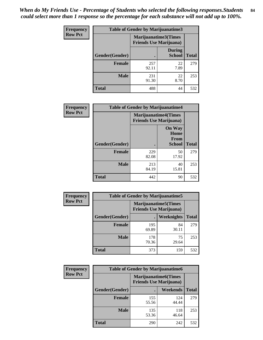*When do My Friends Use - Percentage of Students who selected the following responses.Students could select more than 1 response so the percentage for each substance will not add up to 100%.* **84**

| <b>Frequency</b> | Table of Gender by Marijuanatime3 |                                                        |                                |              |
|------------------|-----------------------------------|--------------------------------------------------------|--------------------------------|--------------|
| <b>Row Pct</b>   |                                   | Marijuanatime3(Times<br><b>Friends Use Marijuana</b> ) |                                |              |
|                  | Gender(Gender)                    |                                                        | <b>During</b><br><b>School</b> | <b>Total</b> |
|                  | <b>Female</b>                     | 257<br>92.11                                           | 22<br>7.89                     | 279          |
|                  | <b>Male</b>                       | 231<br>91.30                                           | 22<br>8.70                     | 253          |
|                  | <b>Total</b>                      | 488                                                    | 44                             | 532          |

| Frequency      | <b>Table of Gender by Marijuanatime4</b> |                             |                                                       |              |
|----------------|------------------------------------------|-----------------------------|-------------------------------------------------------|--------------|
| <b>Row Pct</b> |                                          | <b>Marijuanatime4(Times</b> | <b>Friends Use Marijuana</b> )                        |              |
|                | <b>Gender</b> (Gender)                   |                             | <b>On Way</b><br>Home<br><b>From</b><br><b>School</b> | <b>Total</b> |
|                | <b>Female</b>                            | 229<br>82.08                | 50<br>17.92                                           | 279          |
|                | <b>Male</b>                              | 213<br>84.19                | 40<br>15.81                                           | 253          |
|                | <b>Total</b>                             | 442                         | 90                                                    | 532          |

| Frequency      | <b>Table of Gender by Marijuanatime5</b> |              |                                                                |              |  |
|----------------|------------------------------------------|--------------|----------------------------------------------------------------|--------------|--|
| <b>Row Pct</b> |                                          |              | <b>Marijuanatime5</b> (Times<br><b>Friends Use Marijuana</b> ) |              |  |
|                | Gender(Gender)                           |              | Weeknights                                                     | <b>Total</b> |  |
|                | <b>Female</b>                            | 195<br>69.89 | 84<br>30.11                                                    | 279          |  |
|                | <b>Male</b>                              | 178<br>70.36 | 75<br>29.64                                                    | 253          |  |
|                | <b>Total</b>                             | 373          | 159                                                            | 532          |  |

| <b>Frequency</b> | <b>Table of Gender by Marijuanatime6</b> |                                                                |              |              |
|------------------|------------------------------------------|----------------------------------------------------------------|--------------|--------------|
| <b>Row Pct</b>   |                                          | <b>Marijuanatime6</b> (Times<br><b>Friends Use Marijuana</b> ) |              |              |
|                  | <b>Gender</b> (Gender)                   |                                                                | Weekends     | <b>Total</b> |
|                  | <b>Female</b>                            | 155<br>55.56                                                   | 124<br>44.44 | 279          |
|                  | <b>Male</b>                              | 135<br>53.36                                                   | 118<br>46.64 | 253          |
|                  | <b>Total</b>                             | 290                                                            | 242          | 532          |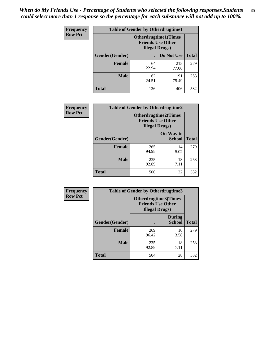*When do My Friends Use - Percentage of Students who selected the following responses.Students could select more than 1 response so the percentage for each substance will not add up to 100%.* **85**

| <b>Frequency</b> | <b>Table of Gender by Otherdrugtime1</b> |                                                                                    |              |              |
|------------------|------------------------------------------|------------------------------------------------------------------------------------|--------------|--------------|
| <b>Row Pct</b>   |                                          | <b>Otherdrugtime1</b> (Times<br><b>Friends Use Other</b><br><b>Illegal Drugs</b> ) |              |              |
|                  | Gender(Gender)                           |                                                                                    | Do Not Use   | <b>Total</b> |
|                  | <b>Female</b>                            | 64<br>22.94                                                                        | 215<br>77.06 | 279          |
|                  | <b>Male</b>                              | 62<br>24.51                                                                        | 191<br>75.49 | 253          |
|                  | <b>Total</b>                             | 126                                                                                | 406          | 532          |

| Frequency      | <b>Table of Gender by Otherdrugtime2</b> |                                                                                   |                            |              |
|----------------|------------------------------------------|-----------------------------------------------------------------------------------|----------------------------|--------------|
| <b>Row Pct</b> |                                          | <b>Otherdrugtime2(Times</b><br><b>Friends Use Other</b><br><b>Illegal Drugs</b> ) |                            |              |
|                | <b>Gender</b> (Gender)                   |                                                                                   | On Way to<br><b>School</b> | <b>Total</b> |
|                | <b>Female</b>                            | 265<br>94.98                                                                      | 14<br>5.02                 | 279          |
|                | <b>Male</b>                              | 235<br>92.89                                                                      | 18<br>7.11                 | 253          |
|                | <b>Total</b>                             | 500                                                                               | 32                         | 532          |

| Frequency      | <b>Table of Gender by Otherdrugtime3</b> |                        |                                                  |              |
|----------------|------------------------------------------|------------------------|--------------------------------------------------|--------------|
| <b>Row Pct</b> |                                          | <b>Illegal Drugs</b> ) | Otherdrugtime3(Times<br><b>Friends Use Other</b> |              |
|                | Gender(Gender)                           |                        | <b>During</b><br><b>School</b>                   | <b>Total</b> |
|                | <b>Female</b>                            | 269<br>96.42           | 10<br>3.58                                       | 279          |
|                | <b>Male</b>                              | 235<br>92.89           | 18<br>7.11                                       | 253          |
|                | <b>Total</b>                             | 504                    | 28                                               | 532          |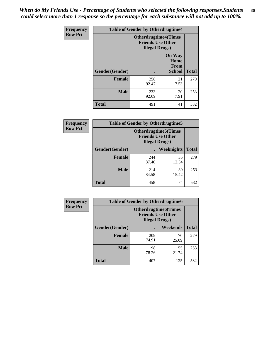*When do My Friends Use - Percentage of Students who selected the following responses.Students could select more than 1 response so the percentage for each substance will not add up to 100%.* **86**

| <b>Frequency</b> | <b>Table of Gender by Otherdrugtime4</b> |                        |                                                         |              |
|------------------|------------------------------------------|------------------------|---------------------------------------------------------|--------------|
| <b>Row Pct</b>   |                                          | <b>Illegal Drugs</b> ) | <b>Otherdrugtime4(Times</b><br><b>Friends Use Other</b> |              |
|                  | Gender(Gender)                           |                        | <b>On Way</b><br>Home<br>From<br><b>School</b>          | <b>Total</b> |
|                  | Female                                   | 258<br>92.47           | 21<br>7.53                                              | 279          |
|                  | <b>Male</b>                              | 233<br>92.09           | 20<br>7.91                                              | 253          |
|                  | <b>Total</b>                             | 491                    | 41                                                      | 532          |

| Frequency      | <b>Table of Gender by Otherdrugtime5</b> |                                                                                    |             |              |
|----------------|------------------------------------------|------------------------------------------------------------------------------------|-------------|--------------|
| <b>Row Pct</b> |                                          | <b>Otherdrugtime5</b> (Times<br><b>Friends Use Other</b><br><b>Illegal Drugs</b> ) |             |              |
|                | Gender(Gender)                           |                                                                                    | Weeknights  | <b>Total</b> |
|                | <b>Female</b>                            | 244<br>87.46                                                                       | 35<br>12.54 | 279          |
|                | <b>Male</b>                              | 214<br>84.58                                                                       | 39<br>15.42 | 253          |
|                | <b>Total</b>                             | 458                                                                                | 74          | 532          |

| <b>Frequency</b> | <b>Table of Gender by Otherdrugtime6</b> |                                                                                   |             |              |
|------------------|------------------------------------------|-----------------------------------------------------------------------------------|-------------|--------------|
| <b>Row Pct</b>   |                                          | <b>Otherdrugtime6(Times</b><br><b>Friends Use Other</b><br><b>Illegal Drugs</b> ) |             |              |
|                  | Gender(Gender)                           |                                                                                   | Weekends    | <b>Total</b> |
|                  | <b>Female</b>                            | 209<br>74.91                                                                      | 70<br>25.09 | 279          |
|                  | <b>Male</b>                              | 198<br>78.26                                                                      | 55<br>21.74 | 253          |
|                  | <b>Total</b>                             | 407                                                                               | 125         | 532          |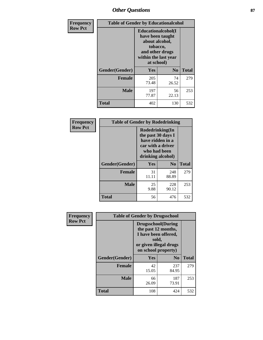# *Other Questions* **87**

| <b>Frequency</b> | <b>Table of Gender by Educationalcohol</b> |                                                                                                                               |                |              |  |
|------------------|--------------------------------------------|-------------------------------------------------------------------------------------------------------------------------------|----------------|--------------|--|
| <b>Row Pct</b>   |                                            | Educationalcohol(I<br>have been taught<br>about alcohol,<br>tobacco,<br>and other drugs<br>within the last year<br>at school) |                |              |  |
|                  | Gender(Gender)                             | <b>Yes</b>                                                                                                                    | N <sub>0</sub> | <b>Total</b> |  |
|                  | <b>Female</b>                              | 205<br>73.48                                                                                                                  | 74<br>26.52    | 279          |  |
|                  | <b>Male</b>                                | 197<br>77.87                                                                                                                  | 56<br>22.13    | 253          |  |
|                  | <b>Total</b>                               | 402                                                                                                                           | 130            | 532          |  |

| Frequency      | <b>Table of Gender by Rodedrinking</b> |                                                                                                                     |                |              |  |
|----------------|----------------------------------------|---------------------------------------------------------------------------------------------------------------------|----------------|--------------|--|
| <b>Row Pct</b> |                                        | Rodedrinking(In<br>the past 30 days I<br>have ridden in a<br>car with a driver<br>who had been<br>drinking alcohol) |                |              |  |
|                | Gender(Gender)                         | Yes                                                                                                                 | N <sub>0</sub> | <b>Total</b> |  |
|                | <b>Female</b>                          | 31<br>11.11                                                                                                         | 248<br>88.89   | 279          |  |
|                | <b>Male</b>                            | 25<br>9.88                                                                                                          | 228<br>90.12   | 253          |  |
|                | <b>Total</b>                           | 56                                                                                                                  | 476            | 532          |  |

| Frequency      | <b>Table of Gender by Drugsschool</b> |                                                                                                                                     |                |              |  |
|----------------|---------------------------------------|-------------------------------------------------------------------------------------------------------------------------------------|----------------|--------------|--|
| <b>Row Pct</b> |                                       | <b>Drugsschool</b> (During<br>the past 12 months,<br>I have been offered,<br>sold,<br>or given illegal drugs<br>on school property) |                |              |  |
|                | Gender(Gender)                        | <b>Yes</b>                                                                                                                          | N <sub>0</sub> | <b>Total</b> |  |
|                | <b>Female</b>                         | 42<br>15.05                                                                                                                         | 237<br>84.95   | 279          |  |
|                | <b>Male</b>                           | 66<br>26.09                                                                                                                         | 187<br>73.91   | 253          |  |
|                | <b>Total</b>                          | 108                                                                                                                                 | 424            | 532          |  |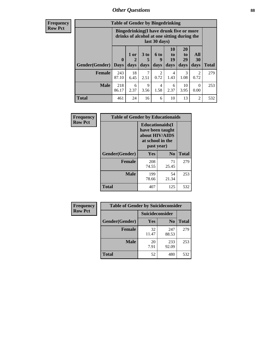# *Other Questions* **88**

**Frequency Row Pct**

| <b>Table of Gender by Bingedrinking</b> |                                                                                                         |                   |                              |                        |                        |                               |                   |              |
|-----------------------------------------|---------------------------------------------------------------------------------------------------------|-------------------|------------------------------|------------------------|------------------------|-------------------------------|-------------------|--------------|
|                                         | Bingedrinking(I have drunk five or more<br>drinks of alcohol at one sitting during the<br>last 30 days) |                   |                              |                        |                        |                               |                   |              |
| <b>Gender</b> (Gender)                  | $\mathbf 0$<br><b>Days</b>                                                                              | 1 or<br>2<br>days | 3 <sub>to</sub><br>5<br>days | 6 to<br>9<br>days      | 10<br>to<br>19<br>days | <b>20</b><br>to<br>29<br>days | All<br>30<br>days | <b>Total</b> |
| Female                                  | 243<br>87.10                                                                                            | 18<br>6.45        | 7<br>2.51                    | $\overline{c}$<br>0.72 | 4<br>1.43              | 3                             | $\overline{2}$    | 279          |
|                                         |                                                                                                         |                   |                              |                        |                        | 1.08                          | 0.72              |              |
| <b>Male</b>                             | 218<br>86.17                                                                                            | 6<br>2.37         | 9<br>3.56                    | 4<br>1.58              | 6<br>2.37              | 10<br>3.95                    | $\Omega$<br>0.00  | 253          |

| Frequency      | <b>Table of Gender by Educationaids</b> |                                                                                                 |                |              |
|----------------|-----------------------------------------|-------------------------------------------------------------------------------------------------|----------------|--------------|
| <b>Row Pct</b> |                                         | <b>Educationaids</b> (I<br>have been taught<br>about HIV/AIDS<br>at school in the<br>past year) |                |              |
|                | Gender(Gender)                          | Yes                                                                                             | N <sub>0</sub> | <b>Total</b> |
|                | <b>Female</b>                           | 208<br>74.55                                                                                    | 71<br>25.45    | 279          |
|                | <b>Male</b>                             | 199<br>78.66                                                                                    | 54<br>21.34    | 253          |
|                | <b>Total</b>                            | 407                                                                                             | 125            | 532          |

| <b>Frequency</b> | <b>Table of Gender by Suicideconsider</b> |                 |                |              |  |
|------------------|-------------------------------------------|-----------------|----------------|--------------|--|
| <b>Row Pct</b>   |                                           | Suicideconsider |                |              |  |
|                  | Gender(Gender)                            | <b>Yes</b>      | N <sub>0</sub> | <b>Total</b> |  |
|                  | <b>Female</b>                             | 32<br>11.47     | 247<br>88.53   | 279          |  |
|                  | <b>Male</b>                               | 20<br>7.91      | 233<br>92.09   | 253          |  |
|                  | Total                                     | 52              | 480            | 532          |  |